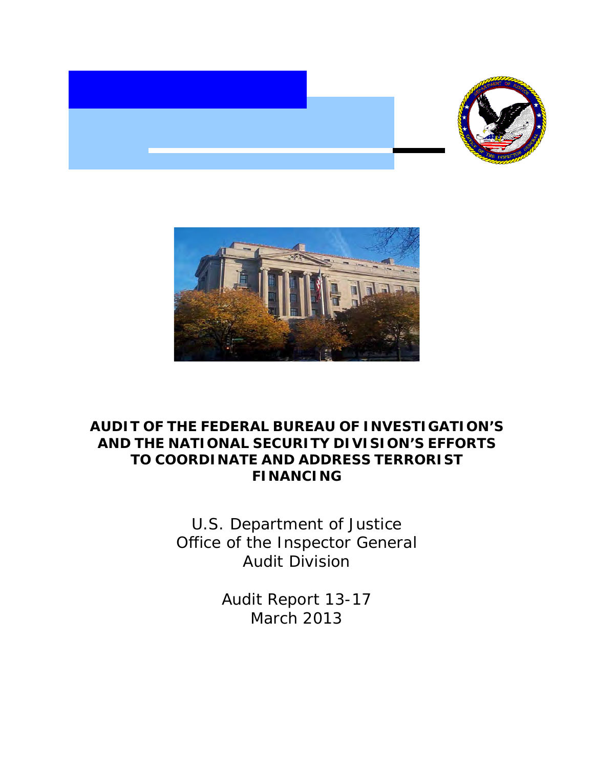



# **AUDIT OF THE FEDERAL BUREAU OF INVESTIGATION'S AND THE NATIONAL SECURITY DIVISION'S EFFORTS TO COORDINATE AND ADDRESS TERRORIST FINANCING**

 Office of the Inspector General U.S. Department of Justice Audit Division

> Audit Report 13-17 March 2013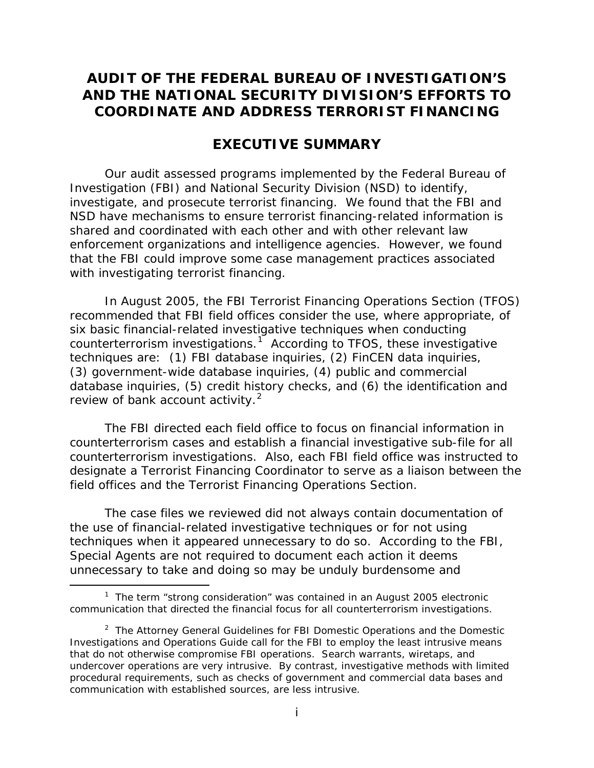# **AUDIT OF THE FEDERAL BUREAU OF INVESTIGATION'S AND THE NATIONAL SECURITY DIVISION'S EFFORTS TO COORDINATE AND ADDRESS TERRORIST FINANCING**

## **EXECUTIVE SUMMARY**

 investigate, and prosecute terrorist financing. We found that the FBI and with investigating terrorist financing. Our audit assessed programs implemented by the Federal Bureau of Investigation (FBI) and National Security Division (NSD) to identify, NSD have mechanisms to ensure terrorist financing-related information is shared and coordinated with each other and with other relevant law enforcement organizations and intelligence agencies. However, we found that the FBI could improve some case management practices associated

counterterrorism investigations.<sup>1</sup> According to TFOS, these investigative techniques are: (1) FBI database inquiries, (2) FinCEN data inquiries, review of bank account activity.<sup>2</sup> In August 2005, the FBI Terrorist Financing Operations Section (TFOS) recommended that FBI field offices consider the use, where appropriate, of six basic financial-related investigative techniques when conducting (3) government-wide database inquiries, (4) public and commercial database inquiries, (5) credit history checks, and (6) the identification and

 field offices and the Terrorist Financing Operations Section. The FBI directed each field office to focus on financial information in counterterrorism cases and establish a financial investigative sub-file for all counterterrorism investigations. Also, each FBI field office was instructed to designate a Terrorist Financing Coordinator to serve as a liaison between the

The case files we reviewed did not always contain documentation of the use of financial-related investigative techniques or for not using techniques when it appeared unnecessary to do so. According to the FBI, Special Agents are not required to document each action it deems unnecessary to take and doing so may be unduly burdensome and

l

<span id="page-1-0"></span> $1$  The term "strong consideration" was contained in an August 2005 electronic communication that directed the financial focus for all counterterrorism investigations.

<span id="page-1-1"></span> $2$  The Attorney General Guidelines for FBI Domestic Operations and the Domestic Investigations and Operations Guide call for the FBI to employ the least intrusive means that do not otherwise compromise FBI operations. Search warrants, wiretaps, and undercover operations are very intrusive. By contrast, investigative methods with limited procedural requirements, such as checks of government and commercial data bases and communication with established sources, are less intrusive.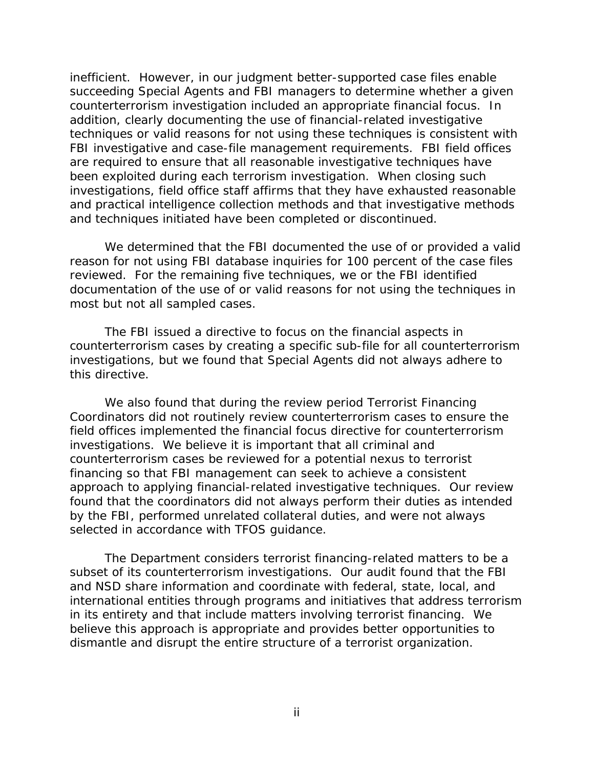counterterrorism investigation included an appropriate financial focus. In investigations, field office staff affirms that they have exhausted reasonable inefficient. However, in our judgment better-supported case files enable succeeding Special Agents and FBI managers to determine whether a given addition, clearly documenting the use of financial-related investigative techniques or valid reasons for not using these techniques is consistent with FBI investigative and case-file management requirements. FBI field offices are required to ensure that all reasonable investigative techniques have been exploited during each terrorism investigation. When closing such and practical intelligence collection methods and that investigative methods and techniques initiated have been completed or discontinued.

 most but not all sampled cases. We determined that the FBI documented the use of or provided a valid reason for not using FBI database inquiries for 100 percent of the case files reviewed. For the remaining five techniques, we or the FBI identified documentation of the use of or valid reasons for not using the techniques in

 The FBI issued a directive to focus on the financial aspects in investigations, but we found that Special Agents did not always adhere to counterterrorism cases by creating a specific sub-file for all counterterrorism this directive.

We also found that during the review period Terrorist Financing Coordinators did not routinely review counterterrorism cases to ensure the field offices implemented the financial focus directive for counterterrorism investigations. We believe it is important that all criminal and counterterrorism cases be reviewed for a potential nexus to terrorist financing so that FBI management can seek to achieve a consistent approach to applying financial-related investigative techniques. Our review found that the coordinators did not always perform their duties as intended by the FBI, performed unrelated collateral duties, and were not always selected in accordance with TFOS guidance.

dismantle and disrupt the entire structure of a terrorist organization.<br>ii The Department considers terrorist financing-related matters to be a subset of its counterterrorism investigations. Our audit found that the FBI and NSD share information and coordinate with federal, state, local, and international entities through programs and initiatives that address terrorism in its entirety and that include matters involving terrorist financing. We believe this approach is appropriate and provides better opportunities to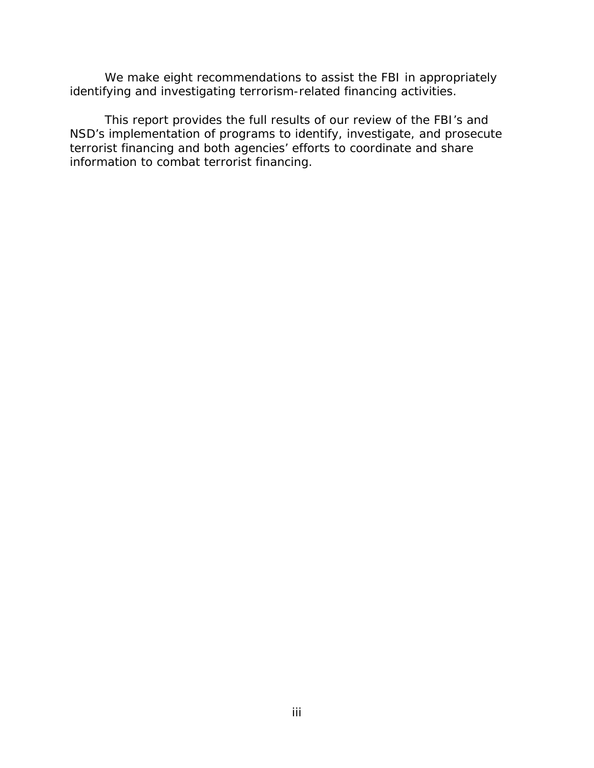We make eight recommendations to assist the FBI in appropriately identifying and investigating terrorism-related financing activities.

 terrorist financing and both agencies' efforts to coordinate and share This report provides the full results of our review of the FBI's and NSD's implementation of programs to identify, investigate, and prosecute information to combat terrorist financing.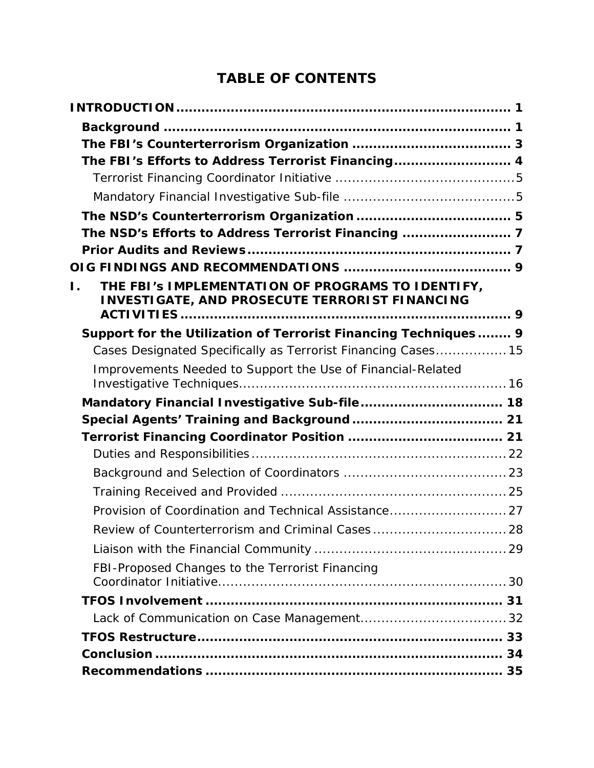# **TABLE OF CONTENTS**

| The FBI's Efforts to Address Terrorist Financing 4                                                               |    |
|------------------------------------------------------------------------------------------------------------------|----|
|                                                                                                                  |    |
|                                                                                                                  |    |
|                                                                                                                  |    |
| The NSD's Efforts to Address Terrorist Financing  7                                                              |    |
|                                                                                                                  |    |
|                                                                                                                  |    |
| THE FBI's IMPLEMENTATION OF PROGRAMS TO IDENTIFY,<br>Ι.<br><b>INVESTIGATE, AND PROSECUTE TERRORIST FINANCING</b> |    |
| Support for the Utilization of Terrorist Financing Techniques 9                                                  |    |
| Cases Designated Specifically as Terrorist Financing Cases 15                                                    |    |
| Improvements Needed to Support the Use of Financial-Related                                                      |    |
|                                                                                                                  |    |
| Mandatory Financial Investigative Sub-file 18                                                                    |    |
|                                                                                                                  |    |
|                                                                                                                  |    |
|                                                                                                                  |    |
|                                                                                                                  |    |
|                                                                                                                  |    |
| Provision of Coordination and Technical Assistance 27                                                            |    |
| Review of Counterterrorism and Criminal Cases 28                                                                 |    |
|                                                                                                                  |    |
| FBI-Proposed Changes to the Terrorist Financing                                                                  |    |
|                                                                                                                  | 31 |
|                                                                                                                  |    |
|                                                                                                                  |    |
|                                                                                                                  |    |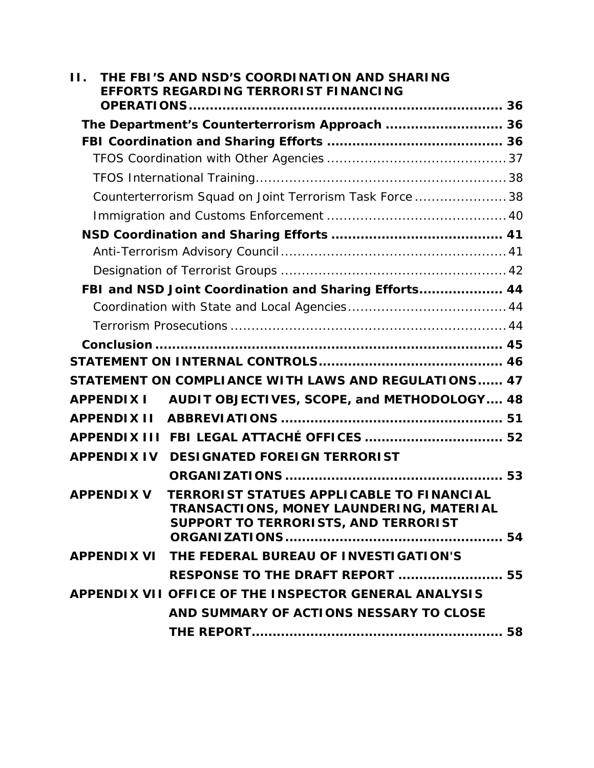| Н. |                    | THE FBI'S AND NSD'S COORDINATION AND SHARING<br>EFFORTS REGARDING TERRORIST FINANCING                                                |  |
|----|--------------------|--------------------------------------------------------------------------------------------------------------------------------------|--|
|    |                    |                                                                                                                                      |  |
|    |                    | The Department's Counterterrorism Approach  36                                                                                       |  |
|    |                    |                                                                                                                                      |  |
|    |                    |                                                                                                                                      |  |
|    |                    |                                                                                                                                      |  |
|    |                    | Counterterrorism Squad on Joint Terrorism Task Force  38                                                                             |  |
|    |                    |                                                                                                                                      |  |
|    |                    |                                                                                                                                      |  |
|    |                    |                                                                                                                                      |  |
|    |                    |                                                                                                                                      |  |
|    |                    | FBI and NSD Joint Coordination and Sharing Efforts 44                                                                                |  |
|    |                    |                                                                                                                                      |  |
|    |                    |                                                                                                                                      |  |
|    |                    |                                                                                                                                      |  |
|    |                    |                                                                                                                                      |  |
|    |                    | STATEMENT ON COMPLIANCE WITH LAWS AND REGULATIONS 47                                                                                 |  |
|    |                    | APPENDIX I AUDIT OBJECTIVES, SCOPE, and METHODOLOGY 48                                                                               |  |
|    |                    |                                                                                                                                      |  |
|    |                    |                                                                                                                                      |  |
|    | <b>APPENDIX IV</b> | <b>DESIGNATED FOREIGN TERRORIST</b>                                                                                                  |  |
|    |                    |                                                                                                                                      |  |
|    | <b>APPENDIX V</b>  | <b>TERRORIST STATUES APPLICABLE TO FINANCIAL</b><br>TRANSACTIONS, MONEY LAUNDERING, MATERIAL<br>SUPPORT TO TERRORISTS, AND TERRORIST |  |
|    |                    | APPENDIX VI THE FEDERAL BUREAU OF INVESTIGATION'S                                                                                    |  |
|    |                    | <b>RESPONSE TO THE DRAFT REPORT  55</b>                                                                                              |  |
|    |                    | APPENDIX VII OFFICE OF THE INSPECTOR GENERAL ANALYSIS                                                                                |  |
|    |                    |                                                                                                                                      |  |
|    |                    | AND SUMMARY OF ACTIONS NESSARY TO CLOSE                                                                                              |  |
|    |                    |                                                                                                                                      |  |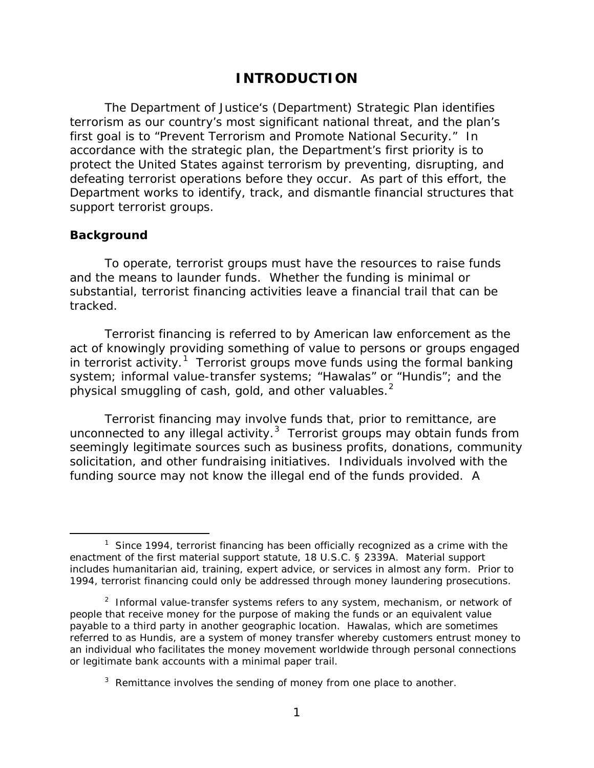# **INTRODUCTION**

<span id="page-6-0"></span> accordance with the strategic plan, the Department's first priority is to support terrorist groups. The Department of Justice's (Department) Strategic Plan identifies terrorism as our country's most significant national threat, and the plan's first goal is to "Prevent Terrorism and Promote National Security." In protect the United States against terrorism by preventing, disrupting, and defeating terrorist operations before they occur. As part of this effort, the Department works to identify, track, and dismantle financial structures that

### **Background**

 $\overline{a}$ 

To operate, terrorist groups must have the resources to raise funds and the means to launder funds. Whether the funding is minimal or substantial, terrorist financing activities leave a financial trail that can be tracked.

in terrorist activity.<sup>1</sup> Terrorist groups move funds using the formal banking physical smuggling of cash, gold, and other valuables. $2$ Terrorist financing is referred to by American law enforcement as the act of knowingly providing something of value to persons or groups engaged system; informal value-transfer systems; "Hawalas" or "Hundis"; and the

 Terrorist financing may involve funds that, prior to remittance, are unconnected to any illegal activity. $3$  Terrorist groups may obtain funds from solicitation, and other fundraising initiatives. Individuals involved with the funding source may not know the illegal end of the funds provided. A seemingly legitimate sources such as business profits, donations, community

<span id="page-6-1"></span> $1$  Since 1994, terrorist financing has been officially recognized as a crime with the enactment of the first material support statute, 18 U.S.C. § 2339A. Material support includes humanitarian aid, training, expert advice, or services in almost any form. Prior to 1994, terrorist financing could only be addressed through money laundering prosecutions.

<span id="page-6-2"></span><sup>&</sup>lt;sup>2</sup> Informal value-transfer systems refers to any system, mechanism, or network of people that receive money for the purpose of making the funds or an equivalent value payable to a third party in another geographic location. Hawalas, which are sometimes referred to as Hundis, are a system of money transfer whereby customers entrust money to an individual who facilitates the money movement worldwide through personal connections or legitimate bank accounts with a minimal paper trail.

<span id="page-6-3"></span> $3$  Remittance involves the sending of money from one place to another.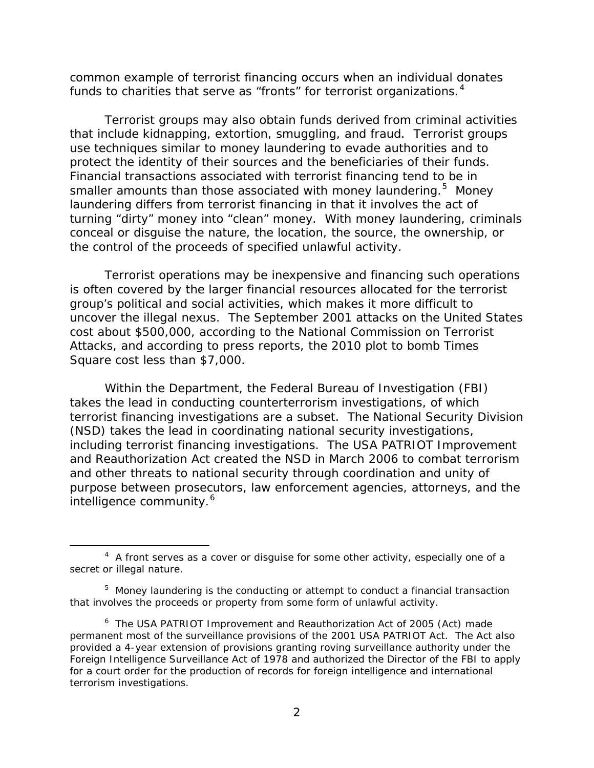funds to charities that serve as "fronts" for terrorist organizations. $^4$ common example of terrorist financing occurs when an individual donates

 that include kidnapping, extortion, smuggling, and fraud. Terrorist groups Financial transactions associated with terrorist financing tend to be in smaller amounts than those associated with money laundering.<sup>[5](#page-7-1)</sup> Money the control of the proceeds of specified unlawful activity. Terrorist groups may also obtain funds derived from criminal activities use techniques similar to money laundering to evade authorities and to protect the identity of their sources and the beneficiaries of their funds. laundering differs from terrorist financing in that it involves the act of turning "dirty" money into "clean" money. With money laundering, criminals conceal or disguise the nature, the location, the source, the ownership, or

 cost about \$500,000, according to the National Commission on Terrorist Square cost less than \$7,000. Terrorist operations may be inexpensive and financing such operations is often covered by the larger financial resources allocated for the terrorist group's political and social activities, which makes it more difficult to uncover the illegal nexus. The September 2001 attacks on the United States Attacks, and according to press reports, the 2010 plot to bomb Times

 including terrorist financing investigations. The *USA PATRIOT Improvement*  Within the Department, the Federal Bureau of Investigation (FBI) takes the lead in conducting counterterrorism investigations, of which terrorist financing investigations are a subset. The National Security Division (NSD) takes the lead in coordinating national security investigations, *and Reauthorization Act* created the NSD in March 2006 to combat terrorism and other threats to national security through coordination and unity of purpose between prosecutors, law enforcement agencies, attorneys, and the intelligence community.<sup>6</sup>

-

<span id="page-7-0"></span> $4\,$  $4\,$  A front serves as a cover or disguise for some other activity, especially one of a secret or illegal nature.

<span id="page-7-1"></span> $5$  Money laundering is the conducting or attempt to conduct a financial transaction that involves the proceeds or property from some form of unlawful activity.

<span id="page-7-2"></span> [6](#page-58-0) The *USA PATRIOT Improvement and Reauthorization Act of 2005 (*Act*)* made permanent most of the surveillance provisions of the 2001 USA PATRIOT Act. The Act also provided a 4-year extension of provisions granting roving surveillance authority under the  *Foreign Intelligence Surveillance Act of 1978* and authorized the Director of the FBI to apply for a court order for the production of records for foreign intelligence and international terrorism investigations.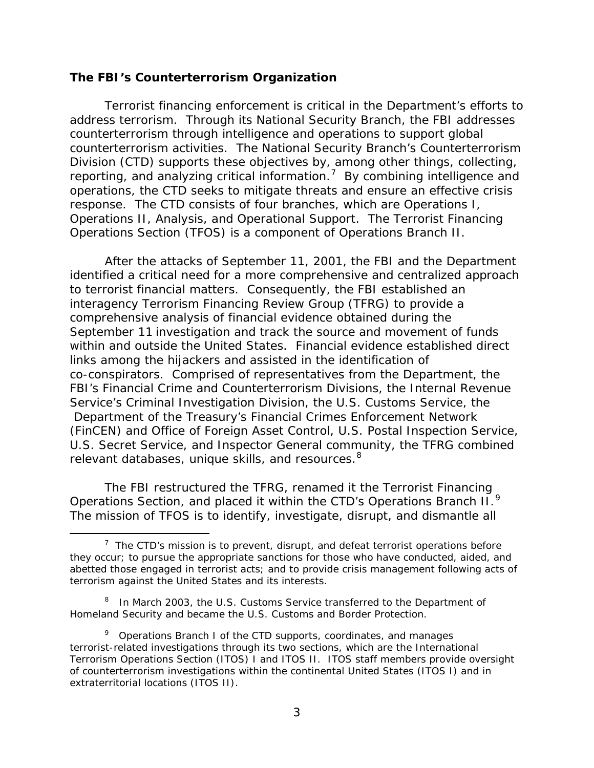### <span id="page-8-0"></span>**The FBI's Counterterrorism Organization**

 counterterrorism activities. The National Security Branch's Counterterrorism reporting, and analyzing critical information.<sup>7</sup> By combining intelligence and Terrorist financing enforcement is critical in the Department's efforts to address terrorism. Through its National Security Branch, the FBI addresses counterterrorism through intelligence and operations to support global Division (CTD) supports these objectives by, among other things, collecting, operations, the CTD seeks to mitigate threats and ensure an effective crisis response. The CTD consists of four branches, which are Operations I, Operations II, Analysis, and Operational Support. The Terrorist Financing Operations Section (TFOS) is a component of Operations Branch II.

 within and outside the United States. Financial evidence established direct links among the hijackers and assisted in the identification of co-conspirators. Comprised of representatives from the Department, the relevant databases, unique skills, and resources. $^8$ After the attacks of September 11, 2001, the FBI and the Department identified a critical need for a more comprehensive and centralized approach to terrorist financial matters. Consequently, the FBI established an interagency Terrorism Financing Review Group (TFRG) to provide a comprehensive analysis of financial evidence obtained during the September 11 investigation and track the source and movement of funds FBI's Financial Crime and Counterterrorism Divisions, the Internal Revenue Service's Criminal Investigation Division, the U.S. Customs Service, the Department of the Treasury's Financial Crimes Enforcement Network (FinCEN) and Office of Foreign Asset Control, U.S. Postal Inspection Service, U.S. Secret Service, and Inspector General community, the TFRG combined

Operations Section, and placed it within the CTD's Operations Branch  $II.^9$ The FBI restructured the TFRG, renamed it the Terrorist Financing The mission of TFOS is to identify, investigate, disrupt, and dismantle all

 $\overline{a}$ 

<span id="page-8-1"></span> $7$  The CTD's mission is to prevent, disrupt, and defeat terrorist operations before they occur; to pursue the appropriate sanctions for those who have conducted, aided, and abetted those engaged in terrorist acts; and to provide crisis management following acts of terrorism against the United States and its interests.

<span id="page-8-2"></span><sup>&</sup>lt;sup>8</sup> In March 2003, the U.S. Customs Service transferred to the Department of Homeland Security and became the U.S. Customs and Border Protection.

<span id="page-8-3"></span> $9$  Operations Branch I of the CTD supports, coordinates, and manages terrorist-related investigations through its two sections, which are the International Terrorism Operations Section (ITOS) I and ITOS II. ITOS staff members provide oversight of counterterrorism investigations within the continental United States (ITOS I) and in extraterritorial locations (ITOS II).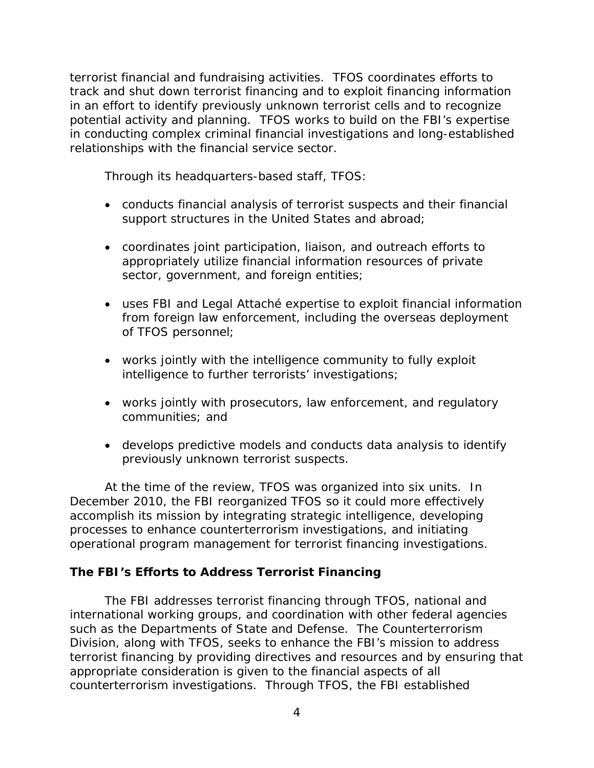<span id="page-9-0"></span> potential activity and planning. TFOS works to build on the FBI's expertise terrorist financial and fundraising activities. TFOS coordinates efforts to track and shut down terrorist financing and to exploit financing information in an effort to identify previously unknown terrorist cells and to recognize in conducting complex criminal financial investigations and long-established relationships with the financial service sector.

Through its headquarters-based staff, TFOS:

- conducts financial analysis of terrorist suspects and their financial support structures in the United States and abroad;
- coordinates joint participation, liaison, and outreach efforts to appropriately utilize financial information resources of private sector, government, and foreign entities;
- uses FBI and Legal Attaché expertise to exploit financial information from foreign law enforcement, including the overseas deployment of TFOS personnel;
- works jointly with the intelligence community to fully exploit intelligence to further terrorists' investigations;
- works jointly with prosecutors, law enforcement, and regulatory communities; and
- previously unknown terrorist suspects. • develops predictive models and conducts data analysis to identify

 accomplish its mission by integrating strategic intelligence, developing At the time of the review, TFOS was organized into six units. In December 2010, the FBI reorganized TFOS so it could more effectively processes to enhance counterterrorism investigations, and initiating operational program management for terrorist financing investigations.

### **The FBI's Efforts to Address Terrorist Financing**

 such as the Departments of State and Defense. The Counterterrorism The FBI addresses terrorist financing through TFOS, national and international working groups, and coordination with other federal agencies Division, along with TFOS, seeks to enhance the FBI's mission to address terrorist financing by providing directives and resources and by ensuring that appropriate consideration is given to the financial aspects of all counterterrorism investigations. Through TFOS, the FBI established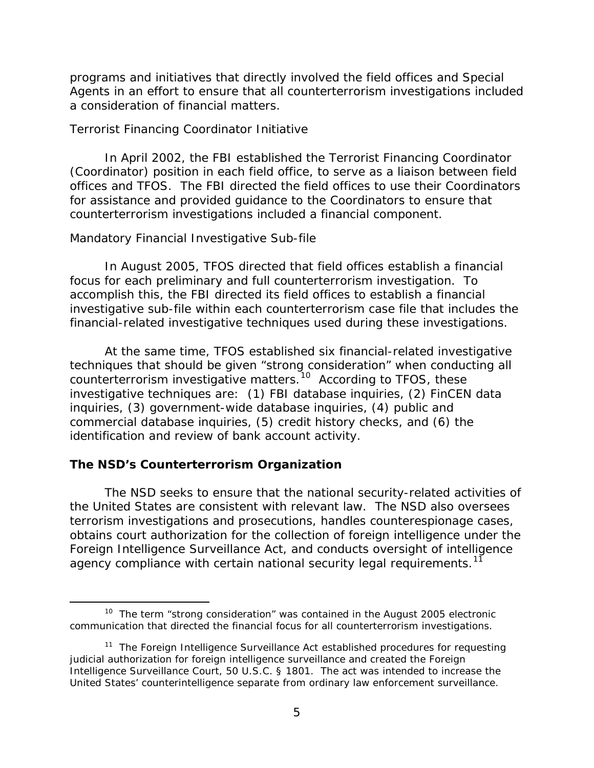<span id="page-10-0"></span> Agents in an effort to ensure that all counterterrorism investigations included a consideration of financial matters. programs and initiatives that directly involved the field offices and Special

### *Terrorist Financing Coordinator Initiative*

 (Coordinator) position in each field office, to serve as a liaison between field offices and TFOS. The FBI directed the field offices to use their Coordinators In April 2002, the FBI established the Terrorist Financing Coordinator for assistance and provided guidance to the Coordinators to ensure that counterterrorism investigations included a financial component.

### *Mandatory Financial Investigative Sub-file*

 investigative sub-file within each counterterrorism case file that includes the In August 2005, TFOS directed that field offices establish a financial focus for each preliminary and full counterterrorism investigation. To accomplish this, the FBI directed its field offices to establish a financial financial-related investigative techniques used during these investigations.

 At the same time, TFOS established six financial-related investigative counterterrorism investigative matters.<sup>[10](#page-10-1)</sup> According to TFOS, these techniques that should be given "strong consideration" when conducting all investigative techniques are: (1) FBI database inquiries, (2) FinCEN data inquiries, (3) government-wide database inquiries, (4) public and commercial database inquiries, (5) credit history checks, and (6) the identification and review of bank account activity.

### **The NSD's Counterterrorism Organization**

 $\overline{a}$ 

 the United States are consistent with relevant law. The NSD also oversees agency compliance with certain national security legal requirements.<sup>[11](#page-10-2)</sup> The NSD seeks to ensure that the national security-related activities of terrorism investigations and prosecutions, handles counterespionage cases, obtains court authorization for the collection of foreign intelligence under the Foreign Intelligence Surveillance Act, and conducts oversight of intelligence

<span id="page-10-1"></span> $10$  The term "strong consideration" was contained in the August 2005 electronic communication that directed the financial focus for all counterterrorism investigations.

<span id="page-10-2"></span><sup>&</sup>lt;sup>[11](#page-58-0)</sup> The *Foreign Intelligence Surveillance Act* established procedures for requesting judicial authorization for foreign intelligence surveillance and created the Foreign Intelligence Surveillance Court, 50 U.S.C. § 1801. The act was intended to increase the United States' counterintelligence separate from ordinary law enforcement surveillance.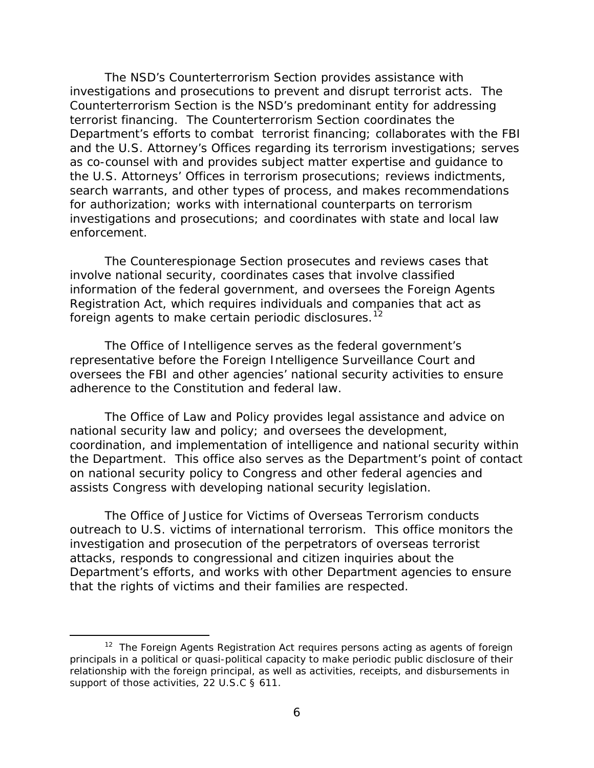Counterterrorism Section is the NSD's predominant entity for addressing Department's efforts to combat terrorist financing; collaborates with the FBI the U.S. Attorneys' Offices in terrorism prosecutions; reviews indictments, for authorization; works with international counterparts on terrorism enforcement. The NSD's Counterterrorism Section provides assistance with investigations and prosecutions to prevent and disrupt terrorist acts. The terrorist financing. The Counterterrorism Section coordinates the and the U.S. Attorney's Offices regarding its terrorism investigations; serves as co-counsel with and provides subject matter expertise and guidance to search warrants, and other types of process, and makes recommendations investigations and prosecutions; and coordinates with state and local law

The Counterespionage Section prosecutes and reviews cases that involve national security, coordinates cases that involve classified information of the federal government, and oversees the *Foreign Agents Registration Act*, which requires individuals and companies that act as foreign agents to make certain periodic disclosures.<sup>[12](#page-11-0)</sup>

 representative before the Foreign Intelligence Surveillance Court and The Office of Intelligence serves as the federal government's oversees the FBI and other agencies' national security activities to ensure adherence to the Constitution and federal law.

 The Office of Law and Policy provides legal assistance and advice on national security law and policy; and oversees the development, coordination, and implementation of intelligence and national security within the Department. This office also serves as the Department's point of contact on national security policy to Congress and other federal agencies and assists Congress with developing national security legislation.

 outreach to U.S. victims of international terrorism. This office monitors the that the rights of victims and their families are respected. The Office of Justice for Victims of Overseas Terrorism conducts investigation and prosecution of the perpetrators of overseas terrorist attacks, responds to congressional and citizen inquiries about the Department's efforts, and works with other Department agencies to ensure

 $\overline{a}$ 

<span id="page-11-0"></span><sup>&</sup>lt;sup>[12](#page-58-0)</sup> The *Foreign Agents Registration Act* requires persons acting as agents of foreign principals in a political or quasi-political capacity to make periodic public disclosure of their relationship with the foreign principal, as well as activities, receipts, and disbursements in support of those activities, 22 U.S.C § 611.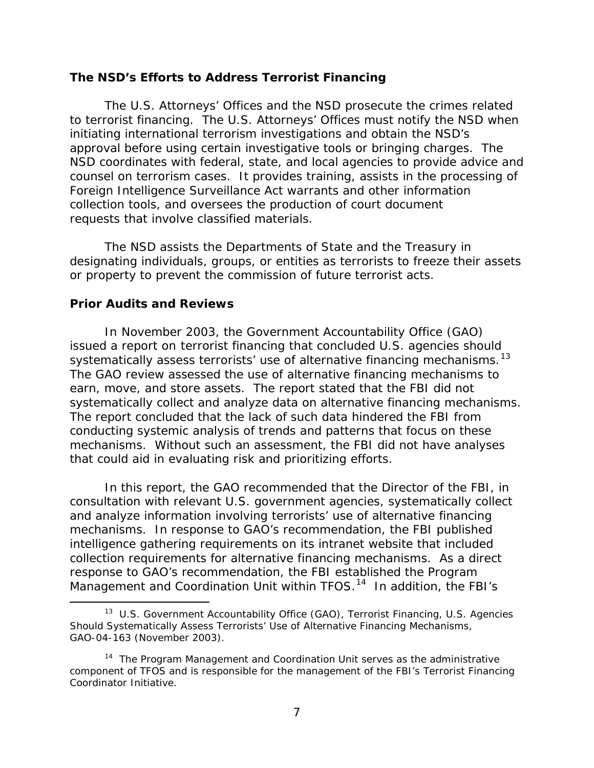### <span id="page-12-0"></span> **The NSD's Efforts to Address Terrorist Financing**

 to terrorist financing. The U.S. Attorneys' Offices must notify the NSD when initiating international terrorism investigations and obtain the NSD's approval before using certain investigative tools or bringing charges. The counsel on terrorism cases. It provides training, assists in the processing of The U.S. Attorneys' Offices and the NSD prosecute the crimes related NSD coordinates with federal, state, and local agencies to provide advice and Foreign Intelligence Surveillance Act warrants and other information collection tools, and oversees the production of court document requests that involve classified materials.

 or property to prevent the commission of future terrorist acts. The NSD assists the Departments of State and the Treasury in designating individuals, groups, or entities as terrorists to freeze their assets

### **Prior Audits and Reviews**

 $\overline{a}$ 

 issued a report on terrorist financing that concluded U.S. agencies should systematically assess terrorists' use of alternative financing mechanisms.<sup>[13](#page-12-1)</sup> systematically collect and analyze data on alternative financing mechanisms.<br>The report concluded that the lack of such data hindered the FBI from The report concluded that the lack of such data hindered the FBI from that could aid in evaluating risk and prioritizing efforts. In November 2003, the Government Accountability Office (GAO) The GAO review assessed the use of alternative financing mechanisms to earn, move, and store assets. The report stated that the FBI did not conducting systemic analysis of trends and patterns that focus on these mechanisms. Without such an assessment, the FBI did not have analyses

 and analyze information involving terrorists' use of alternative financing mechanisms. In response to GAO's recommendation, the FBI published Management and Coordination Unit within TFOS.<sup>14</sup> In addition, the FBI's In this report, the GAO recommended that the Director of the FBI, in consultation with relevant U.S. government agencies, systematically collect intelligence gathering requirements on its intranet website that included collection requirements for alternative financing mechanisms. As a direct response to GAO's recommendation, the FBI established the Program

<span id="page-12-1"></span> [13](#page-58-0) U.S. Government Accountability Office (GAO), *Terrorist Financing, U.S. Agencies Should Systematically Assess Terrorists' Use of Alternative Financing Mechanisms*, GAO-04-163 (November 2003).

<span id="page-12-2"></span><sup>&</sup>lt;sup>[14](#page-58-0)</sup> The Program Management and Coordination Unit serves as the administrative component of TFOS and is responsible for the management of the FBI's Terrorist Financing Coordinator Initiative.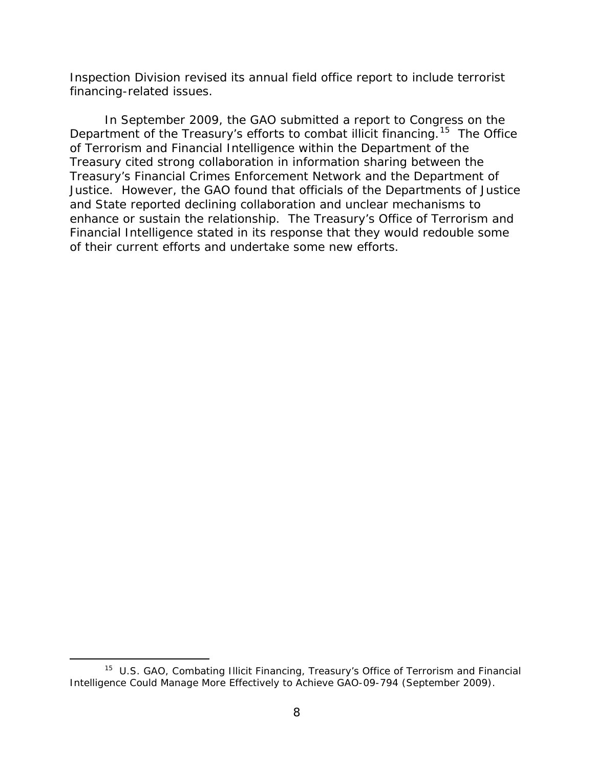Inspection Division revised its annual field office report to include terrorist financing-related issues.

Department of the Treasury's efforts to combat illicit financing.<sup>15</sup> The Office In September 2009, the GAO submitted a report to Congress on the of Terrorism and Financial Intelligence within the Department of the Treasury cited strong collaboration in information sharing between the Treasury's Financial Crimes Enforcement Network and the Department of Justice. However, the GAO found that officials of the Departments of Justice and State reported declining collaboration and unclear mechanisms to enhance or sustain the relationship. The Treasury's Office of Terrorism and Financial Intelligence stated in its response that they would redouble some of their current efforts and undertake some new efforts.

 $\overline{a}$ 

<span id="page-13-0"></span> [15](#page-58-0) U.S. GAO, *Combating Illicit Financing, Treasury's Office of Terrorism and Financial Intelligence Could Manage More Effectively to Achieve* GAO-09-794 *(*September 2009).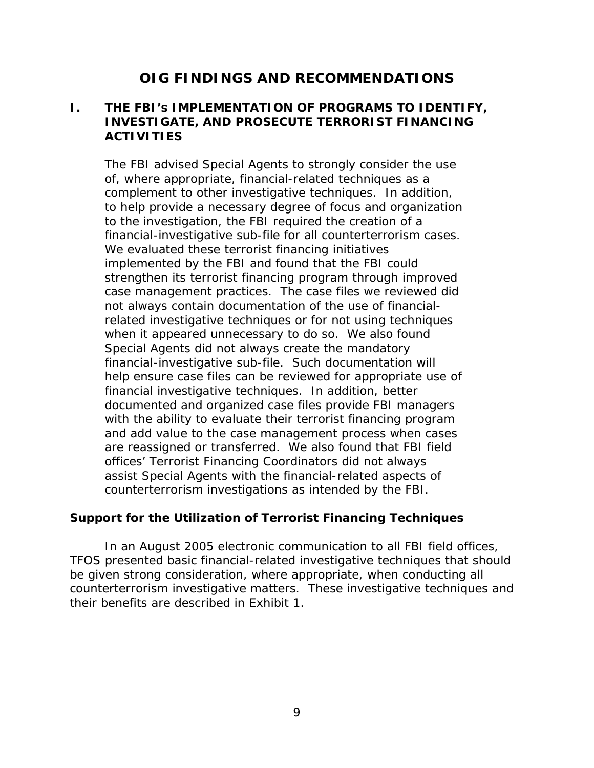# **OIG FINDINGS AND RECOMMENDATIONS**

### <span id="page-14-0"></span>**I. THE FBI's IMPLEMENTATION OF PROGRAMS TO IDENTIFY, INVESTIGATE, AND PROSECUTE TERRORIST FINANCING ACTIVITIES**

 complement to other investigative techniques. In addition, financial-investigative sub-file for all counterterrorism cases.<br>We evaluated these terrorist financing initiatives when it appeared unnecessary to do so. We also found financial-investigative sub-file. Such documentation will are reassigned or transferred. We also found that FBI field offices' Terrorist Financing Coordinators did not always counterterrorism investigations as intended by the FBI. The FBI advised Special Agents to strongly consider the use of, where appropriate, financial-related techniques as a to help provide a necessary degree of focus and organization to the investigation, the FBI required the creation of a implemented by the FBI and found that the FBI could strengthen its terrorist financing program through improved case management practices. The case files we reviewed did not always contain documentation of the use of financialrelated investigative techniques or for not using techniques Special Agents did not always create the mandatory help ensure case files can be reviewed for appropriate use of financial investigative techniques. In addition, better documented and organized case files provide FBI managers with the ability to evaluate their terrorist financing program and add value to the case management process when cases assist Special Agents with the financial-related aspects of

### **Support for the Utilization of Terrorist Financing Techniques**

 In an August 2005 electronic communication to all FBI field offices, be given strong consideration, where appropriate, when conducting all counterterrorism investigative matters. These investigative techniques and TFOS presented basic financial-related investigative techniques that should their benefits are described in Exhibit 1.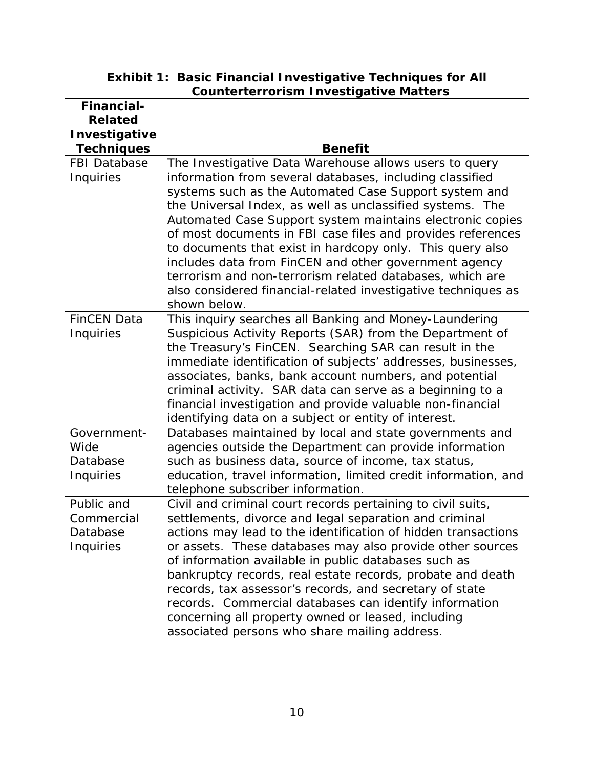**Exhibit 1: Basic Financial Investigative Techniques for All Counterterrorism Investigative Matters** 

| <b>Financial-</b>   |                                                                |
|---------------------|----------------------------------------------------------------|
| <b>Related</b>      |                                                                |
| Investigative       |                                                                |
| <b>Techniques</b>   | <b>Benefit</b>                                                 |
| <b>FBI Database</b> | The Investigative Data Warehouse allows users to query         |
| Inquiries           | information from several databases, including classified       |
|                     | systems such as the Automated Case Support system and          |
|                     | the Universal Index, as well as unclassified systems. The      |
|                     | Automated Case Support system maintains electronic copies      |
|                     | of most documents in FBI case files and provides references    |
|                     | to documents that exist in hardcopy only. This query also      |
|                     | includes data from FinCEN and other government agency          |
|                     | terrorism and non-terrorism related databases, which are       |
|                     | also considered financial-related investigative techniques as  |
|                     | shown below.                                                   |
| <b>FinCEN Data</b>  | This inquiry searches all Banking and Money-Laundering         |
| Inquiries           | Suspicious Activity Reports (SAR) from the Department of       |
|                     | the Treasury's FinCEN. Searching SAR can result in the         |
|                     | immediate identification of subjects' addresses, businesses,   |
|                     | associates, banks, bank account numbers, and potential         |
|                     | criminal activity. SAR data can serve as a beginning to a      |
|                     | financial investigation and provide valuable non-financial     |
|                     | identifying data on a subject or entity of interest.           |
| Government-         | Databases maintained by local and state governments and        |
| Wide                | agencies outside the Department can provide information        |
| Database            | such as business data, source of income, tax status,           |
| Inquiries           | education, travel information, limited credit information, and |
|                     | telephone subscriber information.                              |
| Public and          | Civil and criminal court records pertaining to civil suits,    |
| Commercial          | settlements, divorce and legal separation and criminal         |
| Database            | actions may lead to the identification of hidden transactions  |
| Inquiries           | or assets. These databases may also provide other sources      |
|                     | of information available in public databases such as           |
|                     | bankruptcy records, real estate records, probate and death     |
|                     | records, tax assessor's records, and secretary of state        |
|                     | records. Commercial databases can identify information         |
|                     | concerning all property owned or leased, including             |
|                     | associated persons who share mailing address.                  |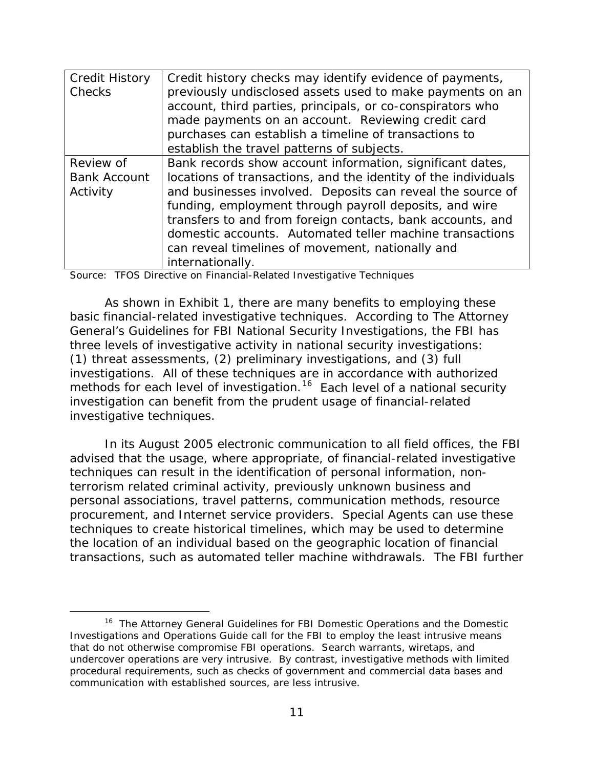| <b>Credit History</b><br>Checks  | Credit history checks may identify evidence of payments,<br>previously undisclosed assets used to make payments on an<br>account, third parties, principals, or co-conspirators who<br>made payments on an account. Reviewing credit card |
|----------------------------------|-------------------------------------------------------------------------------------------------------------------------------------------------------------------------------------------------------------------------------------------|
|                                  | purchases can establish a timeline of transactions to                                                                                                                                                                                     |
|                                  | establish the travel patterns of subjects.                                                                                                                                                                                                |
| Review of<br><b>Bank Account</b> | Bank records show account information, significant dates,<br>locations of transactions, and the identity of the individuals                                                                                                               |
| Activity                         | and businesses involved. Deposits can reveal the source of<br>funding, employment through payroll deposits, and wire                                                                                                                      |
|                                  | transfers to and from foreign contacts, bank accounts, and                                                                                                                                                                                |
|                                  | domestic accounts. Automated teller machine transactions<br>can reveal timelines of movement, nationally and                                                                                                                              |
|                                  | internationally.                                                                                                                                                                                                                          |

Source: TFOS Directive on Financial-Related Investigative Techniques

 three levels of investigative activity in national security investigations: investigations. All of these techniques are in accordance with authorized methods for each level of investigation.<sup>16</sup> Each level of a national security As shown in Exhibit 1, there are many benefits to employing these basic financial-related investigative techniques. According to *The Attorney General's Guidelines for FBI National Security Investigations*, the FBI has (1) threat assessments, (2) preliminary investigations, and (3) full investigation can benefit from the prudent usage of financial-related investigative techniques.

 In its August 2005 electronic communication to all field offices, the FBI procurement, and Internet service providers. Special Agents can use these advised that the usage, where appropriate, of financial-related investigative techniques can result in the identification of personal information, nonterrorism related criminal activity, previously unknown business and personal associations, travel patterns, communication methods, resource techniques to create historical timelines, which may be used to determine the location of an individual based on the geographic location of financial transactions, such as automated teller machine withdrawals. The FBI further

<span id="page-16-0"></span>l <sup>[16](#page-58-0)</sup> The Attorney General Guidelines for FBI Domestic Operations and the Domestic Investigations and Operations Guide call for the FBI to employ the least intrusive means that do not otherwise compromise FBI operations. Search warrants, wiretaps, and undercover operations are very intrusive. By contrast, investigative methods with limited procedural requirements, such as checks of government and commercial data bases and communication with established sources, are less intrusive.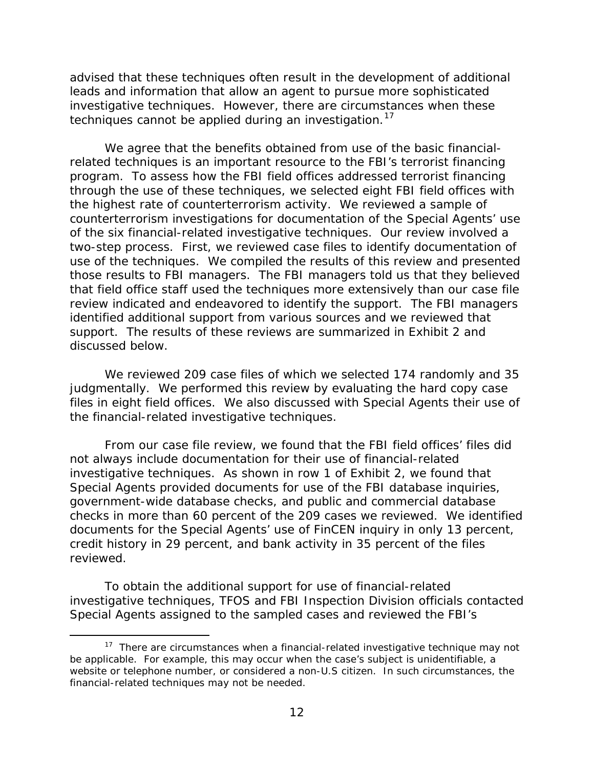advised that these techniques often result in the development of additional leads and information that allow an agent to pursue more sophisticated investigative techniques. However, there are circumstances when these techniques cannot be applied during an investigation.<sup>17</sup>

 We agree that the benefits obtained from use of the basic financial- program. To assess how the FBI field offices addressed terrorist financing of the six financial-related investigative techniques. Our review involved a those results to FBI managers. The FBI managers told us that they believed discussed below. related techniques is an important resource to the FBI's terrorist financing through the use of these techniques, we selected eight FBI field offices with the highest rate of counterterrorism activity. We reviewed a sample of counterterrorism investigations for documentation of the Special Agents' use two-step process. First, we reviewed case files to identify documentation of use of the techniques. We compiled the results of this review and presented that field office staff used the techniques more extensively than our case file review indicated and endeavored to identify the support. The FBI managers identified additional support from various sources and we reviewed that support. The results of these reviews are summarized in Exhibit 2 and

the financial-related investigative techniques. We reviewed 209 case files of which we selected 174 randomly and 35 judgmentally. We performed this review by evaluating the hard copy case files in eight field offices. We also discussed with Special Agents their use of

the financial-related investigative techniques.<br>From our case file review, we found that the FBI field offices' files did not always include documentation for their use of financial-related documents for the Special Agents' use of FinCEN inquiry in only 13 percent, reviewed. investigative techniques. As shown in row 1 of Exhibit 2, we found that Special Agents provided documents for use of the FBI database inquiries, government-wide database checks, and public and commercial database checks in more than 60 percent of the 209 cases we reviewed. We identified credit history in 29 percent, and bank activity in 35 percent of the files

 investigative techniques, TFOS and FBI Inspection Division officials contacted To obtain the additional support for use of financial-related Special Agents assigned to the sampled cases and reviewed the FBI's

-

<span id="page-17-0"></span> $17$  There are circumstances when a financial-related investigative technique may not be applicable. For example, this may occur when the case's subject is unidentifiable, a website or telephone number, or considered a non-U.S citizen. In such circumstances, the financial-related techniques may not be needed.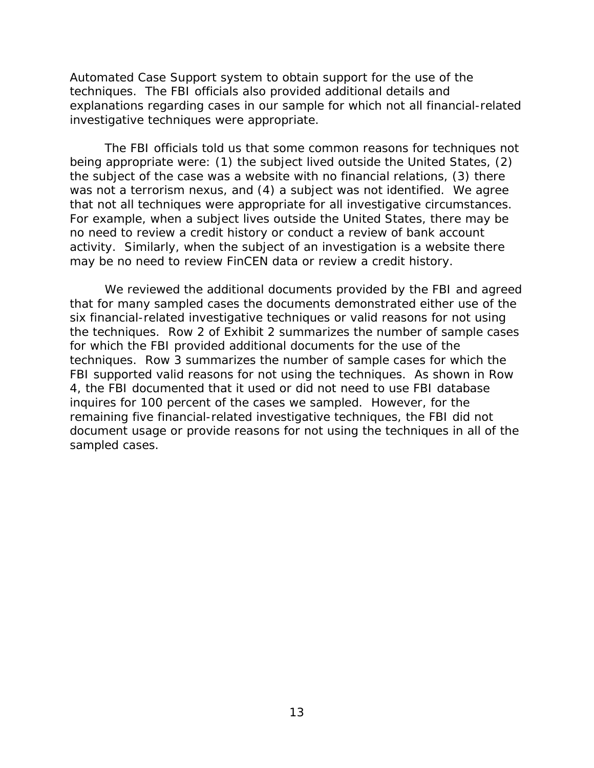techniques. The FBI officials also provided additional details and investigative techniques were appropriate. Automated Case Support system to obtain support for the use of the explanations regarding cases in our sample for which not all financial-related

 investigative techniques were appropriate. The FBI officials told us that some common reasons for techniques not was not a terrorism nexus, and (4) a subject was not identified. We agree being appropriate were: (1) the subject lived outside the United States, (2) the subject of the case was a website with no financial relations, (3) there that not all techniques were appropriate for all investigative circumstances. For example, when a subject lives outside the United States, there may be no need to review a credit history or conduct a review of bank account activity. Similarly, when the subject of an investigation is a website there may be no need to review FinCEN data or review a credit history.

 document usage or provide reasons for not using the techniques in all of the We reviewed the additional documents provided by the FBI and agreed that for many sampled cases the documents demonstrated either use of the six financial-related investigative techniques or valid reasons for not using the techniques. Row 2 of Exhibit 2 summarizes the number of sample cases for which the FBI provided additional documents for the use of the techniques. Row 3 summarizes the number of sample cases for which the FBI supported valid reasons for not using the techniques. As shown in Row 4, the FBI documented that it used or did not need to use FBI database inquires for 100 percent of the cases we sampled. However, for the remaining five financial-related investigative techniques, the FBI did not sampled cases.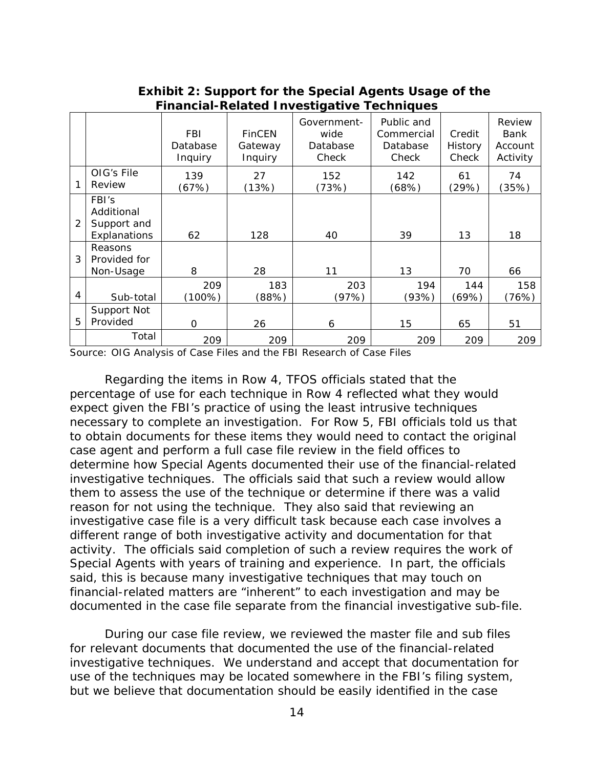|                |                                                    | <b>FBI</b><br>Database<br>Inquiry | <b>FinCEN</b><br>Gateway<br>Inquiry | Government-<br>wide<br>Database<br>Check | Public and<br>Commercial<br>Database<br>Check | Credit<br><b>History</b><br>Check | Review<br>Bank<br>Account<br>Activity |
|----------------|----------------------------------------------------|-----------------------------------|-------------------------------------|------------------------------------------|-----------------------------------------------|-----------------------------------|---------------------------------------|
|                | OIG's File<br>Review                               | 139<br>(67%)                      | 27<br>(13%)                         | 152<br>(73%)                             | 142<br>(68%)                                  | 61<br>(29%)                       | 74<br>(35%)                           |
| $\overline{2}$ | FBI's<br>Additional<br>Support and<br>Explanations | 62                                | 128                                 | 40                                       | 39                                            | 13                                | 18                                    |
| 3              | Reasons<br>Provided for<br>Non-Usage               | 8                                 | 28                                  | 11                                       | 13                                            | 70                                | 66                                    |
| 4              | Sub-total                                          | 209<br>$(100\%)$                  | 183<br>(88%)                        | 203<br>(97%)                             | 194<br>(93%)                                  | 144<br>(69%)                      | 158<br>(76%)                          |
| 5              | Support Not<br>Provided                            | $\Omega$                          | 26                                  | 6                                        | 15                                            | 65                                | 51                                    |
|                | Total                                              | 209                               | 209                                 | 209                                      | 209                                           | 209                               | 209                                   |

 **Exhibit 2: Support for the Special Agents Usage of the Financial-Related Investigative Techniques** 

Source: OIG Analysis of Case Files and the FBI Research of Case Files

 Regarding the items in Row 4, TFOS officials stated that the reason for not using the technique. They also said that reviewing an percentage of use for each technique in Row 4 reflected what they would expect given the FBI's practice of using the least intrusive techniques necessary to complete an investigation. For Row 5, FBI officials told us that to obtain documents for these items they would need to contact the original case agent and perform a full case file review in the field offices to determine how Special Agents documented their use of the financial-related investigative techniques. The officials said that such a review would allow them to assess the use of the technique or determine if there was a valid investigative case file is a very difficult task because each case involves a different range of both investigative activity and documentation for that activity. The officials said completion of such a review requires the work of Special Agents with years of training and experience. In part, the officials said, this is because many investigative techniques that may touch on financial-related matters are "inherent" to each investigation and may be documented in the case file separate from the financial investigative sub-file.

 investigative techniques. We understand and accept that documentation for During our case file review, we reviewed the master file and sub files for relevant documents that documented the use of the financial-related use of the techniques may be located somewhere in the FBI's filing system, but we believe that documentation should be easily identified in the case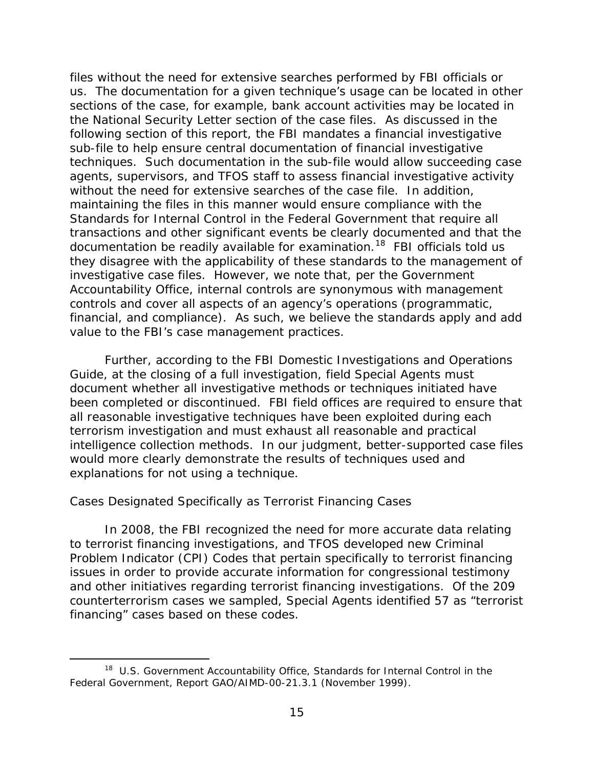<span id="page-20-0"></span> us. The documentation for a given technique's usage can be located in other sections of the case, for example, bank account activities may be located in the National Security Letter section of the case files. As discussed in the following section of this report, the FBI mandates a financial investigative without the need for extensive searches of the case file. In addition, Standards for Internal Control in the Federal Government that require all documentation be readily available for examination.<sup>[18](#page-20-1)</sup> FBI officials told us Accountability Office, internal controls are synonymous with management financial, and compliance). As such, we believe the standards apply and add files without the need for extensive searches performed by FBI officials or sub-file to help ensure central documentation of financial investigative techniques. Such documentation in the sub-file would allow succeeding case agents, supervisors, and TFOS staff to assess financial investigative activity maintaining the files in this manner would ensure compliance with the transactions and other significant events be clearly documented and that the they disagree with the applicability of these standards to the management of investigative case files. However, we note that, per the Government controls and cover all aspects of an agency's operations (programmatic, value to the FBI's case management practices.

 document whether all investigative methods or techniques initiated have been completed or discontinued. FBI field offices are required to ensure that intelligence collection methods. In our judgment, better-supported case files would more clearly demonstrate the results of techniques used and Further, according to the FBI Domestic Investigations and Operations Guide, at the closing of a full investigation, field Special Agents must all reasonable investigative techniques have been exploited during each terrorism investigation and must exhaust all reasonable and practical explanations for not using a technique.

### *Cases Designated Specifically as Terrorist Financing Cases*

 $\overline{a}$ 

 issues in order to provide accurate information for congressional testimony In 2008, the FBI recognized the need for more accurate data relating to terrorist financing investigations, and TFOS developed new Criminal Problem Indicator (CPI) Codes that pertain specifically to terrorist financing and other initiatives regarding terrorist financing investigations. Of the 209 counterterrorism cases we sampled, Special Agents identified 57 as "terrorist financing" cases based on these codes.

<span id="page-20-1"></span> [18](#page-58-0) U.S. Government Accountability Office, *Standards for Internal Control in the Federal Government*, Report GAO/AIMD-00-21.3.1 (November 1999). 15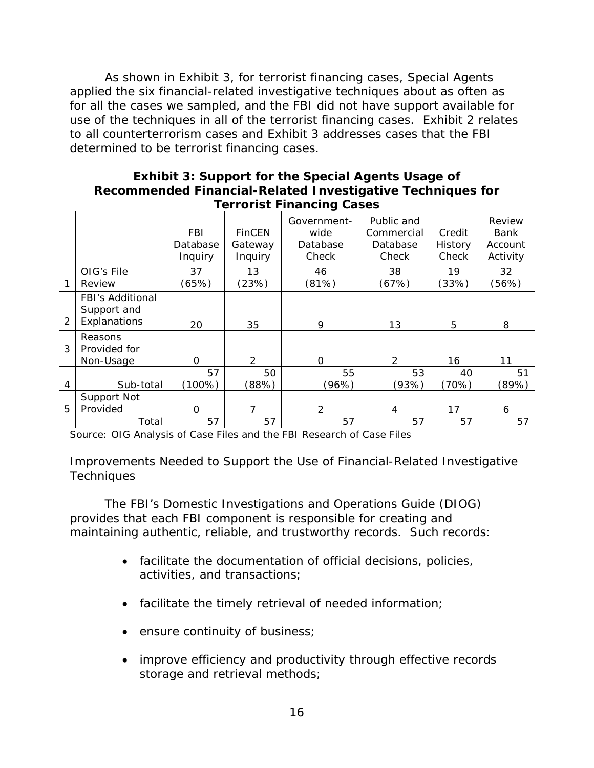use of the techniques in all of the terrorist financing cases. Exhibit 2 relates As shown in Exhibit 3, for terrorist financing cases, Special Agents applied the six financial-related investigative techniques about as often as for all the cases we sampled, and the FBI did not have support available for to all counterterrorism cases and Exhibit 3 addresses cases that the FBI determined to be terrorist financing cases.

#### **Exhibit 3: Support for the Special Agents Usage of Recommended Financial-Related Investigative Techniques for Terrorist Financing Cases**

|                |                                                        | <b>FBI</b><br>Database<br>Inquiry | <b>FinCEN</b><br>Gateway<br>Inquiry | Government-<br>wide<br>Database<br>Check | Public and<br>Commercial<br>Database<br>Check | Credit<br>History<br>Check | Review<br><b>Bank</b><br>Account<br>Activity |
|----------------|--------------------------------------------------------|-----------------------------------|-------------------------------------|------------------------------------------|-----------------------------------------------|----------------------------|----------------------------------------------|
|                | OIG's File<br>Review                                   | 37<br>(65%)                       | 13<br>(23%)                         | 46<br>(81%)                              | 38<br>(67%)                                   | 19<br>(33%)                | 32<br>(56%)                                  |
| $\overline{2}$ | <b>FBI's Additional</b><br>Support and<br>Explanations | 20                                | 35                                  | 9                                        | 13                                            | 5                          | 8                                            |
| 3              | Reasons<br>Provided for<br>Non-Usage                   | $\Omega$                          | 2                                   | $\Omega$                                 | $\overline{2}$                                | 16                         | 11                                           |
|                |                                                        | 57                                | 50                                  | 55                                       | 53                                            | 40                         | 51                                           |
| 4              | Sub-total                                              | $(100\%)$                         | (88%)                               | (96%)                                    | (93%)                                         | (70%)                      | (89%)                                        |
|                | Support Not                                            |                                   |                                     |                                          |                                               |                            |                                              |
| 5              | Provided                                               | $\Omega$                          | 7                                   | $\mathcal{P}$                            | 4                                             | 17                         | 6                                            |
|                | Total                                                  | 57                                | 57                                  | 57                                       | 57                                            | 57                         | 57                                           |

Source: OIG Analysis of Case Files and the FBI Research of Case Files

### *Improvements Needed to Support the Use of Financial-Related Investigative Techniques*

The FBI's Domestic Investigations and Operations Guide (DIOG) provides that each FBI component is responsible for creating and maintaining authentic, reliable, and trustworthy records. Such records:

- facilitate the documentation of official decisions, policies, activities, and transactions;
- facilitate the timely retrieval of needed information;
- ensure continuity of business;
- improve efficiency and productivity through effective records storage and retrieval methods;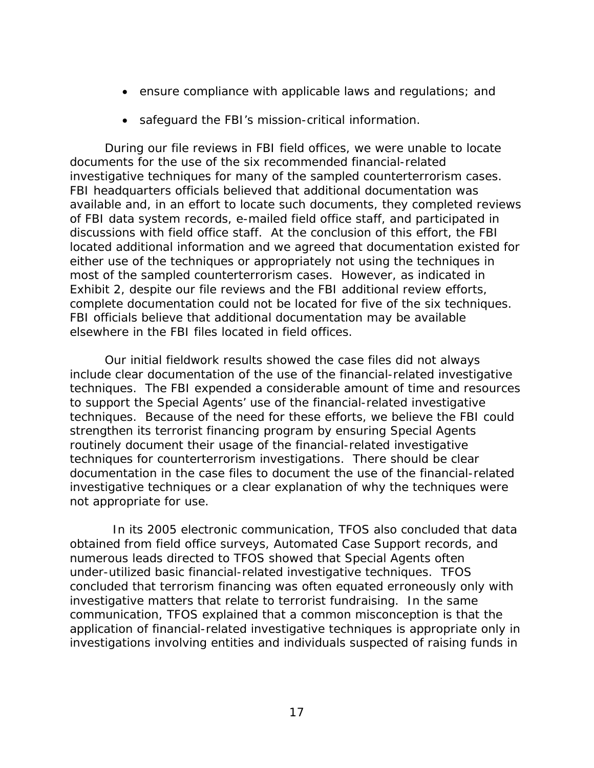- ensure compliance with applicable laws and regulations; and
- safeguard the FBI's mission-critical information.

 documents for the use of the six recommended financial-related investigative techniques for many of the sampled counterterrorism cases. discussions with field office staff. At the conclusion of this effort, the FBI most of the sampled counterterrorism cases. However, as indicated in complete documentation could not be located for five of the six techniques. During our file reviews in FBI field offices, we were unable to locate FBI headquarters officials believed that additional documentation was available and, in an effort to locate such documents, they completed reviews of FBI data system records, e-mailed field office staff, and participated in located additional information and we agreed that documentation existed for either use of the techniques or appropriately not using the techniques in Exhibit 2, despite our file reviews and the FBI additional review efforts, FBI officials believe that additional documentation may be available elsewhere in the FBI files located in field offices.

 routinely document their usage of the financial-related investigative Our initial fieldwork results showed the case files did not always include clear documentation of the use of the financial-related investigative techniques. The FBI expended a considerable amount of time and resources to support the Special Agents' use of the financial-related investigative techniques. Because of the need for these efforts, we believe the FBI could strengthen its terrorist financing program by ensuring Special Agents techniques for counterterrorism investigations. There should be clear documentation in the case files to document the use of the financial-related investigative techniques or a clear explanation of why the techniques were not appropriate for use.

 numerous leads directed to TFOS showed that Special Agents often communication, TFOS explained that a common misconception is that the application of financial-related investigative techniques is appropriate only in In its 2005 electronic communication, TFOS also concluded that data obtained from field office surveys, Automated Case Support records, and under-utilized basic financial-related investigative techniques. TFOS concluded that terrorism financing was often equated erroneously only with investigative matters that relate to terrorist fundraising. In the same investigations involving entities and individuals suspected of raising funds in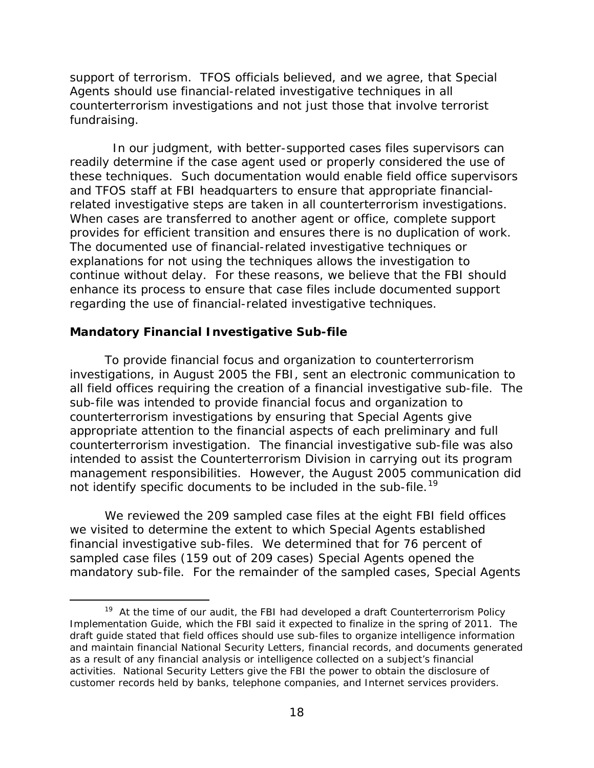<span id="page-23-0"></span> support of terrorism. TFOS officials believed, and we agree, that Special Agents should use financial-related investigative techniques in all counterterrorism investigations and not just those that involve terrorist fundraising.

 readily determine if the case agent used or properly considered the use of these techniques. Such documentation would enable field office supervisors In our judgment, with better-supported cases files supervisors can and TFOS staff at FBI headquarters to ensure that appropriate financialrelated investigative steps are taken in all counterterrorism investigations. When cases are transferred to another agent or office, complete support provides for efficient transition and ensures there is no duplication of work. The documented use of financial-related investigative techniques or explanations for not using the techniques allows the investigation to continue without delay. For these reasons, we believe that the FBI should enhance its process to ensure that case files include documented support regarding the use of financial-related investigative techniques.

### **Mandatory Financial Investigative Sub-file**

 $\overline{a}$ 

 investigations, in August 2005 the FBI, sent an electronic communication to counterterrorism investigation. The financial investigative sub-file was also not identify specific documents to be included in the sub-file.<sup>19</sup> To provide financial focus and organization to counterterrorism all field offices requiring the creation of a financial investigative sub-file. The sub-file was intended to provide financial focus and organization to counterterrorism investigations by ensuring that Special Agents give appropriate attention to the financial aspects of each preliminary and full intended to assist the Counterterrorism Division in carrying out its program management responsibilities. However, the August 2005 communication did

We reviewed the 209 sampled case files at the eight FBI field offices we visited to determine the extent to which Special Agents established financial investigative sub-files. We determined that for 76 percent of sampled case files (159 out of 209 cases) Special Agents opened the mandatory sub-file. For the remainder of the sampled cases, Special Agents

<span id="page-23-1"></span><sup>&</sup>lt;sup>[19](#page-58-0)</sup> At the time of our audit, the FBI had developed a draft Counterterrorism Policy Implementation Guide, which the FBI said it expected to finalize in the spring of 2011. The draft guide stated that field offices should use sub-files to organize intelligence information and maintain financial National Security Letters, financial records, and documents generated as a result of any financial analysis or intelligence collected on a subject's financial activities. National Security Letters give the FBI the power to obtain the disclosure of customer records held by banks, telephone companies, and Internet services providers.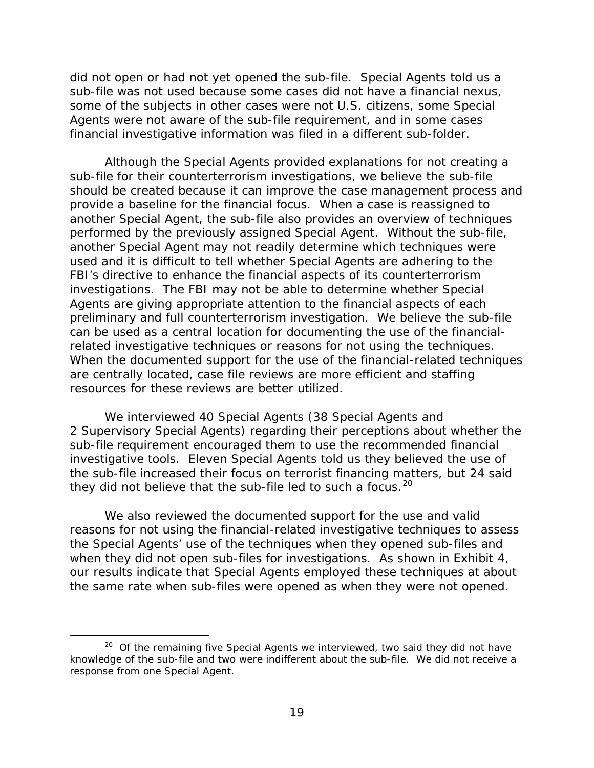some of the subjects in other cases were not U.S. citizens, some Special financial investigative information was filed in a different sub-folder. did not open or had not yet opened the sub-file. Special Agents told us a sub-file was not used because some cases did not have a financial nexus, Agents were not aware of the sub-file requirement, and in some cases

 Although the Special Agents provided explanations for not creating a performed by the previously assigned Special Agent. Without the sub-file, Agents are giving appropriate attention to the financial aspects of each preliminary and full counterterrorism investigation. We believe the sub-file When the documented support for the use of the financial-related techniques sub-file for their counterterrorism investigations, we believe the sub-file should be created because it can improve the case management process and provide a baseline for the financial focus. When a case is reassigned to another Special Agent, the sub-file also provides an overview of techniques another Special Agent may not readily determine which techniques were used and it is difficult to tell whether Special Agents are adhering to the FBI's directive to enhance the financial aspects of its counterterrorism investigations. The FBI may not be able to determine whether Special can be used as a central location for documenting the use of the financialrelated investigative techniques or reasons for not using the techniques. are centrally located, case file reviews are more efficient and staffing resources for these reviews are better utilized.

they did not believe that the sub-file led to such a focus. $^{20}$ We interviewed 40 Special Agents (38 Special Agents and 2 Supervisory Special Agents) regarding their perceptions about whether the sub-file requirement encouraged them to use the recommended financial investigative tools. Eleven Special Agents told us they believed the use of the sub-file increased their focus on terrorist financing matters, but 24 said

We also reviewed the documented support for the use and valid reasons for not using the financial-related investigative techniques to assess the Special Agents' use of the techniques when they opened sub-files and when they did not open sub-files for investigations. As shown in Exhibit 4, our results indicate that Special Agents employed these techniques at about the same rate when sub-files were opened as when they were not opened.

 $\overline{a}$ 

<span id="page-24-0"></span><sup>&</sup>lt;sup>[20](#page-58-0)</sup> Of the remaining five Special Agents we interviewed, two said they did not have knowledge of the sub-file and two were indifferent about the sub-file. We did not receive a response from one Special Agent.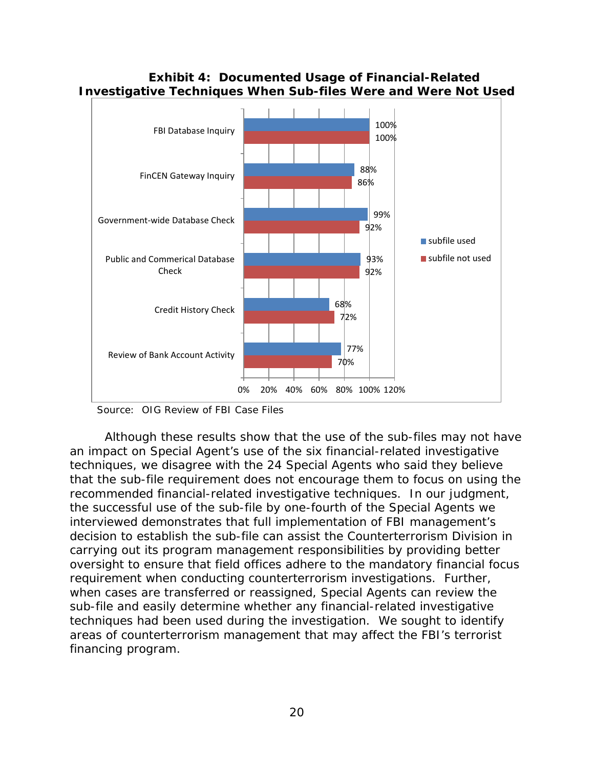### **Exhibit 4: Documented Usage of Financial-Related Investigative Techniques When Sub-files Were and Were Not Used**



Source: OIG Review of FBI Case Files

 decision to establish the sub-file can assist the Counterterrorism Division in requirement when conducting counterterrorism investigations. Further, techniques had been used during the investigation. We sought to identify Although these results show that the use of the sub-files may not have an impact on Special Agent's use of the six financial-related investigative techniques, we disagree with the 24 Special Agents who said they believe that the sub-file requirement does not encourage them to focus on using the recommended financial-related investigative techniques. In our judgment, the successful use of the sub-file by one-fourth of the Special Agents we interviewed demonstrates that full implementation of FBI management's carrying out its program management responsibilities by providing better oversight to ensure that field offices adhere to the mandatory financial focus when cases are transferred or reassigned, Special Agents can review the sub-file and easily determine whether any financial-related investigative areas of counterterrorism management that may affect the FBI's terrorist financing program.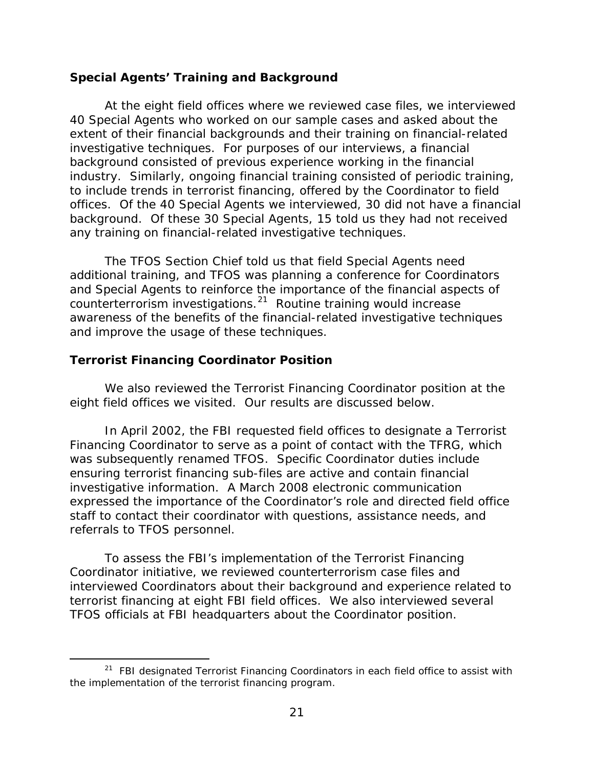### <span id="page-26-0"></span>**Special Agents' Training and Background**

 40 Special Agents who worked on our sample cases and asked about the to include trends in terrorist financing, offered by the Coordinator to field At the eight field offices where we reviewed case files, we interviewed extent of their financial backgrounds and their training on financial-related investigative techniques. For purposes of our interviews, a financial background consisted of previous experience working in the financial industry. Similarly, ongoing financial training consisted of periodic training, offices. Of the 40 Special Agents we interviewed, 30 did not have a financial background. Of these 30 Special Agents, 15 told us they had not received any training on financial-related investigative techniques.

counterterrorism investigations.<sup>[21](#page-26-1)</sup> Routine training would increase The TFOS Section Chief told us that field Special Agents need additional training, and TFOS was planning a conference for Coordinators and Special Agents to reinforce the importance of the financial aspects of awareness of the benefits of the financial-related investigative techniques and improve the usage of these techniques.

### **Terrorist Financing Coordinator Position**

 $\overline{a}$ 

We also reviewed the Terrorist Financing Coordinator position at the eight field offices we visited. Our results are discussed below.

 was subsequently renamed TFOS. Specific Coordinator duties include investigative information. A March 2008 electronic communication referrals to TFOS personnel. In April 2002, the FBI requested field offices to designate a Terrorist Financing Coordinator to serve as a point of contact with the TFRG, which ensuring terrorist financing sub-files are active and contain financial expressed the importance of the Coordinator's role and directed field office staff to contact their coordinator with questions, assistance needs, and

To assess the FBI's implementation of the Terrorist Financing Coordinator initiative, we reviewed counterterrorism case files and interviewed Coordinators about their background and experience related to terrorist financing at eight FBI field offices. We also interviewed several TFOS officials at FBI headquarters about the Coordinator position.

<span id="page-26-1"></span><sup>&</sup>lt;sup>[21](#page-58-0)</sup> FBI designated Terrorist Financing Coordinators in each field office to assist with the implementation of the terrorist financing program.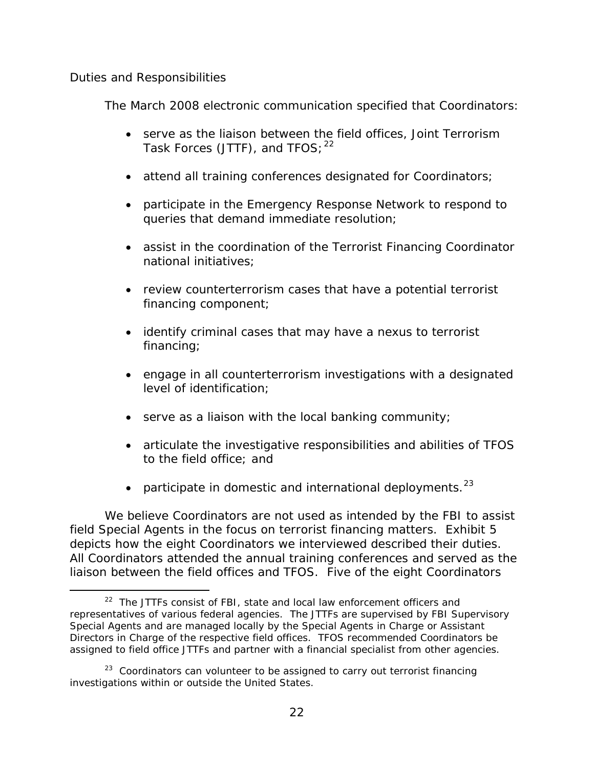### <span id="page-27-0"></span>*Duties and Responsibilities*

Ì,

The March 2008 electronic communication specified that Coordinators:

- serve as the liaison between the field offices, Joint Terrorism Task Forces (JTTF), and  $TFOS;$ <sup>[22](#page-27-1)</sup>
- attend all training conferences designated for Coordinators;
- participate in the Emergency Response Network to respond to queries that demand immediate resolution;
- assist in the coordination of the Terrorist Financing Coordinator national initiatives;
- review counterterrorism cases that have a potential terrorist financing component;
- identify criminal cases that may have a nexus to terrorist financing;
- • engage in all counterterrorism investigations with a designated level of identification;
- serve as a liaison with the local banking community;
- articulate the investigative responsibilities and abilities of TFOS to the field office; and
- participate in domestic and international deployments. $^{23}$

We believe Coordinators are not used as intended by the FBI to assist field Special Agents in the focus on terrorist financing matters. Exhibit 5 depicts how the eight Coordinators we interviewed described their duties. All Coordinators attended the annual training conferences and served as the liaison between the field offices and TFOS. Five of the eight Coordinators

<span id="page-27-1"></span> $22$  The JTTFs consist of FBI, state and local law enforcement officers and representatives of various federal agencies. The JTTFs are supervised by FBI Supervisory Special Agents and are managed locally by the Special Agents in Charge or Assistant Directors in Charge of the respective field offices. TFOS recommended Coordinators be assigned to field office JTTFs and partner with a financial specialist from other agencies.

<span id="page-27-2"></span> $23$  Coordinators can volunteer to be assigned to carry out terrorist financing investigations within or outside the United States.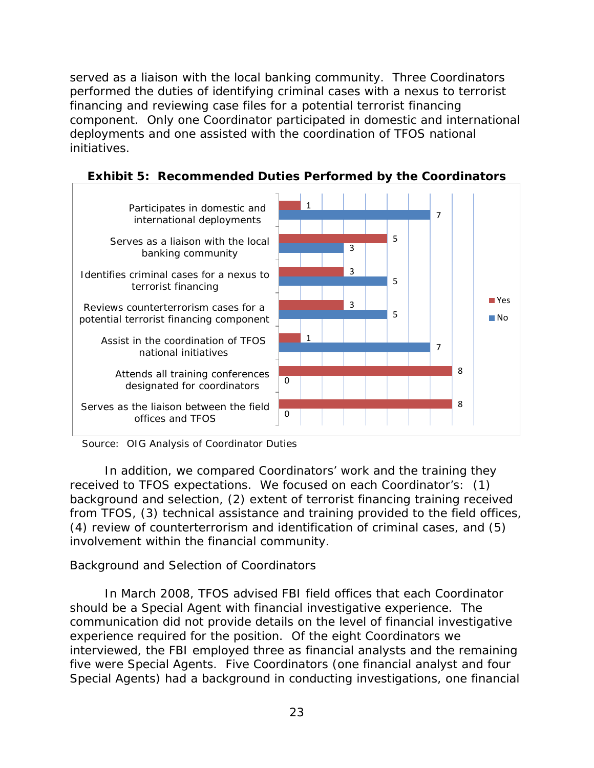<span id="page-28-0"></span> component. Only one Coordinator participated in domestic and international deployments and one assisted with the coordination of TFOS national initiatives. served as a liaison with the local banking community. Three Coordinators performed the duties of identifying criminal cases with a nexus to terrorist financing and reviewing case files for a potential terrorist financing



**Exhibit 5: Recommended Duties Performed by the Coordinators** 

Source: OIG Analysis of Coordinator Duties

 received to TFOS expectations. We focused on each Coordinator's: (1) In addition, we compared Coordinators' work and the training they background and selection, (2) extent of terrorist financing training received from TFOS, (3) technical assistance and training provided to the field offices, (4) review of counterterrorism and identification of criminal cases, and (5) involvement within the financial community.

### *Background and Selection of Coordinators*

 experience required for the position. Of the eight Coordinators we five were Special Agents. Five Coordinators (one financial analyst and four In March 2008, TFOS advised FBI field offices that each Coordinator should be a Special Agent with financial investigative experience. The communication did not provide details on the level of financial investigative interviewed, the FBI employed three as financial analysts and the remaining Special Agents) had a background in conducting investigations, one financial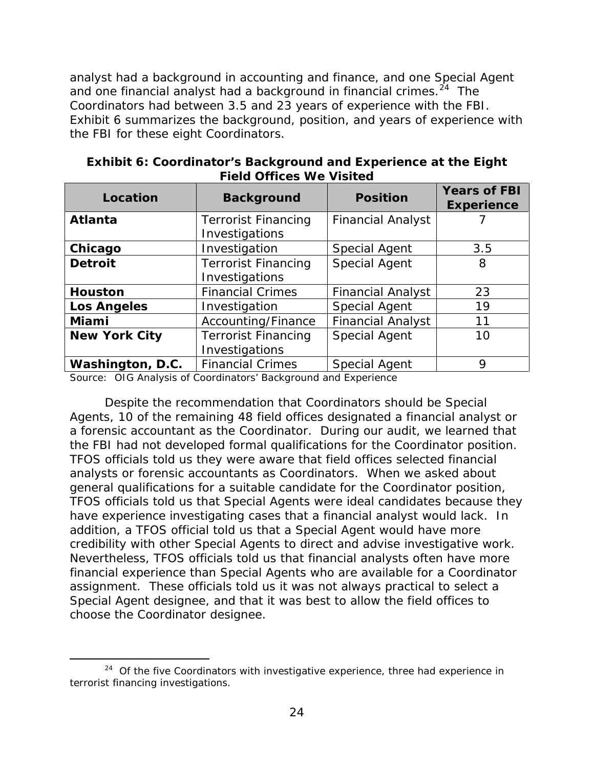analyst had a background in accounting and finance, and one Special Agent and one financial analyst had a background in financial crimes. $^{24}$  $^{24}$  $^{24}$  The Coordinators had between 3.5 and 23 years of experience with the FBI. the FBI for these eight Coordinators. Exhibit 6 summarizes the background, position, and years of experience with

| LIGIU UTILICES WE VISILEU                                      |                                              |                          |                                          |  |
|----------------------------------------------------------------|----------------------------------------------|--------------------------|------------------------------------------|--|
| Location                                                       | <b>Background</b>                            | <b>Position</b>          | <b>Years of FBI</b><br><b>Experience</b> |  |
| <b>Atlanta</b><br><b>Terrorist Financing</b><br>Investigations |                                              | <b>Financial Analyst</b> |                                          |  |
| Chicago                                                        | Investigation                                | <b>Special Agent</b>     | 3.5                                      |  |
| <b>Detroit</b>                                                 | <b>Terrorist Financing</b><br>Investigations | <b>Special Agent</b>     | 8                                        |  |
| <b>Financial Crimes</b><br><b>Houston</b>                      |                                              | <b>Financial Analyst</b> | 23                                       |  |
| <b>Los Angeles</b><br>Investigation                            |                                              | <b>Special Agent</b>     | 19                                       |  |
| Miami                                                          | Accounting/Finance                           | <b>Financial Analyst</b> | 11                                       |  |
| <b>New York City</b>                                           | <b>Terrorist Financing</b><br>Investigations | Special Agent            | 10                                       |  |
| Washington, D.C.                                               | <b>Financial Crimes</b>                      | Special Agent            | 9                                        |  |

**Exhibit 6: Coordinator's Background and Experience at the Eight Field Offices We Visited** 

Source: OIG Analysis of Coordinators' Background and Experience

 Despite the recommendation that Coordinators should be Special the FBI had not developed formal qualifications for the Coordinator position. analysts or forensic accountants as Coordinators. When we asked about choose the Coordinator designee. Agents, 10 of the remaining 48 field offices designated a financial analyst or a forensic accountant as the Coordinator. During our audit, we learned that TFOS officials told us they were aware that field offices selected financial general qualifications for a suitable candidate for the Coordinator position, TFOS officials told us that Special Agents were ideal candidates because they have experience investigating cases that a financial analyst would lack. In addition, a TFOS official told us that a Special Agent would have more credibility with other Special Agents to direct and advise investigative work. Nevertheless, TFOS officials told us that financial analysts often have more financial experience than Special Agents who are available for a Coordinator assignment. These officials told us it was not always practical to select a Special Agent designee, and that it was best to allow the field offices to

<span id="page-29-0"></span><sup>-</sup>choose the Coordinator designee.<br> [24](#page-58-0) Of the five Coordinators with investigative experience, three had experience in terrorist financing investigations.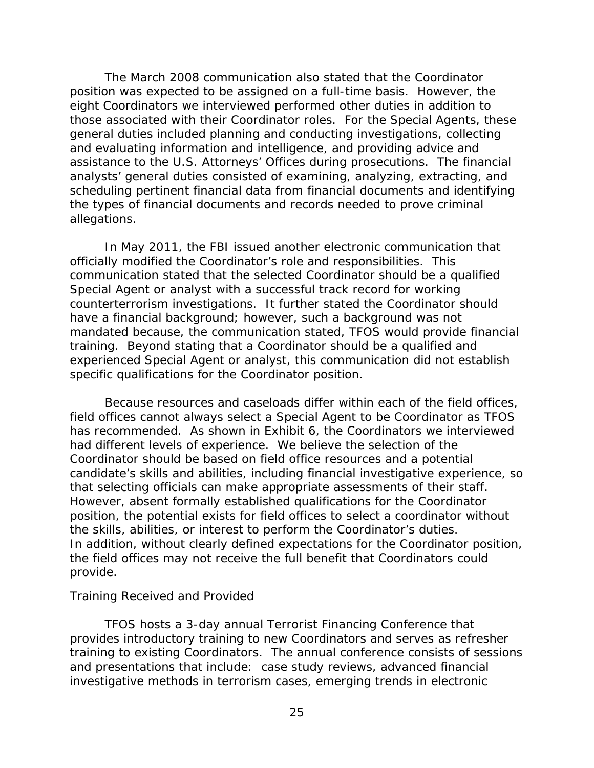<span id="page-30-0"></span> assistance to the U.S. Attorneys' Offices during prosecutions. The financial The March 2008 communication also stated that the Coordinator position was expected to be assigned on a full-time basis. However, the eight Coordinators we interviewed performed other duties in addition to those associated with their Coordinator roles. For the Special Agents, these general duties included planning and conducting investigations, collecting and evaluating information and intelligence, and providing advice and analysts' general duties consisted of examining, analyzing, extracting, and scheduling pertinent financial data from financial documents and identifying the types of financial documents and records needed to prove criminal allegations.

 have a financial background; however, such a background was not experienced Special Agent or analyst, this communication did not establish specific qualifications for the Coordinator position. In May 2011, the FBI issued another electronic communication that officially modified the Coordinator's role and responsibilities. This communication stated that the selected Coordinator should be a qualified Special Agent or analyst with a successful track record for working counterterrorism investigations. It further stated the Coordinator should mandated because, the communication stated, TFOS would provide financial training. Beyond stating that a Coordinator should be a qualified and

that selecting officials can make appropriate assessments of their staff. Because resources and caseloads differ within each of the field offices, field offices cannot always select a Special Agent to be Coordinator as TFOS has recommended. As shown in Exhibit 6, the Coordinators we interviewed had different levels of experience. We believe the selection of the Coordinator should be based on field office resources and a potential candidate's skills and abilities, including financial investigative experience, so However, absent formally established qualifications for the Coordinator position, the potential exists for field offices to select a coordinator without the skills, abilities, or interest to perform the Coordinator's duties. In addition, without clearly defined expectations for the Coordinator position, the field offices may not receive the full benefit that Coordinators could provide.

### *Training Received and Provided*

 provides introductory training to new Coordinators and serves as refresher and presentations that include: case study reviews, advanced financial TFOS hosts a 3-day annual Terrorist Financing Conference that training to existing Coordinators. The annual conference consists of sessions investigative methods in terrorism cases, emerging trends in electronic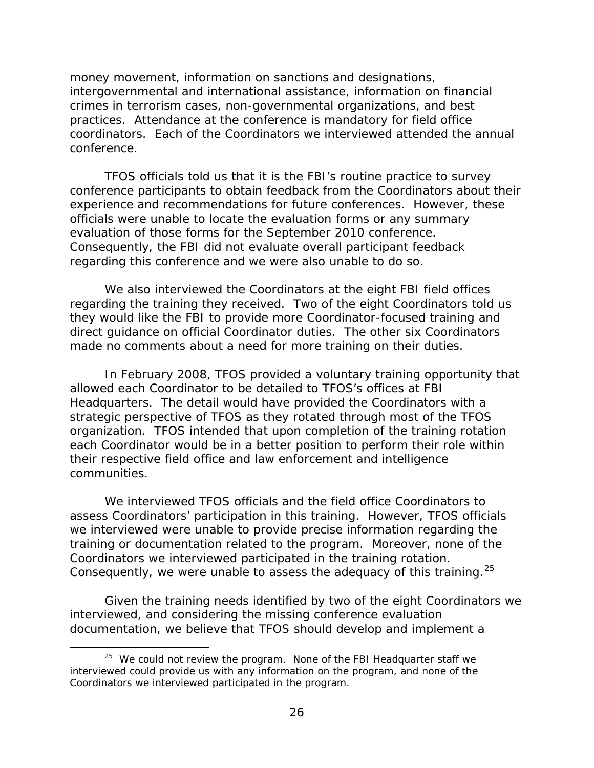crimes in terrorism cases, non-governmental organizations, and best coordinators. Each of the Coordinators we interviewed attended the annual money movement, information on sanctions and designations, intergovernmental and international assistance, information on financial practices. Attendance at the conference is mandatory for field office conference.

 TFOS officials told us that it is the FBI's routine practice to survey evaluation of those forms for the September 2010 conference. regarding this conference and we were also unable to do so. conference participants to obtain feedback from the Coordinators about their experience and recommendations for future conferences. However, these officials were unable to locate the evaluation forms or any summary Consequently, the FBI did not evaluate overall participant feedback

 they would like the FBI to provide more Coordinator-focused training and We also interviewed the Coordinators at the eight FBI field offices regarding the training they received. Two of the eight Coordinators told us direct guidance on official Coordinator duties. The other six Coordinators made no comments about a need for more training on their duties.

 In February 2008, TFOS provided a voluntary training opportunity that communities. allowed each Coordinator to be detailed to TFOS's offices at FBI Headquarters. The detail would have provided the Coordinators with a strategic perspective of TFOS as they rotated through most of the TFOS organization. TFOS intended that upon completion of the training rotation each Coordinator would be in a better position to perform their role within their respective field office and law enforcement and intelligence

Consequently, we were unable to assess the adequacy of this training.  $25$ We interviewed TFOS officials and the field office Coordinators to assess Coordinators' participation in this training. However, TFOS officials we interviewed were unable to provide precise information regarding the training or documentation related to the program. Moreover, none of the Coordinators we interviewed participated in the training rotation.

Given the training needs identified by two of the eight Coordinators we interviewed, and considering the missing conference evaluation documentation, we believe that TFOS should develop and implement a

 $\overline{a}$ 

<span id="page-31-0"></span> $25$  We could not review the program. None of the FBI Headquarter staff we interviewed could provide us with any information on the program, and none of the Coordinators we interviewed participated in the program.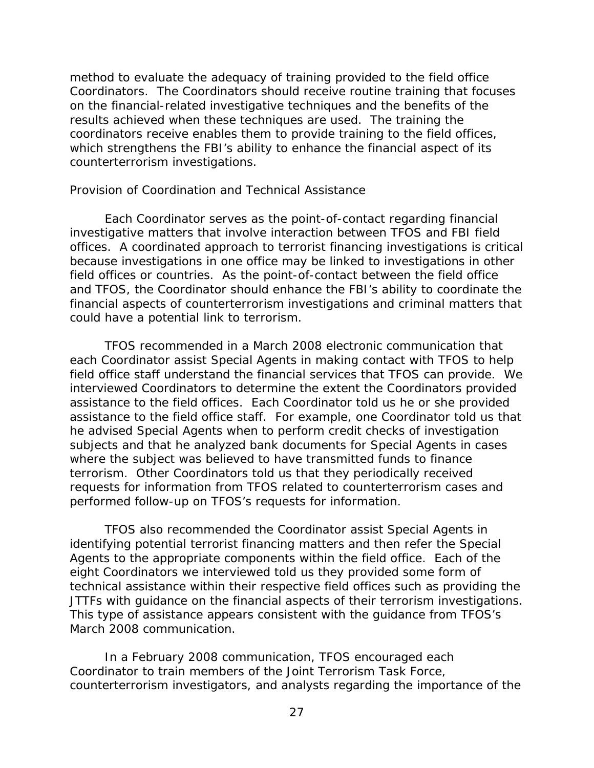<span id="page-32-0"></span> on the financial-related investigative techniques and the benefits of the counterterrorism investigations. method to evaluate the adequacy of training provided to the field office Coordinators. The Coordinators should receive routine training that focuses results achieved when these techniques are used. The training the coordinators receive enables them to provide training to the field offices, which strengthens the FBI's ability to enhance the financial aspect of its

#### *Provision of Coordination and Technical Assistance*

 because investigations in one office may be linked to investigations in other could have a potential link to terrorism. Each Coordinator serves as the point-of-contact regarding financial investigative matters that involve interaction between TFOS and FBI field offices. A coordinated approach to terrorist financing investigations is critical field offices or countries. As the point-of-contact between the field office and TFOS, the Coordinator should enhance the FBI's ability to coordinate the financial aspects of counterterrorism investigations and criminal matters that

 assistance to the field offices. Each Coordinator told us he or she provided assistance to the field office staff. For example, one Coordinator told us that subjects and that he analyzed bank documents for Special Agents in cases where the subject was believed to have transmitted funds to finance performed follow-up on TFOS's requests for information. TFOS recommended in a March 2008 electronic communication that each Coordinator assist Special Agents in making contact with TFOS to help field office staff understand the financial services that TFOS can provide. We interviewed Coordinators to determine the extent the Coordinators provided he advised Special Agents when to perform credit checks of investigation terrorism. Other Coordinators told us that they periodically received requests for information from TFOS related to counterterrorism cases and

 Agents to the appropriate components within the field office. Each of the technical assistance within their respective field offices such as providing the TFOS also recommended the Coordinator assist Special Agents in identifying potential terrorist financing matters and then refer the Special eight Coordinators we interviewed told us they provided some form of JTTFs with guidance on the financial aspects of their terrorism investigations. This type of assistance appears consistent with the guidance from TFOS's March 2008 communication.

 counterterrorism investigators, and analysts regarding the importance of the In a February 2008 communication, TFOS encouraged each Coordinator to train members of the Joint Terrorism Task Force,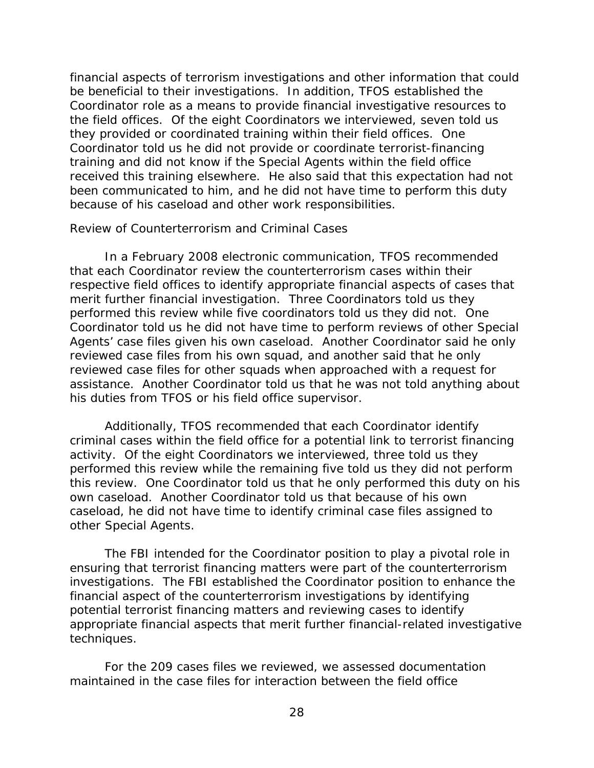<span id="page-33-0"></span> the field offices. Of the eight Coordinators we interviewed, seven told us Coordinator told us he did not provide or coordinate terrorist-financing received this training elsewhere. He also said that this expectation had not because of his caseload and other work responsibilities. financial aspects of terrorism investigations and other information that could be beneficial to their investigations. In addition, TFOS established the Coordinator role as a means to provide financial investigative resources to they provided or coordinated training within their field offices. One training and did not know if the Special Agents within the field office been communicated to him, and he did not have time to perform this duty

#### *Review of Counterterrorism and Criminal Cases*

 performed this review while five coordinators told us they did not. One Coordinator told us he did not have time to perform reviews of other Special his duties from TFOS or his field office supervisor. In a February 2008 electronic communication, TFOS recommended that each Coordinator review the counterterrorism cases within their respective field offices to identify appropriate financial aspects of cases that merit further financial investigation. Three Coordinators told us they Agents' case files given his own caseload. Another Coordinator said he only reviewed case files from his own squad, and another said that he only reviewed case files for other squads when approached with a request for assistance. Another Coordinator told us that he was not told anything about

 activity. Of the eight Coordinators we interviewed, three told us they Additionally, TFOS recommended that each Coordinator identify criminal cases within the field office for a potential link to terrorist financing performed this review while the remaining five told us they did not perform this review. One Coordinator told us that he only performed this duty on his own caseload. Another Coordinator told us that because of his own caseload, he did not have time to identify criminal case files assigned to other Special Agents.

 ensuring that terrorist financing matters were part of the counterterrorism The FBI intended for the Coordinator position to play a pivotal role in investigations. The FBI established the Coordinator position to enhance the financial aspect of the counterterrorism investigations by identifying potential terrorist financing matters and reviewing cases to identify appropriate financial aspects that merit further financial-related investigative techniques.

 maintained in the case files for interaction between the field office For the 209 cases files we reviewed, we assessed documentation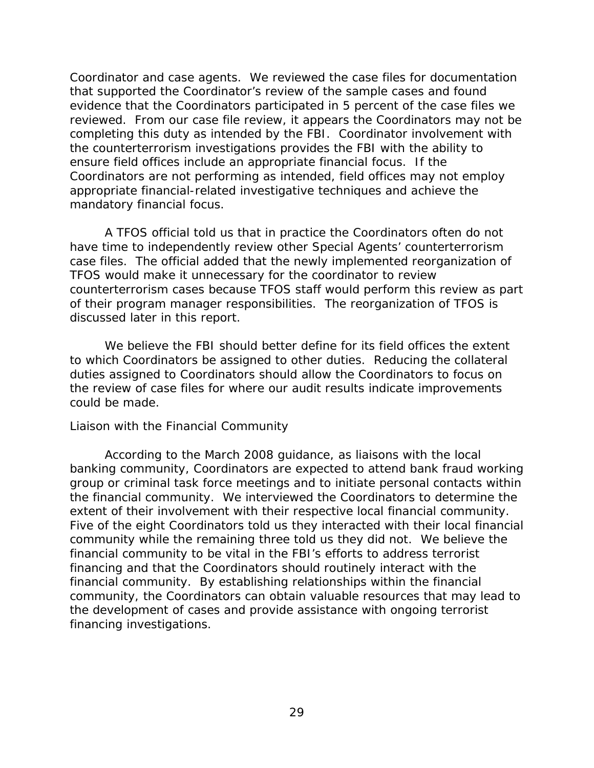<span id="page-34-0"></span> reviewed. From our case file review, it appears the Coordinators may not be ensure field offices include an appropriate financial focus. If the Coordinator and case agents. We reviewed the case files for documentation that supported the Coordinator's review of the sample cases and found evidence that the Coordinators participated in 5 percent of the case files we completing this duty as intended by the FBI. Coordinator involvement with the counterterrorism investigations provides the FBI with the ability to Coordinators are not performing as intended, field offices may not employ appropriate financial-related investigative techniques and achieve the mandatory financial focus.

A TFOS official told us that in practice the Coordinators often do not have time to independently review other Special Agents' counterterrorism case files. The official added that the newly implemented reorganization of TFOS would make it unnecessary for the coordinator to review counterterrorism cases because TFOS staff would perform this review as part of their program manager responsibilities. The reorganization of TFOS is discussed later in this report.

 duties assigned to Coordinators should allow the Coordinators to focus on could be made. We believe the FBI should better define for its field offices the extent to which Coordinators be assigned to other duties. Reducing the collateral the review of case files for where our audit results indicate improvements

### *Liaison with the Financial Community*

 According to the March 2008 guidance, as liaisons with the local financing investigations. banking community, Coordinators are expected to attend bank fraud working group or criminal task force meetings and to initiate personal contacts within the financial community. We interviewed the Coordinators to determine the extent of their involvement with their respective local financial community. Five of the eight Coordinators told us they interacted with their local financial community while the remaining three told us they did not. We believe the financial community to be vital in the FBI's efforts to address terrorist financing and that the Coordinators should routinely interact with the financial community. By establishing relationships within the financial community, the Coordinators can obtain valuable resources that may lead to the development of cases and provide assistance with ongoing terrorist financing investigations.<br>29<br>29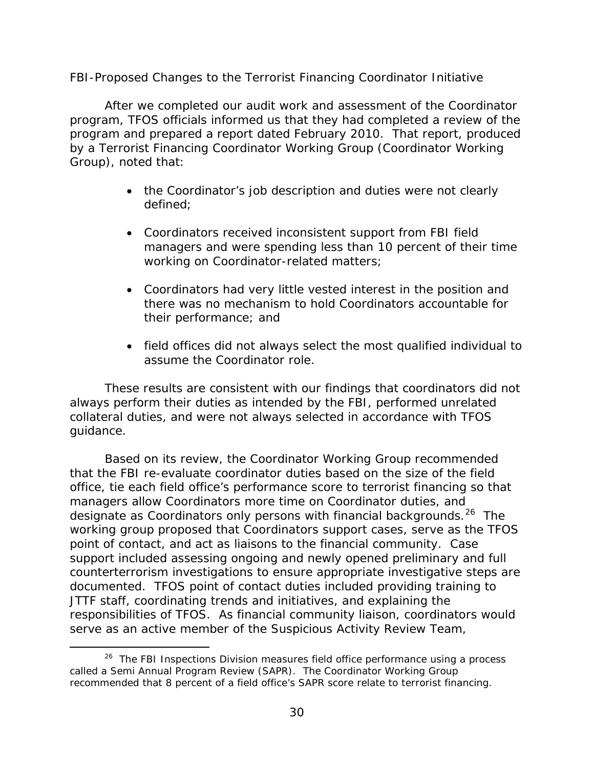### <span id="page-35-0"></span>*FBI-Proposed Changes to the Terrorist Financing Coordinator Initiative*

After we completed our audit work and assessment of the Coordinator program, TFOS officials informed us that they had completed a review of the program and prepared a report dated February 2010. That report, produced by a Terrorist Financing Coordinator Working Group (Coordinator Working Group), noted that:

- the Coordinator's job description and duties were not clearly defined;
- managers and were spending less than 10 percent of their time • Coordinators received inconsistent support from FBI field working on Coordinator-related matters;
- Coordinators had very little vested interest in the position and there was no mechanism to hold Coordinators accountable for their performance; and
- field offices did not always select the most qualified individual to assume the Coordinator role.

guidance. These results are consistent with our findings that coordinators did not always perform their duties as intended by the FBI, performed unrelated collateral duties, and were not always selected in accordance with TFOS

designate as Coordinators only persons with financial backgrounds.<sup>[26](#page-35-1)</sup> The Based on its review, the Coordinator Working Group recommended that the FBI re-evaluate coordinator duties based on the size of the field office, tie each field office's performance score to terrorist financing so that managers allow Coordinators more time on Coordinator duties, and working group proposed that Coordinators support cases, serve as the TFOS point of contact, and act as liaisons to the financial community. Case support included assessing ongoing and newly opened preliminary and full counterterrorism investigations to ensure appropriate investigative steps are documented. TFOS point of contact duties included providing training to JTTF staff, coordinating trends and initiatives, and explaining the responsibilities of TFOS. As financial community liaison, coordinators would serve as an active member of the Suspicious Activity Review Team,

 $\overline{a}$ 

<span id="page-35-1"></span><sup>&</sup>lt;sup>[26](#page-58-0)</sup> The FBI Inspections Division measures field office performance using a process called a Semi Annual Program Review (SAPR). The Coordinator Working Group recommended that 8 percent of a field office's SAPR score relate to terrorist financing.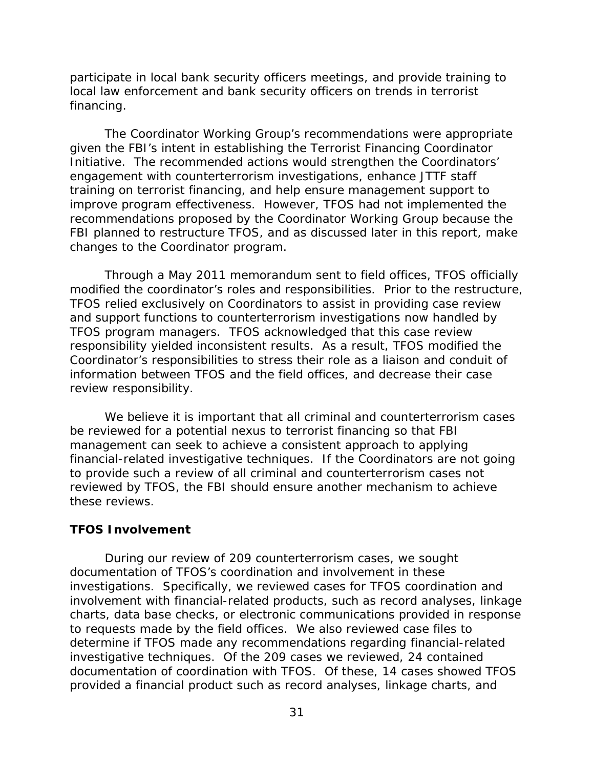<span id="page-36-0"></span>participate in local bank security officers meetings, and provide training to local law enforcement and bank security officers on trends in terrorist financing.

 engagement with counterterrorism investigations, enhance JTTF staff improve program effectiveness. However, TFOS had not implemented the changes to the Coordinator program. The Coordinator Working Group's recommendations were appropriate given the FBI's intent in establishing the Terrorist Financing Coordinator Initiative. The recommended actions would strengthen the Coordinators' training on terrorist financing, and help ensure management support to recommendations proposed by the Coordinator Working Group because the FBI planned to restructure TFOS, and as discussed later in this report, make

Through a May 2011 memorandum sent to field offices, TFOS officially modified the coordinator's roles and responsibilities. Prior to the restructure, TFOS relied exclusively on Coordinators to assist in providing case review and support functions to counterterrorism investigations now handled by TFOS program managers. TFOS acknowledged that this case review responsibility yielded inconsistent results. As a result, TFOS modified the Coordinator's responsibilities to stress their role as a liaison and conduit of information between TFOS and the field offices, and decrease their case review responsibility.

 We believe it is important that all criminal and counterterrorism cases management can seek to achieve a consistent approach to applying financial-related investigative techniques. If the Coordinators are not going be reviewed for a potential nexus to terrorist financing so that FBI to provide such a review of all criminal and counterterrorism cases not reviewed by TFOS, the FBI should ensure another mechanism to achieve these reviews.

### **TFOS Involvement**

 documentation of TFOS's coordination and involvement in these investigations. Specifically, we reviewed cases for TFOS coordination and involvement with financial-related products, such as record analyses, linkage to requests made by the field offices. We also reviewed case files to determine if TFOS made any recommendations regarding financial-related provided a financial product such as record analyses, linkage charts, and During our review of 209 counterterrorism cases, we sought charts, data base checks, or electronic communications provided in response investigative techniques. Of the 209 cases we reviewed, 24 contained documentation of coordination with TFOS. Of these, 14 cases showed TFOS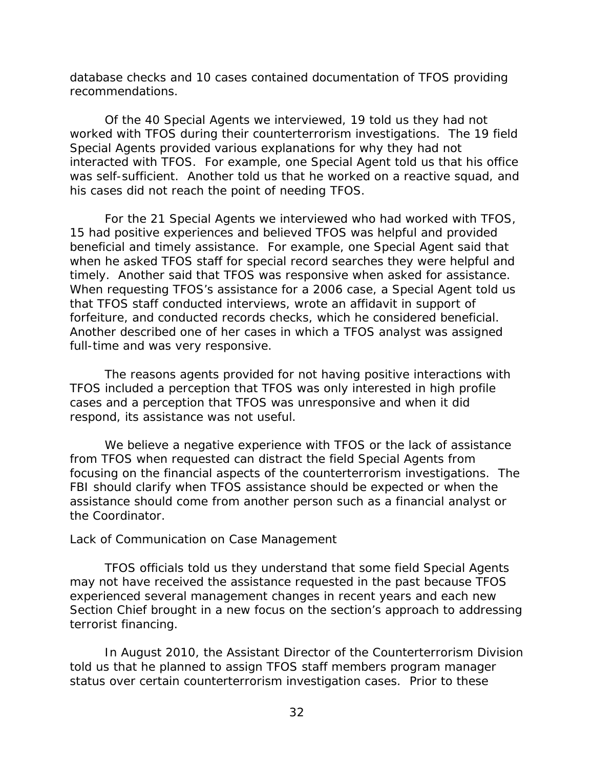<span id="page-37-0"></span>recommendations. database checks and 10 cases contained documentation of TFOS providing

 Special Agents provided various explanations for why they had not was self-sufficient. Another told us that he worked on a reactive squad, and his cases did not reach the point of needing TFOS. Of the 40 Special Agents we interviewed, 19 told us they had not worked with TFOS during their counterterrorism investigations. The 19 field interacted with TFOS. For example, one Special Agent told us that his office

 When requesting TFOS's assistance for a 2006 case, a Special Agent told us that TFOS staff conducted interviews, wrote an affidavit in support of Another described one of her cases in which a TFOS analyst was assigned For the 21 Special Agents we interviewed who had worked with TFOS, 15 had positive experiences and believed TFOS was helpful and provided beneficial and timely assistance. For example, one Special Agent said that when he asked TFOS staff for special record searches they were helpful and timely. Another said that TFOS was responsive when asked for assistance. forfeiture, and conducted records checks, which he considered beneficial. full-time and was very responsive.

The reasons agents provided for not having positive interactions with TFOS included a perception that TFOS was only interested in high profile cases and a perception that TFOS was unresponsive and when it did respond, its assistance was not useful.

 focusing on the financial aspects of the counterterrorism investigations. The We believe a negative experience with TFOS or the lack of assistance from TFOS when requested can distract the field Special Agents from FBI should clarify when TFOS assistance should be expected or when the assistance should come from another person such as a financial analyst or the Coordinator.

### *Lack of Communication on Case Management*

TFOS officials told us they understand that some field Special Agents may not have received the assistance requested in the past because TFOS experienced several management changes in recent years and each new Section Chief brought in a new focus on the section's approach to addressing terrorist financing.

 status over certain counterterrorism investigation cases. Prior to these In August 2010, the Assistant Director of the Counterterrorism Division told us that he planned to assign TFOS staff members program manager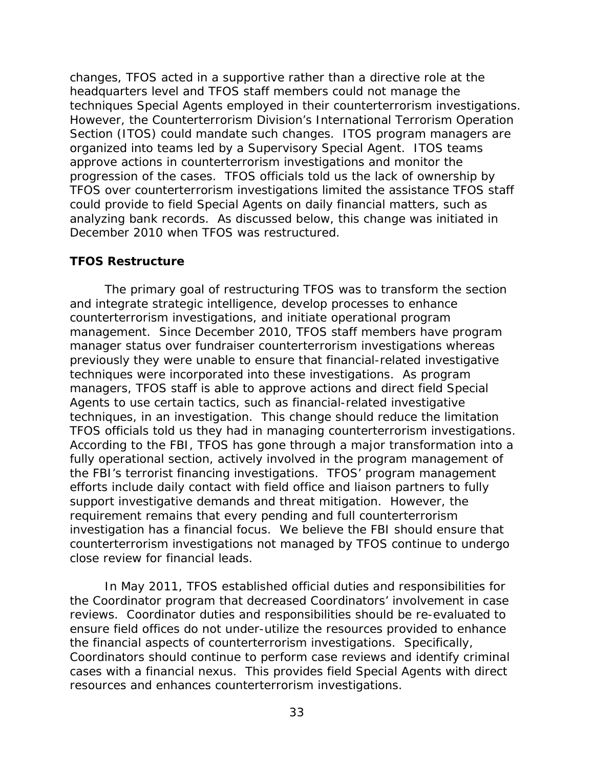<span id="page-38-0"></span> progression of the cases. TFOS officials told us the lack of ownership by analyzing bank records. As discussed below, this change was initiated in changes, TFOS acted in a supportive rather than a directive role at the headquarters level and TFOS staff members could not manage the techniques Special Agents employed in their counterterrorism investigations. However, the Counterterrorism Division's International Terrorism Operation Section (ITOS) could mandate such changes. ITOS program managers are organized into teams led by a Supervisory Special Agent. ITOS teams approve actions in counterterrorism investigations and monitor the TFOS over counterterrorism investigations limited the assistance TFOS staff could provide to field Special Agents on daily financial matters, such as December 2010 when TFOS was restructured.

### **TFOS Restructure**

 management. Since December 2010, TFOS staff members have program techniques were incorporated into these investigations. As program managers, TFOS staff is able to approve actions and direct field Special support investigative demands and threat mitigation. However, the close review for financial leads. The primary goal of restructuring TFOS was to transform the section and integrate strategic intelligence, develop processes to enhance counterterrorism investigations, and initiate operational program manager status over fundraiser counterterrorism investigations whereas previously they were unable to ensure that financial-related investigative Agents to use certain tactics, such as financial-related investigative techniques, in an investigation. This change should reduce the limitation TFOS officials told us they had in managing counterterrorism investigations. According to the FBI, TFOS has gone through a major transformation into a fully operational section, actively involved in the program management of the FBI's terrorist financing investigations. TFOS' program management efforts include daily contact with field office and liaison partners to fully requirement remains that every pending and full counterterrorism investigation has a financial focus. We believe the FBI should ensure that counterterrorism investigations not managed by TFOS continue to undergo

 reviews. Coordinator duties and responsibilities should be re-evaluated to In May 2011, TFOS established official duties and responsibilities for the Coordinator program that decreased Coordinators' involvement in case ensure field offices do not under-utilize the resources provided to enhance the financial aspects of counterterrorism investigations. Specifically, Coordinators should continue to perform case reviews and identify criminal cases with a financial nexus. This provides field Special Agents with direct resources and enhances counterterrorism investigations.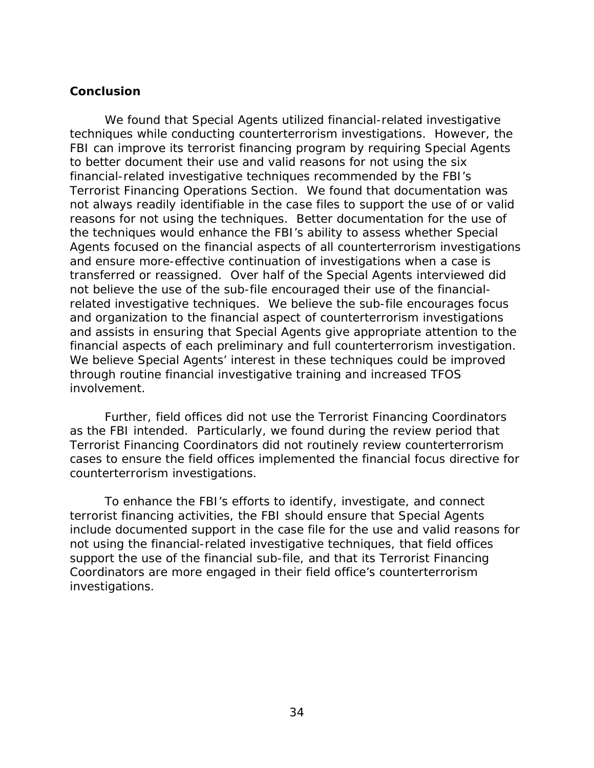### <span id="page-39-0"></span>**Conclusion**

 financial-related investigative techniques recommended by the FBI's reasons for not using the techniques. Better documentation for the use of transferred or reassigned. Over half of the Special Agents interviewed did and assists in ensuring that Special Agents give appropriate attention to the financial aspects of each preliminary and full counterterrorism investigation. financial aspects of each preliminary and full counterterrorism investigation.<br>We believe Special Agents' interest in these techniques could be improved We found that Special Agents utilized financial-related investigative techniques while conducting counterterrorism investigations. However, the FBI can improve its terrorist financing program by requiring Special Agents to better document their use and valid reasons for not using the six Terrorist Financing Operations Section. We found that documentation was not always readily identifiable in the case files to support the use of or valid the techniques would enhance the FBI's ability to assess whether Special Agents focused on the financial aspects of all counterterrorism investigations and ensure more-effective continuation of investigations when a case is not believe the use of the sub-file encouraged their use of the financialrelated investigative techniques. We believe the sub-file encourages focus and organization to the financial aspect of counterterrorism investigations through routine financial investigative training and increased TFOS involvement.

 as the FBI intended. Particularly, we found during the review period that counterterrorism investigations. Further, field offices did not use the Terrorist Financing Coordinators Terrorist Financing Coordinators did not routinely review counterterrorism cases to ensure the field offices implemented the financial focus directive for

 terrorist financing activities, the FBI should ensure that Special Agents support the use of the financial sub-file, and that its Terrorist Financing To enhance the FBI's efforts to identify, investigate, and connect include documented support in the case file for the use and valid reasons for not using the financial-related investigative techniques, that field offices Coordinators are more engaged in their field office's counterterrorism investigations.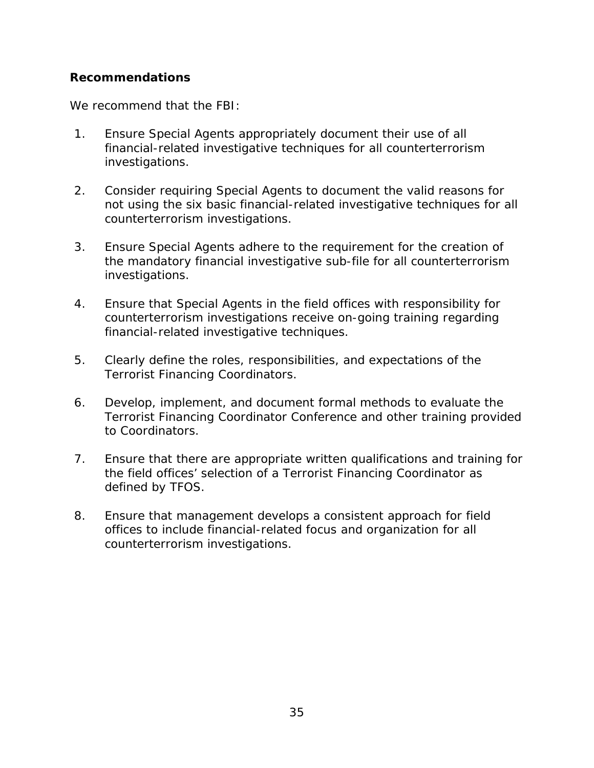### <span id="page-40-0"></span> **Recommendations**

We recommend that the FBI:

- 1. Ensure Special Agents appropriately document their use of all financial-related investigative techniques for all counterterrorism investigations.
- not using the six basic financial-related investigative techniques for all 2. Consider requiring Special Agents to document the valid reasons for counterterrorism investigations.
- 3. Ensure Special Agents adhere to the requirement for the creation of the mandatory financial investigative sub-file for all counterterrorism investigations.
- 4. Ensure that Special Agents in the field offices with responsibility for counterterrorism investigations receive on-going training regarding financial-related investigative techniques.
- 5. Clearly define the roles, responsibilities, and expectations of the Terrorist Financing Coordinators.
- 6. Develop, implement, and document formal methods to evaluate the Terrorist Financing Coordinator Conference and other training provided to Coordinators.
- 7. Ensure that there are appropriate written qualifications and training for the field offices' selection of a Terrorist Financing Coordinator as defined by TFOS.
- offices to include financial-related focus and organization for all 8. Ensure that management develops a consistent approach for field counterterrorism investigations.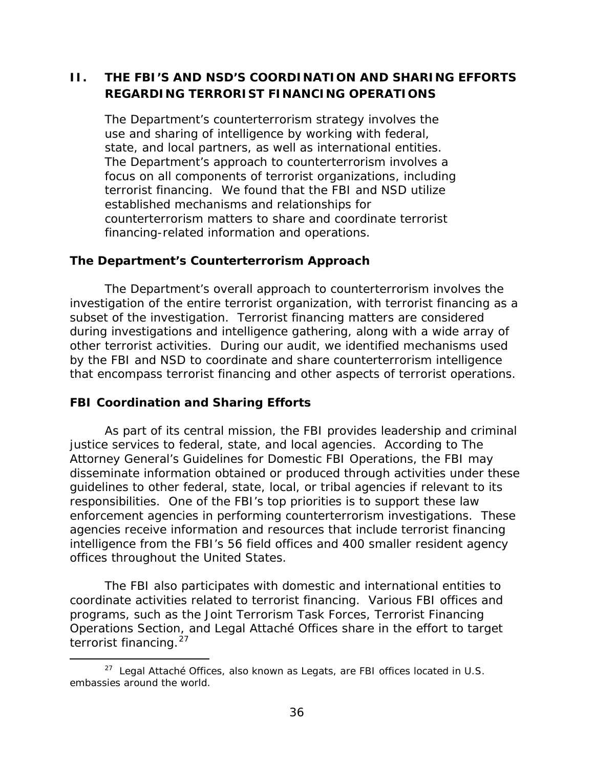# <span id="page-41-0"></span> **REGARDING TERRORIST FINANCING OPERATIONS II. THE FBI'S AND NSD'S COORDINATION AND SHARING EFFORTS**

The Department's counterterrorism strategy involves the use and sharing of intelligence by working with federal, state, and local partners, as well as international entities. The Department's approach to counterterrorism involves a focus on all components of terrorist organizations, including terrorist financing. We found that the FBI and NSD utilize established mechanisms and relationships for counterterrorism matters to share and coordinate terrorist financing-related information and operations.

### **The Department's Counterterrorism Approach**

The Department's overall approach to counterterrorism involves the investigation of the entire terrorist organization, with terrorist financing as a subset of the investigation. Terrorist financing matters are considered during investigations and intelligence gathering, along with a wide array of other terrorist activities. During our audit, we identified mechanisms used by the FBI and NSD to coordinate and share counterterrorism intelligence that encompass terrorist financing and other aspects of terrorist operations.

### **FBI Coordination and Sharing Efforts**

 disseminate information obtained or produced through activities under these enforcement agencies in performing counterterrorism investigations. These As part of its central mission, the FBI provides leadership and criminal justice services to federal, state, and local agencies. According to *The Attorney General's Guidelines for Domestic FBI Operations*, the FBI may guidelines to other federal, state, local, or tribal agencies if relevant to its responsibilities. One of the FBI's top priorities is to support these law agencies receive information and resources that include terrorist financing intelligence from the FBI's 56 field offices and 400 smaller resident agency offices throughout the United States.

 Operations Section, and Legal Attaché Offices share in the effort to target terrorist financing.<sup>27</sup> The FBI also participates with domestic and international entities to coordinate activities related to terrorist financing. Various FBI offices and programs, such as the Joint Terrorism Task Forces, Terrorist Financing

<span id="page-41-1"></span><sup>-</sup> $27$  Legal Attaché Offices, also known as Legats, are FBI offices located in U.S. embassies around the world.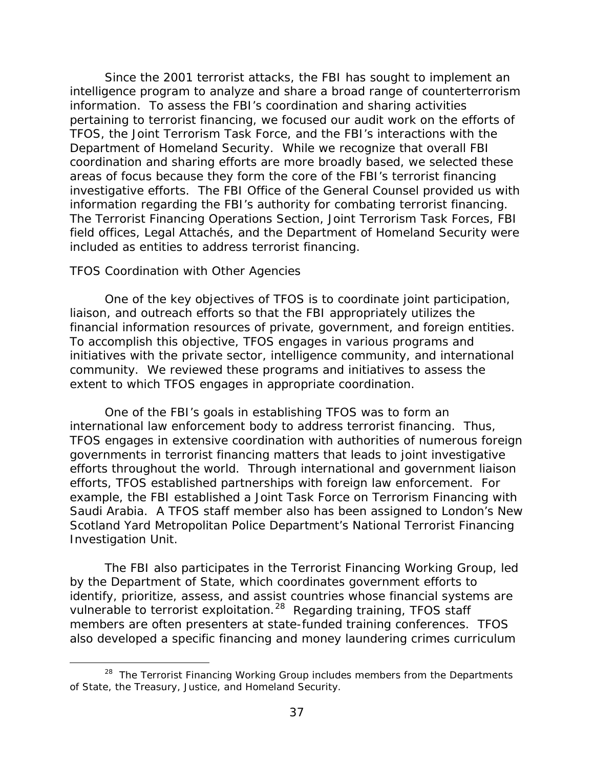<span id="page-42-0"></span> information. To assess the FBI's coordination and sharing activities TFOS, the Joint Terrorism Task Force, and the FBI's interactions with the Since the 2001 terrorist attacks, the FBI has sought to implement an intelligence program to analyze and share a broad range of counterterrorism pertaining to terrorist financing, we focused our audit work on the efforts of Department of Homeland Security. While we recognize that overall FBI coordination and sharing efforts are more broadly based, we selected these areas of focus because they form the core of the FBI's terrorist financing investigative efforts. The FBI Office of the General Counsel provided us with information regarding the FBI's authority for combating terrorist financing. The Terrorist Financing Operations Section, Joint Terrorism Task Forces, FBI field offices, Legal Attachés, and the Department of Homeland Security were included as entities to address terrorist financing.

#### *TFOS Coordination with Other Agencies*

 $\overline{a}$ 

financial information resources of private, government, and foreign entities.<br>To accomplish this objective, TFOS engages in various programs and initiatives with the private sector, intelligence community, and international community. We reviewed these programs and initiatives to assess the One of the key objectives of TFOS is to coordinate joint participation, liaison, and outreach efforts so that the FBI appropriately utilizes the extent to which TFOS engages in appropriate coordination.

 Saudi Arabia. A TFOS staff member also has been assigned to London's New One of the FBI's goals in establishing TFOS was to form an international law enforcement body to address terrorist financing. Thus, TFOS engages in extensive coordination with authorities of numerous foreign governments in terrorist financing matters that leads to joint investigative efforts throughout the world. Through international and government liaison efforts, TFOS established partnerships with foreign law enforcement. For example, the FBI established a Joint Task Force on Terrorism Financing with Scotland Yard Metropolitan Police Department's National Terrorist Financing Investigation Unit.

vulnerable to terrorist exploitation.<sup>[28](#page-42-1)</sup> Regarding training, TFOS staff The FBI also participates in the Terrorist Financing Working Group, led by the Department of State, which coordinates government efforts to identify, prioritize, assess, and assist countries whose financial systems are members are often presenters at state-funded training conferences. TFOS also developed a specific financing and money laundering crimes curriculum

<span id="page-42-1"></span><sup>&</sup>lt;sup>[28](#page-58-0)</sup> The Terrorist Financing Working Group includes members from the Departments of State, the Treasury, Justice, and Homeland Security.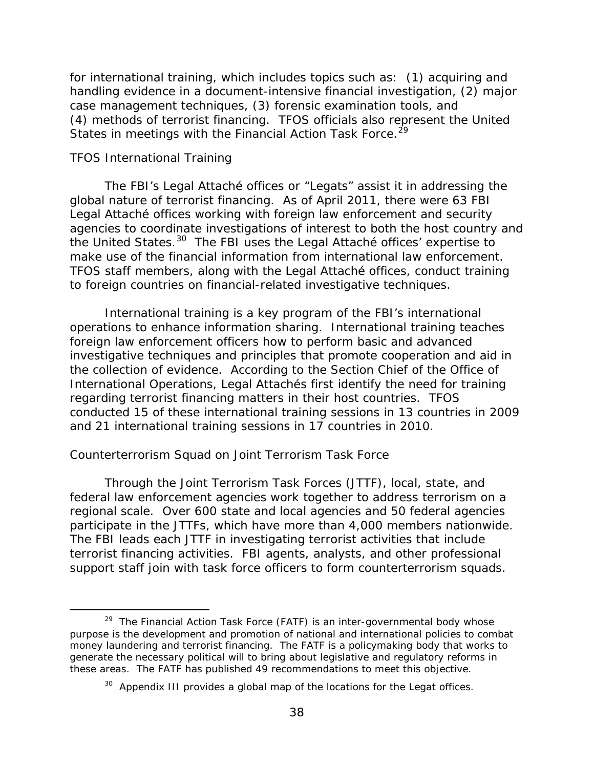<span id="page-43-0"></span> for international training, which includes topics such as: (1) acquiring and (4) methods of terrorist financing. TFOS officials also represent the United States in meetings with the Financial Action Task Force.<sup>29</sup> handling evidence in a document-intensive financial investigation, (2) major case management techniques, (3) forensic examination tools, and

#### *TFOS International Training*

 The FBI's Legal Attaché offices or "Legats" assist it in addressing the the United States.<sup>[30](#page-43-2)</sup> The FBI uses the Legal Attaché offices' expertise to global nature of terrorist financing. As of April 2011, there were 63 FBI Legal Attaché offices working with foreign law enforcement and security agencies to coordinate investigations of interest to both the host country and make use of the financial information from international law enforcement. TFOS staff members, along with the Legal Attaché offices, conduct training to foreign countries on financial-related investigative techniques.

 and 21 international training sessions in 17 countries in 2010. International training is a key program of the FBI's international operations to enhance information sharing. International training teaches foreign law enforcement officers how to perform basic and advanced investigative techniques and principles that promote cooperation and aid in the collection of evidence. According to the Section Chief of the Office of International Operations, Legal Attachés first identify the need for training regarding terrorist financing matters in their host countries. TFOS conducted 15 of these international training sessions in 13 countries in 2009

### *Counterterrorism Squad on Joint Terrorism Task Force*

Through the Joint Terrorism Task Forces (JTTF), local, state, and federal law enforcement agencies work together to address terrorism on a regional scale. Over 600 state and local agencies and 50 federal agencies participate in the JTTFs, which have more than 4,000 members nationwide. The FBI leads each JTTF in investigating terrorist activities that include terrorist financing activities. FBI agents, analysts, and other professional

<span id="page-43-1"></span> support staff join with task force officers to form counterterrorism squads. [29](#page-58-0) The Financial Action Task Force (FATF) is an inter-governmental body whose  $\overline{a}$ <sup>29</sup> The Financial Action Task Force (FATF) is an inter-governmental body whose purpose is the development and promotion of national and international policies to combat money laundering and terrorist financing. The FATF is a policymaking body that works to generate the necessary political will to bring about legislative and regulatory reforms in these areas. The FATF has published 49 recommendations to meet this objective.

<span id="page-43-2"></span> $30$  Appendix III provides a global map of the locations for the Legat offices.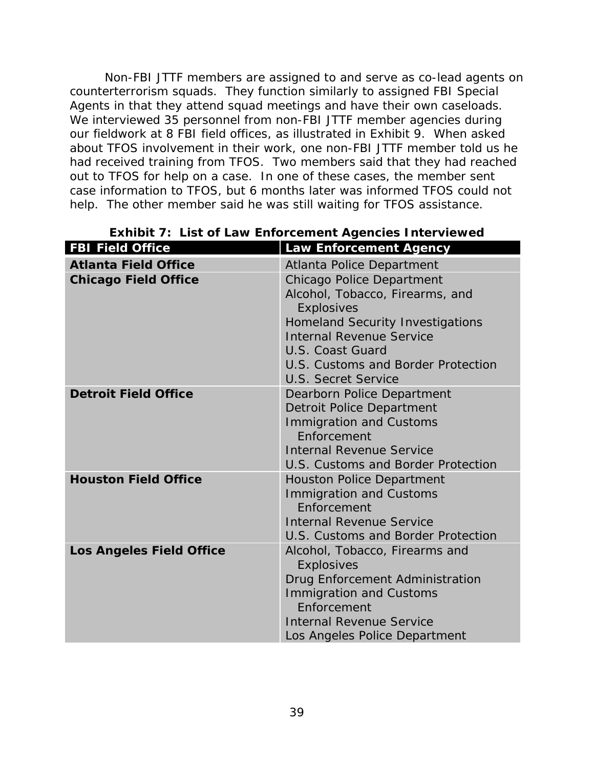Non-FBI JTTF members are assigned to and serve as co-lead agents on counterterrorism squads. They function similarly to assigned FBI Special Agents in that they attend squad meetings and have their own caseloads. We interviewed 35 personnel from non-FBI JTTF member agencies during our fieldwork at 8 FBI field offices, as illustrated in Exhibit 9. When asked about TFOS involvement in their work, one non-FBI JTTF member told us he had received training from TFOS. Two members said that they had reached out to TFOS for help on a case. In one of these cases, the member sent case information to TFOS, but 6 months later was informed TFOS could not help. The other member said he was still waiting for TFOS assistance.

| <b>FBI Field Office</b>         | <b>Law Enforcement Agency</b>                 |
|---------------------------------|-----------------------------------------------|
| <b>Atlanta Field Office</b>     | <b>Atlanta Police Department</b>              |
| <b>Chicago Field Office</b>     | Chicago Police Department                     |
|                                 | Alcohol, Tobacco, Firearms, and               |
|                                 | <b>Explosives</b>                             |
|                                 | <b>Homeland Security Investigations</b>       |
|                                 | <b>Internal Revenue Service</b>               |
|                                 | U.S. Coast Guard                              |
|                                 | U.S. Customs and Border Protection            |
|                                 | <b>U.S. Secret Service</b>                    |
| <b>Detroit Field Office</b>     | Dearborn Police Department                    |
|                                 | Detroit Police Department                     |
|                                 | <b>Immigration and Customs</b>                |
|                                 | Enforcement                                   |
|                                 | <b>Internal Revenue Service</b>               |
|                                 | U.S. Customs and Border Protection            |
| <b>Houston Field Office</b>     | <b>Houston Police Department</b>              |
|                                 | <b>Immigration and Customs</b><br>Enforcement |
|                                 | <b>Internal Revenue Service</b>               |
|                                 | U.S. Customs and Border Protection            |
| <b>Los Angeles Field Office</b> | Alcohol, Tobacco, Firearms and                |
|                                 | <b>Explosives</b>                             |
|                                 | Drug Enforcement Administration               |
|                                 | <b>Immigration and Customs</b>                |
|                                 | Enforcement                                   |
|                                 | <b>Internal Revenue Service</b>               |
|                                 | Los Angeles Police Department                 |

# **Exhibit 7: List of Law Enforcement Agencies Interviewed**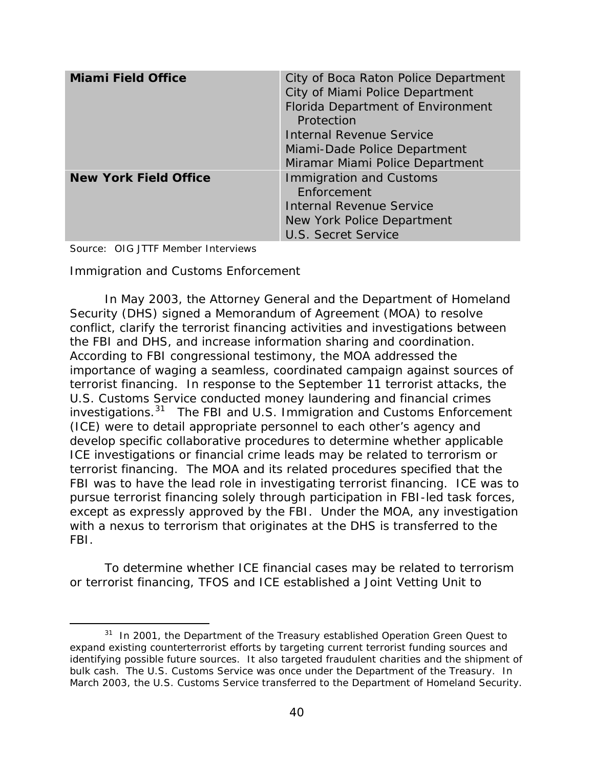| <b>Miami Field Office</b>    | City of Boca Raton Police Department<br>City of Miami Police Department<br>Florida Department of Environment<br>Protection<br><b>Internal Revenue Service</b><br>Miami-Dade Police Department<br>Miramar Miami Police Department |
|------------------------------|----------------------------------------------------------------------------------------------------------------------------------------------------------------------------------------------------------------------------------|
| <b>New York Field Office</b> | <b>Immigration and Customs</b><br>Enforcement<br><b>Internal Revenue Service</b><br>New York Police Department<br><b>U.S. Secret Service</b>                                                                                     |

Source: OIG JTTF Member Interviews

 $\overline{a}$ 

 *Immigration and Customs Enforcement* 

the FBI and DHS, and increase information sharing and coordination. investigations.<sup>[31](#page-45-0)</sup> The FBI and U.S. Immigration and Customs Enforcement terrorist financing. The MOA and its related procedures specified that the FBI was to have the lead role in investigating terrorist financing. ICE was to with a nexus to terrorism that originates at the DHS is transferred to the In May 2003, the Attorney General and the Department of Homeland Security (DHS) signed a Memorandum of Agreement (MOA) to resolve conflict, clarify the terrorist financing activities and investigations between According to FBI congressional testimony, the MOA addressed the importance of waging a seamless, coordinated campaign against sources of terrorist financing. In response to the September 11 terrorist attacks, the U.S. Customs Service conducted money laundering and financial crimes (ICE) were to detail appropriate personnel to each other's agency and develop specific collaborative procedures to determine whether applicable ICE investigations or financial crime leads may be related to terrorism or pursue terrorist financing solely through participation in FBI-led task forces, except as expressly approved by the FBI. Under the MOA, any investigation FBI.

To determine whether ICE financial cases may be related to terrorism or terrorist financing, TFOS and ICE established a Joint Vetting Unit to

<span id="page-45-0"></span> $31$  In 2001, the Department of the Treasury established Operation Green Quest to expand existing counterterrorist efforts by targeting current terrorist funding sources and identifying possible future sources. It also targeted fraudulent charities and the shipment of bulk cash. The U.S. Customs Service was once under the Department of the Treasury. In March 2003, the U.S. Customs Service transferred to the Department of Homeland Security.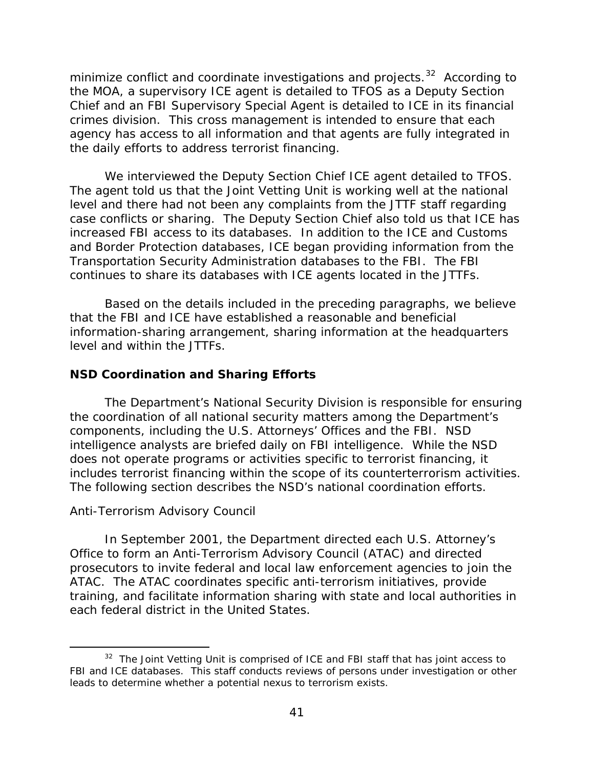<span id="page-46-0"></span>minimize conflict and coordinate investigations and projects. $^{32}$  $^{32}$  $^{32}$  According to Chief and an FBI Supervisory Special Agent is detailed to ICE in its financial agency has access to all information and that agents are fully integrated in the MOA, a supervisory ICE agent is detailed to TFOS as a Deputy Section crimes division. This cross management is intended to ensure that each the daily efforts to address terrorist financing.

 increased FBI access to its databases. In addition to the ICE and Customs We interviewed the Deputy Section Chief ICE agent detailed to TFOS. The agent told us that the Joint Vetting Unit is working well at the national level and there had not been any complaints from the JTTF staff regarding case conflicts or sharing. The Deputy Section Chief also told us that ICE has and Border Protection databases, ICE began providing information from the Transportation Security Administration databases to the FBI. The FBI continues to share its databases with ICE agents located in the JTTFs.

Based on the details included in the preceding paragraphs, we believe that the FBI and ICE have established a reasonable and beneficial information-sharing arrangement, sharing information at the headquarters level and within the JTTFs.

### **NSD Coordination and Sharing Efforts**

 The Department's National Security Division is responsible for ensuring intelligence analysts are briefed daily on FBI intelligence. While the NSD the coordination of all national security matters among the Department's components, including the U.S. Attorneys' Offices and the FBI. NSD does not operate programs or activities specific to terrorist financing, it includes terrorist financing within the scope of its counterterrorism activities. The following section describes the NSD's national coordination efforts.

### *Anti-Terrorism Advisory Council*

 $\overline{a}$ 

 training, and facilitate information sharing with state and local authorities in In September 2001, the Department directed each U.S. Attorney's Office to form an Anti-Terrorism Advisory Council (ATAC) and directed prosecutors to invite federal and local law enforcement agencies to join the ATAC. The ATAC coordinates specific anti-terrorism initiatives, provide each federal district in the United States.

<span id="page-46-1"></span> $32$  The Joint Vetting Unit is comprised of ICE and FBI staff that has joint access to FBI and ICE databases. This staff conducts reviews of persons under investigation or other leads to determine whether a potential nexus to terrorism exists.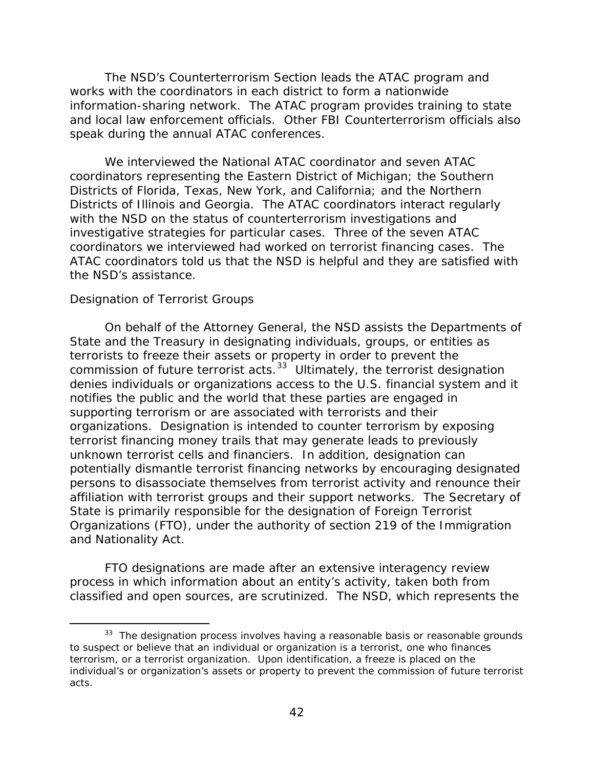<span id="page-47-0"></span> information-sharing network. The ATAC program provides training to state The NSD's Counterterrorism Section leads the ATAC program and works with the coordinators in each district to form a nationwide and local law enforcement officials. Other FBI Counterterrorism officials also speak during the annual ATAC conferences.

 Districts of Illinois and Georgia. The ATAC coordinators interact regularly ATAC coordinators told us that the NSD is helpful and they are satisfied with the NSD's assistance. We interviewed the National ATAC coordinator and seven ATAC coordinators representing the Eastern District of Michigan; the Southern Districts of Florida, Texas, New York, and California; and the Northern with the NSD on the status of counterterrorism investigations and investigative strategies for particular cases. Three of the seven ATAC coordinators we interviewed had worked on terrorist financing cases. The

#### *Designation of Terrorist Groups*

 $\overline{a}$ 

 State and the Treasury in designating individuals, groups, or entities as commission of future terrorist acts. $33$  Ultimately, the terrorist designation unknown terrorist cells and financiers. In addition, designation can On behalf of the Attorney General, the NSD assists the Departments of terrorists to freeze their assets or property in order to prevent the denies individuals or organizations access to the U.S. financial system and it notifies the public and the world that these parties are engaged in supporting terrorism or are associated with terrorists and their organizations. Designation is intended to counter terrorism by exposing terrorist financing money trails that may generate leads to previously potentially dismantle terrorist financing networks by encouraging designated persons to disassociate themselves from terrorist activity and renounce their affiliation with terrorist groups and their support networks. The Secretary of State is primarily responsible for the designation of Foreign Terrorist Organizations (FTO), under the authority of section 219 of the *Immigration and Nationality Act*.

FTO designations are made after an extensive interagency review process in which information about an entity's activity, taken both from classified and open sources, are scrutinized. The NSD, which represents the

<span id="page-47-1"></span> $33$  The designation process involves having a reasonable basis or reasonable grounds to suspect or believe that an individual or organization is a terrorist, one who finances terrorism, or a terrorist organization. Upon identification, a freeze is placed on the individual's or organization's assets or property to prevent the commission of future terrorist acts.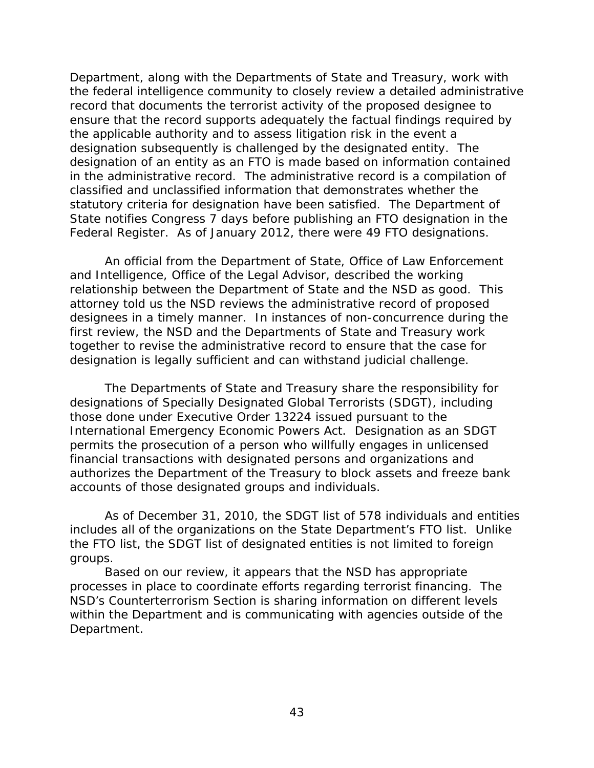Department, along with the Departments of State and Treasury, work with the applicable authority and to assess litigation risk in the event a the federal intelligence community to closely review a detailed administrative record that documents the terrorist activity of the proposed designee to ensure that the record supports adequately the factual findings required by designation subsequently is challenged by the designated entity. The designation of an entity as an FTO is made based on information contained in the administrative record. The administrative record is a compilation of classified and unclassified information that demonstrates whether the statutory criteria for designation have been satisfied. The Department of State notifies Congress 7 days before publishing an FTO designation in the Federal Register. As of January 2012, there were 49 FTO designations.

 designation is legally sufficient and can withstand judicial challenge. An official from the Department of State, Office of Law Enforcement and Intelligence, Office of the Legal Advisor, described the working relationship between the Department of State and the NSD as good. This attorney told us the NSD reviews the administrative record of proposed designees in a timely manner. In instances of non-concurrence during the first review, the NSD and the Departments of State and Treasury work together to revise the administrative record to ensure that the case for

 those done under Executive Order 13224 issued pursuant to the authorizes the Department of the Treasury to block assets and freeze bank accounts of those designated groups and individuals. The Departments of State and Treasury share the responsibility for designations of Specially Designated Global Terrorists (SDGT), including *International Emergency Economic Powers Act*. Designation as an SDGT permits the prosecution of a person who willfully engages in unlicensed financial transactions with designated persons and organizations and

groups. As of December 31, 2010, the SDGT list of 578 individuals and entities includes all of the organizations on the State Department's FTO list. Unlike the FTO list, the SDGT list of designated entities is not limited to foreign

 within the Department and is communicating with agencies outside of the Based on our review, it appears that the NSD has appropriate processes in place to coordinate efforts regarding terrorist financing. The NSD's Counterterrorism Section is sharing information on different levels Department.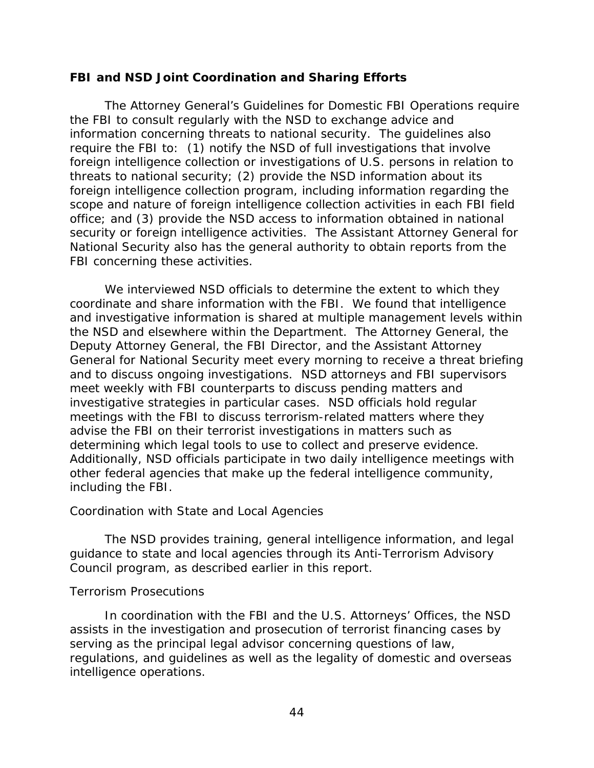### <span id="page-49-0"></span>**FBI and NSD Joint Coordination and Sharing Efforts**

 information concerning threats to national security. The guidelines also scope and nature of foreign intelligence collection activities in each FBI field *The Attorney General's Guidelines for Domestic FBI Operations* require the FBI to consult regularly with the NSD to exchange advice and require the FBI to: (1) notify the NSD of full investigations that involve foreign intelligence collection or investigations of U.S. persons in relation to threats to national security; (2) provide the NSD information about its foreign intelligence collection program, including information regarding the office; and (3) provide the NSD access to information obtained in national security or foreign intelligence activities. The Assistant Attorney General for National Security also has the general authority to obtain reports from the FBI concerning these activities.

 determining which legal tools to use to collect and preserve evidence. including the FBI. We interviewed NSD officials to determine the extent to which they coordinate and share information with the FBI. We found that intelligence and investigative information is shared at multiple management levels within the NSD and elsewhere within the Department. The Attorney General, the Deputy Attorney General, the FBI Director, and the Assistant Attorney General for National Security meet every morning to receive a threat briefing and to discuss ongoing investigations. NSD attorneys and FBI supervisors meet weekly with FBI counterparts to discuss pending matters and investigative strategies in particular cases. NSD officials hold regular meetings with the FBI to discuss terrorism-related matters where they advise the FBI on their terrorist investigations in matters such as Additionally, NSD officials participate in two daily intelligence meetings with other federal agencies that make up the federal intelligence community,

### *Coordination with State and Local Agencies*

 Council program, as described earlier in this report. The NSD provides training, general intelligence information, and legal guidance to state and local agencies through its Anti-Terrorism Advisory

### *Terrorism Prosecutions*

In coordination with the FBI and the U.S. Attorneys' Offices, the NSD assists in the investigation and prosecution of terrorist financing cases by serving as the principal legal advisor concerning questions of law, regulations, and guidelines as well as the legality of domestic and overseas intelligence operations.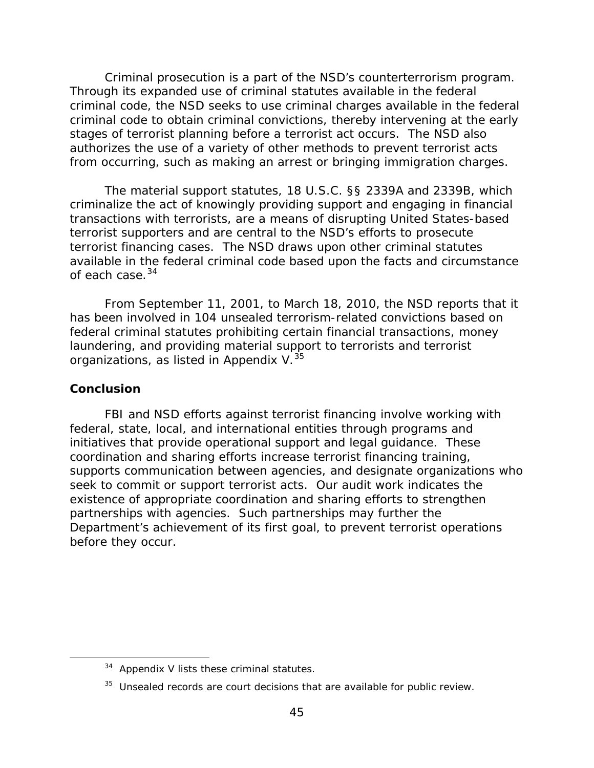<span id="page-50-0"></span> Criminal prosecution is a part of the NSD's counterterrorism program. from occurring, such as making an arrest or bringing immigration charges. Through its expanded use of criminal statutes available in the federal criminal code, the NSD seeks to use criminal charges available in the federal criminal code to obtain criminal convictions, thereby intervening at the early stages of terrorist planning before a terrorist act occurs. The NSD also authorizes the use of a variety of other methods to prevent terrorist acts

of each case.<sup>[34](#page-50-1)</sup> The material support statutes, 18 U.S.C. §§ 2339A and 2339B, which criminalize the act of knowingly providing support and engaging in financial transactions with terrorists, are a means of disrupting United States-based terrorist supporters and are central to the NSD's efforts to prosecute terrorist financing cases. The NSD draws upon other criminal statutes available in the federal criminal code based upon the facts and circumstance

 From September 11, 2001, to March 18, 2010, the NSD reports that it organizations, as listed in Appendix V. $^{35}$ has been involved in 104 unsealed terrorism-related convictions based on federal criminal statutes prohibiting certain financial transactions, money laundering, and providing material support to terrorists and terrorist

### **Conclusion**

<span id="page-50-2"></span><span id="page-50-1"></span>-

 seek to commit or support terrorist acts. Our audit work indicates the FBI and NSD efforts against terrorist financing involve working with federal, state, local, and international entities through programs and initiatives that provide operational support and legal guidance. These coordination and sharing efforts increase terrorist financing training, supports communication between agencies, and designate organizations who existence of appropriate coordination and sharing efforts to strengthen partnerships with agencies. Such partnerships may further the Department's achievement of its first goal, to prevent terrorist operations before they occur.

 $34$  Appendix V lists these criminal statutes.

 $35$  Unsealed records are court decisions that are available for public review.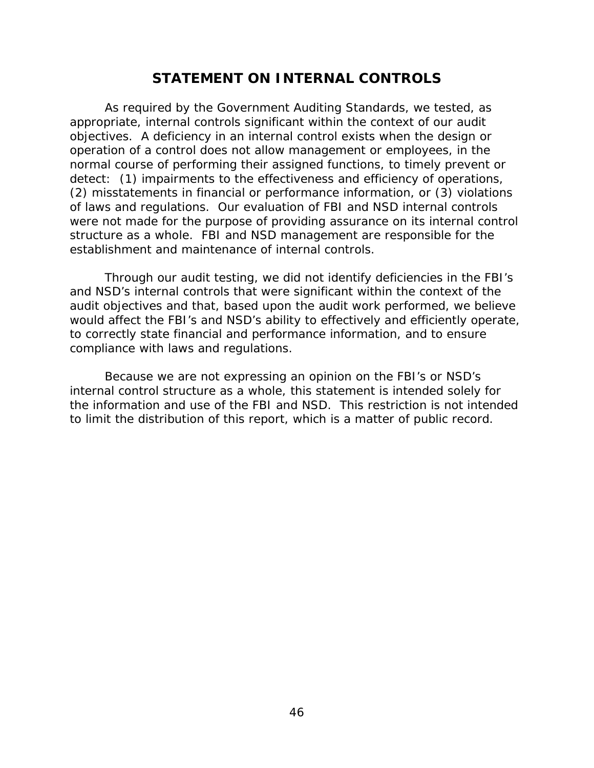# **STATEMENT ON INTERNAL CONTROLS**

<span id="page-51-0"></span> As required by the *Government Auditing Standards*, we tested, as appropriate, internal controls significant within the context of our audit objectives. A deficiency in an internal control exists when the design or operation of a control does not allow management or employees, in the normal course of performing their assigned functions, to timely prevent or detect: (1) impairments to the effectiveness and efficiency of operations, (2) misstatements in financial or performance information, or (3) violations of laws and regulations. Our evaluation of FBI and NSD internal controls were not made for the purpose of providing assurance on its internal control structure as a whole. FBI and NSD management are responsible for the establishment and maintenance of internal controls.

Through our audit testing, we did not identify deficiencies in the FBI's and NSD's internal controls that were significant within the context of the audit objectives and that, based upon the audit work performed, we believe would affect the FBI's and NSD's ability to effectively and efficiently operate, to correctly state financial and performance information, and to ensure compliance with laws and regulations.

 the information and use of the FBI and NSD. This restriction is not intended to limit the distribution of this report, which is a matter of public record. Because we are not expressing an opinion on the FBI's or NSD's internal control structure as a whole, this statement is intended solely for to limit the distribution of this report, which is a matter of public record.<br>  $46$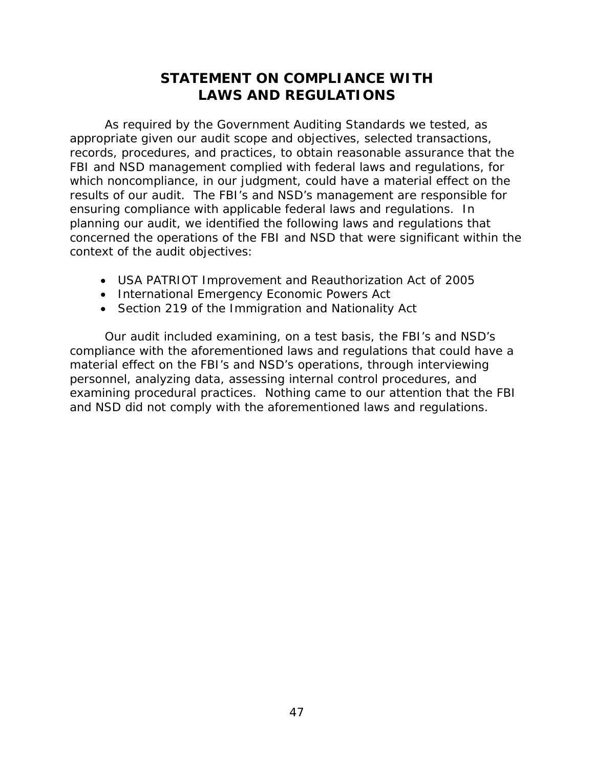# **STATEMENT ON COMPLIANCE WITH LAWS AND REGULATIONS**

<span id="page-52-0"></span> As required by the *Government Auditing Standards* we tested, as results of our audit. The FBI's and NSD's management are responsible for concerned the operations of the FBI and NSD that were significant within the appropriate given our audit scope and objectives, selected transactions, records, procedures, and practices, to obtain reasonable assurance that the FBI and NSD management complied with federal laws and regulations, for which noncompliance, in our judgment, could have a material effect on the ensuring compliance with applicable federal laws and regulations. In planning our audit, we identified the following laws and regulations that context of the audit objectives:

- USA PATRIOT Improvement and Reauthorization Act of 2005
- International Emergency Economic Powers Act
- Section 219 of the Immigration and Nationality Act

 Our audit included examining, on a test basis, the FBI's and NSD's examining procedural practices. Nothing came to our attention that the FBI compliance with the aforementioned laws and regulations that could have a material effect on the FBI's and NSD's operations, through interviewing personnel, analyzing data, assessing internal control procedures, and and NSD did not comply with the aforementioned laws and regulations.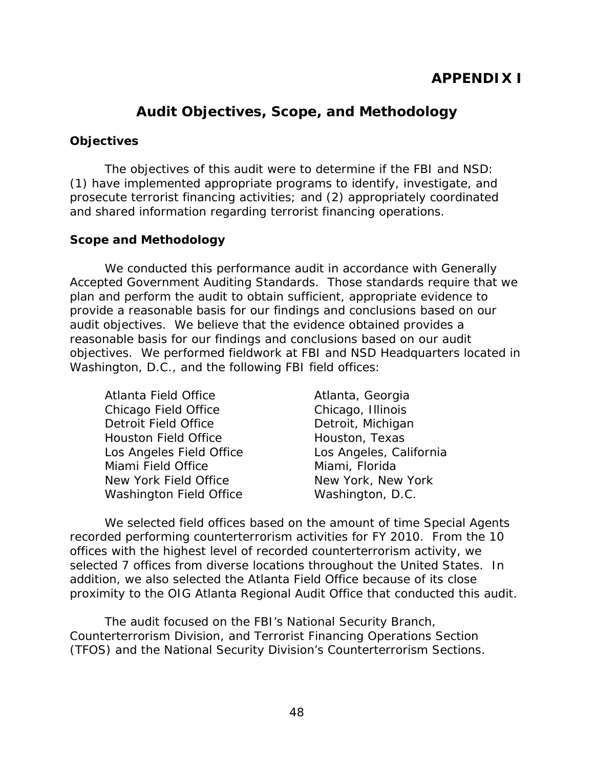# **Audit Objectives, Scope, and Methodology**

### <span id="page-53-0"></span>**Objectives**

The objectives of this audit were to determine if the FBI and NSD: (1) have implemented appropriate programs to identify, investigate, and prosecute terrorist financing activities; and (2) appropriately coordinated and shared information regarding terrorist financing operations.

### **Scope and Methodology**

 reasonable basis for our findings and conclusions based on our audit We conducted this performance audit in accordance with Generally Accepted Government Auditing Standards. Those standards require that we plan and perform the audit to obtain sufficient, appropriate evidence to provide a reasonable basis for our findings and conclusions based on our audit objectives. We believe that the evidence obtained provides a objectives. We performed fieldwork at FBI and NSD Headquarters located in Washington, D.C., and the following FBI field offices:

Atlanta, Georgia Chicago, Illinois Detroit, Michigan Houston, Texas Los Angeles, California Miami, Florida New York, New York Washington, D.C.

 addition, we also selected the Atlanta Field Office because of its close We selected field offices based on the amount of time Special Agents recorded performing counterterrorism activities for FY 2010. From the 10 offices with the highest level of recorded counterterrorism activity, we selected 7 offices from diverse locations throughout the United States. In proximity to the OIG Atlanta Regional Audit Office that conducted this audit.

The audit focused on the FBI's National Security Branch, Counterterrorism Division, and Terrorist Financing Operations Section (TFOS) and the National Security Division's Counterterrorism Sections.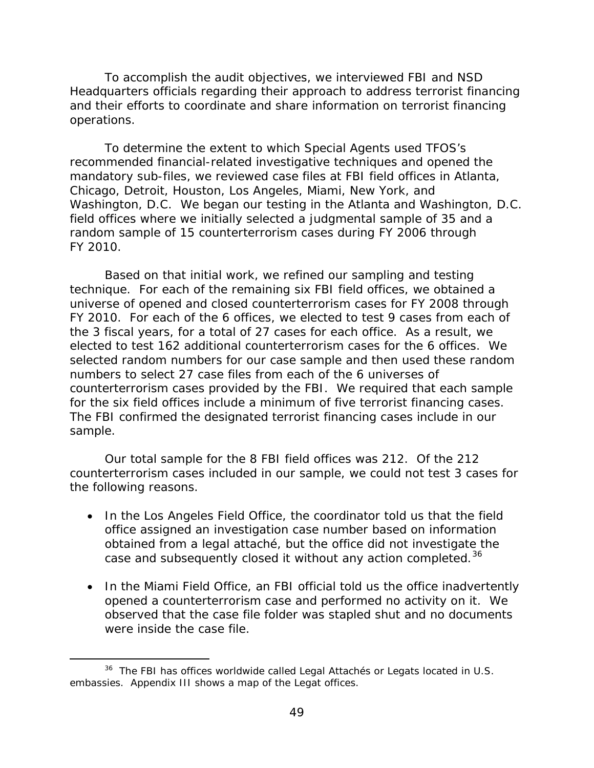To accomplish the audit objectives, we interviewed FBI and NSD Headquarters officials regarding their approach to address terrorist financing and their efforts to coordinate and share information on terrorist financing operations.

 FY 2010. To determine the extent to which Special Agents used TFOS's recommended financial-related investigative techniques and opened the mandatory sub-files, we reviewed case files at FBI field offices in Atlanta, Chicago, Detroit, Houston, Los Angeles, Miami, New York, and Washington, D.C. We began our testing in the Atlanta and Washington, D.C. field offices where we initially selected a judgmental sample of 35 and a random sample of 15 counterterrorism cases during FY 2006 through

for the six field offices include a minimum of five terrorist financing cases. Based on that initial work, we refined our sampling and testing technique. For each of the remaining six FBI field offices, we obtained a universe of opened and closed counterterrorism cases for FY 2008 through FY 2010. For each of the 6 offices, we elected to test 9 cases from each of the 3 fiscal years, for a total of 27 cases for each office. As a result, we elected to test 162 additional counterterrorism cases for the 6 offices. We selected random numbers for our case sample and then used these random numbers to select 27 case files from each of the 6 universes of counterterrorism cases provided by the FBI. We required that each sample The FBI confirmed the designated terrorist financing cases include in our sample.

Our total sample for the 8 FBI field offices was 212. Of the 212 counterterrorism cases included in our sample, we could not test 3 cases for the following reasons.

- case and subsequently closed it without any action completed.<sup>[36](#page-54-0)</sup> • In the Los Angeles Field Office, the coordinator told us that the field office assigned an investigation case number based on information obtained from a legal attaché, but the office did not investigate the
- observed that the case file folder was stapled shut and no documents • In the Miami Field Office, an FBI official told us the office inadvertently opened a counterterrorism case and performed no activity on it. We were inside the case file.

 $\overline{a}$ 

<span id="page-54-0"></span> $36$  The FBI has offices worldwide called Legal Attachés or Legats located in U.S. embassies. Appendix III shows a map of the Legat offices.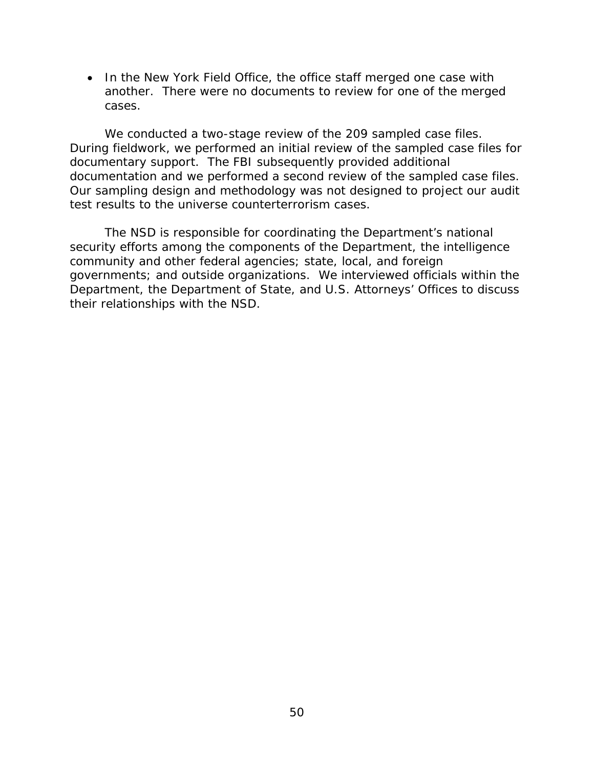cases. • In the New York Field Office, the office staff merged one case with another. There were no documents to review for one of the merged

We conducted a two-stage review of the 209 sampled case files. During fieldwork, we performed an initial review of the sampled case files for documentary support. The FBI subsequently provided additional documentation and we performed a second review of the sampled case files. Our sampling design and methodology was not designed to project our audit test results to the universe counterterrorism cases.

 Department, the Department of State, and U.S. Attorneys' Offices to discuss their relationships with the NSD. The NSD is responsible for coordinating the Department's national security efforts among the components of the Department, the intelligence community and other federal agencies; state, local, and foreign governments; and outside organizations. We interviewed officials within the their relationships with the NSD.<br> $50$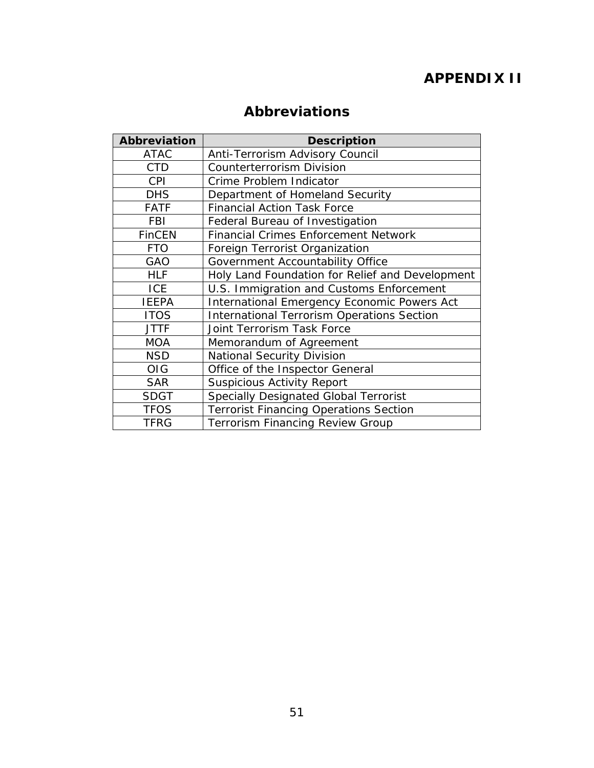# **APPENDIX II**

# **Abbreviations**

| <b>Abbreviation</b> | <b>Description</b>                                 |
|---------------------|----------------------------------------------------|
| <b>ATAC</b>         | Anti-Terrorism Advisory Council                    |
| <b>CTD</b>          | <b>Counterterrorism Division</b>                   |
| <b>CPI</b>          | Crime Problem Indicator                            |
| <b>DHS</b>          | Department of Homeland Security                    |
| <b>FATF</b>         | <b>Financial Action Task Force</b>                 |
| <b>FBI</b>          | Federal Bureau of Investigation                    |
| <b>FinCEN</b>       | <b>Financial Crimes Enforcement Network</b>        |
| <b>FTO</b>          | Foreign Terrorist Organization                     |
| GAO                 | Government Accountability Office                   |
| <b>HLF</b>          | Holy Land Foundation for Relief and Development    |
| <b>ICE</b>          | U.S. Immigration and Customs Enforcement           |
| <b>IEEPA</b>        | <b>International Emergency Economic Powers Act</b> |
| <b>ITOS</b>         | <b>International Terrorism Operations Section</b>  |
| <b>JTTF</b>         | Joint Terrorism Task Force                         |
| <b>MOA</b>          | Memorandum of Agreement                            |
| <b>NSD</b>          | <b>National Security Division</b>                  |
| <b>OIG</b>          | Office of the Inspector General                    |
| <b>SAR</b>          | <b>Suspicious Activity Report</b>                  |
| <b>SDGT</b>         | Specially Designated Global Terrorist              |
| <b>TFOS</b>         | <b>Terrorist Financing Operations Section</b>      |
| <b>TFRG</b>         | <b>Terrorism Financing Review Group</b>            |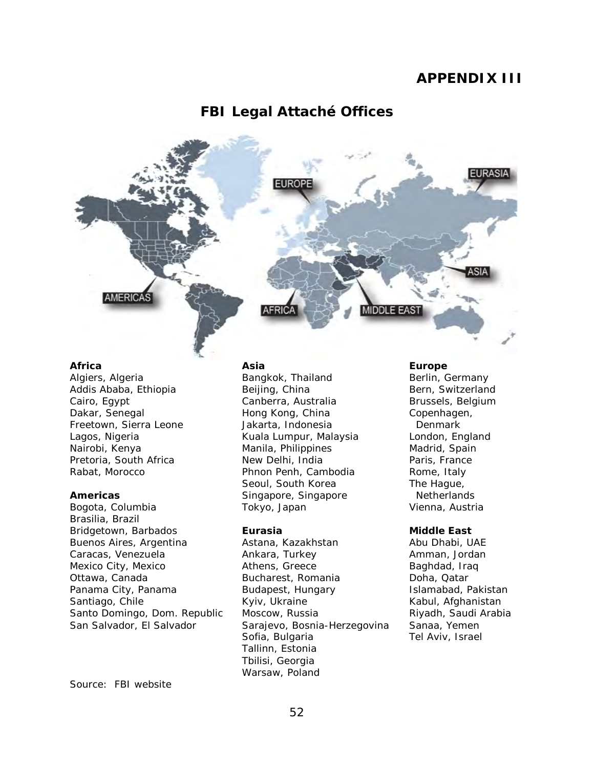## **APPENDIX III**

### **FBI Legal Attaché Offices**



#### **Africa**

 Algiers, Algeria Addis Ababa, Ethiopia Freetown, Sierra Leone Pretoria, South Africa Cairo, Egypt Dakar, Senegal Lagos, Nigeria Nairobi, Kenya Rabat, Morocco

#### **Americas**

 Buenos Aires, Argentina Mexico City, Mexico Panama City, Panama Santo Domingo, Dom. Republic San Salvador, El Salvador Bogota, Columbia Brasilia, Brazil Bridgetown, Barbados Caracas, Venezuela Ottawa, Canada Santiago, Chile

#### **Asia**

Bangkok, Thailand Beijing, China Canberra, Australia Hong Kong, China Jakarta, Indonesia Kuala Lumpur, Malaysia Manila, Philippines New Delhi, India Phnon Penh, Cambodia Seoul, South Korea Singapore, Singapore Tokyo, Japan

#### **Eurasia**

Astana, Kazakhstan Ankara, Turkey Athens, Greece Bucharest, Romania Budapest, Hungary Kyiv, Ukraine Moscow, Russia Sarajevo, Bosnia-Herzegovina Sofia, Bulgaria Tallinn, Estonia Tbilisi, Georgia Warsaw, Poland

#### **Europe**

Berlin, Germany Bern, Switzerland Brussels, Belgium Copenhagen, Denmark London, England Madrid, Spain Paris, France Rome, Italy The Hague, **Netherlands** Vienna, Austria

#### **Middle East**

 Abu Dhabi, UAE Riyadh, Saudi Arabia Tel Aviv, Israel Amman, Jordan Baghdad, Iraq Doha, Qatar Islamabad, Pakistan Kabul, Afghanistan Sanaa, Yemen

Source: FBI website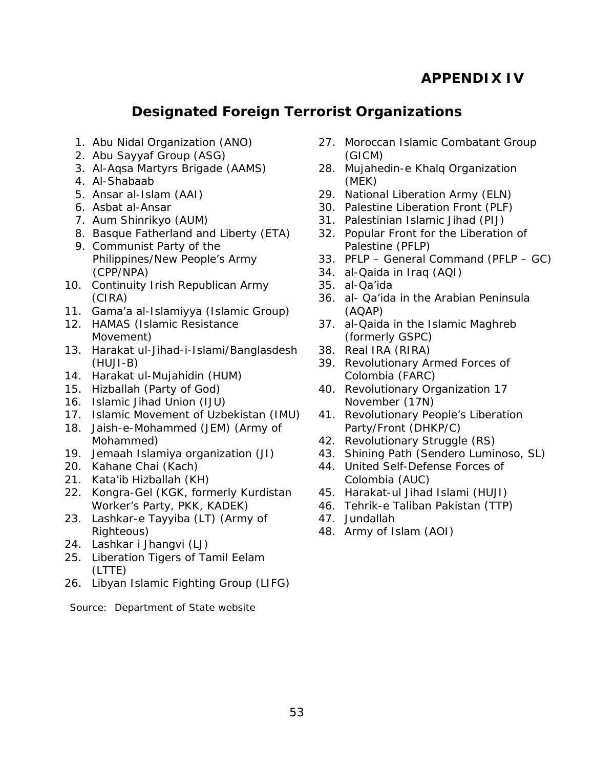# **APPENDIX IV**

# **Designated Foreign Terrorist Organizations**

- <span id="page-58-0"></span>1. Abu Nidal Organization (ANO)
- 2. Abu Sayyaf Group (ASG)
- 3. Al-Aqsa Martyrs Brigade (AAMS)
- 4. Al-Shabaab
- 5. Ansar al-Islam (AAI)
- 6. Asbat al-Ansar
- 7. Aum Shinrikyo (AUM)
- 8. Basque Fatherland and Liberty (ETA)
- 9. Communist Party of the Philippines/New People's Army (CPP/NPA)
- 10. Continuity Irish Republican Army (CIRA)
- 11. Gama'a al-Islamiyya (Islamic Group)
- 12. HAMAS (Islamic Resistance Movement)
- 13. Harakat ul-Jihad-i-Islami/Banglasdesh (HUJI-B)
- 14. Harakat ul-Mujahidin (HUM)
- 15. Hizballah (Party of God)
- 16. Islamic Jihad Union (IJU)
- 17. Islamic Movement of Uzbekistan (IMU)
- 18. Jaish-e-Mohammed (JEM) (Army of Mohammed)
- 19. Jemaah Islamiya organization (JI)
- 20. Kahane Chai (Kach)
- 21. Kata'ib Hizballah (KH)
- 22. Kongra-Gel (KGK, formerly Kurdistan Worker's Party, PKK, KADEK)
- 23. Lashkar-e Tayyiba (LT) (Army of Righteous)
- 24. Lashkar i Jhangvi (LJ)
- 25. Liberation Tigers of Tamil Eelam (LTTE)
- 26. Libyan Islamic Fighting Group (LIFG)
- 27. Moroccan Islamic Combatant Group (GICM)
- 28. Mujahedin-e Khalq Organization (MEK)
- 29. National Liberation Army (ELN)
- 30. Palestine Liberation Front (PLF)
- 31. Palestinian Islamic Jihad (PIJ)
- 32. Popular Front for the Liberation of Palestine (PFLP)
- 33. PFLP General Command (PFLP GC)
- 34. al-Qaida in Iraq (AQI)
- 35. al-Qa'ida
- 36. al- Qa'ida in the Arabian Peninsula (AQAP)
- 37. al-Qaida in the Islamic Maghreb (formerly GSPC)
- 38. Real IRA (RIRA)
- 39. Revolutionary Armed Forces of Colombia (FARC)
- 40. Revolutionary Organization 17 November (17N)
- 41. Revolutionary People's Liberation Party/Front (DHKP/C)
- 42. Revolutionary Struggle (RS)
- 43. Shining Path (Sendero Luminoso, SL)
- 44. United Self-Defense Forces of Colombia (AUC)
- 45. Harakat-ul Jihad Islami (HUJI)
- 46. Tehrik-e Taliban Pakistan (TTP)
- 47. Jundallah
- 48. Army of Islam (AOI)

 Source: Department of State website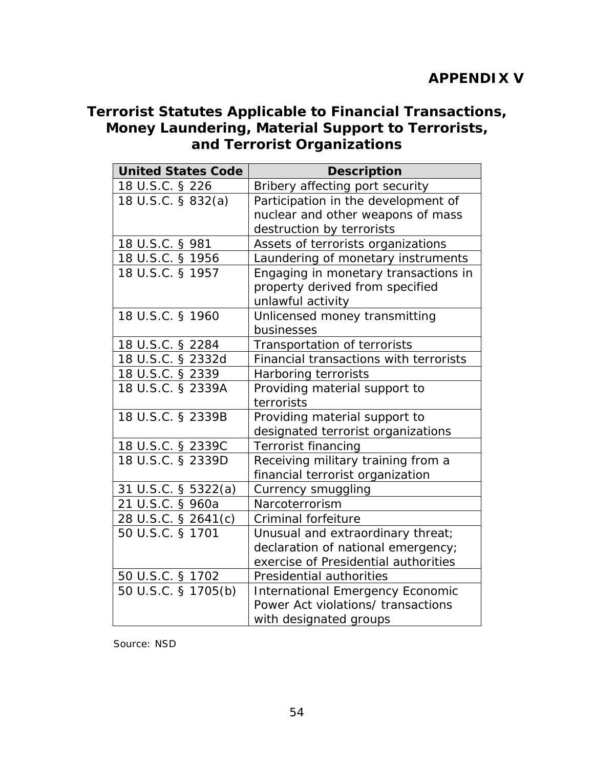# **Terrorist Statutes Applicable to Financial Transactions, Money Laundering, Material Support to Terrorists, and Terrorist Organizations**

| <b>United States Code</b> | <b>Description</b>                      |
|---------------------------|-----------------------------------------|
| 18 U.S.C. § 226           | Bribery affecting port security         |
| 18 U.S.C. § 832(a)        | Participation in the development of     |
|                           | nuclear and other weapons of mass       |
|                           | destruction by terrorists               |
| 18 U.S.C. § 981           | Assets of terrorists organizations      |
| 18 U.S.C. § 1956          | Laundering of monetary instruments      |
| 18 U.S.C. § 1957          | Engaging in monetary transactions in    |
|                           | property derived from specified         |
|                           | unlawful activity                       |
| 18 U.S.C. § 1960          | Unlicensed money transmitting           |
|                           | businesses                              |
| 18 U.S.C. § 2284          | Transportation of terrorists            |
| 18 U.S.C. § 2332d         | Financial transactions with terrorists  |
| 18 U.S.C. § 2339          | Harboring terrorists                    |
| 18 U.S.C. § 2339A         | Providing material support to           |
|                           | terrorists                              |
| 18 U.S.C. § 2339B         | Providing material support to           |
|                           | designated terrorist organizations      |
| 18 U.S.C. § 2339C         | <b>Terrorist financing</b>              |
| 18 U.S.C. § 2339D         | Receiving military training from a      |
|                           | financial terrorist organization        |
| 31 U.S.C. § 5322(a)       | Currency smuggling                      |
| 21 U.S.C. § 960a          | Narcoterrorism                          |
| 28 U.S.C. § 2641(c)       | Criminal forfeiture                     |
| 50 U.S.C. § 1701          | Unusual and extraordinary threat;       |
|                           | declaration of national emergency;      |
|                           | exercise of Presidential authorities    |
| 50 U.S.C. § 1702          | Presidential authorities                |
| 50 U.S.C. § 1705(b)       | <b>International Emergency Economic</b> |
|                           | Power Act violations/ transactions      |
|                           | with designated groups                  |

Source: NSD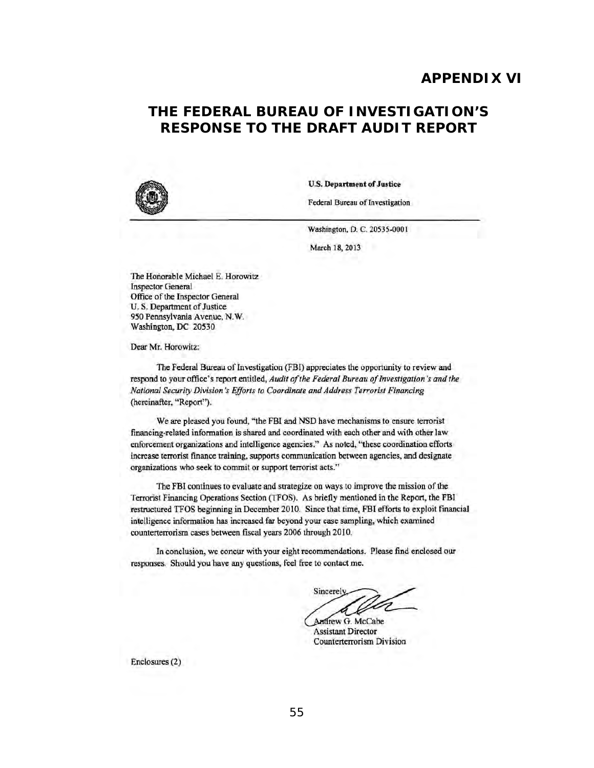### **APPENDIX VI**

# **RESPONSE TO THE DRAFT AUDIT REPORT THE FEDERAL BUREAU OF INVESTIGATION'S**



U.S. Department of Justice

Federal Bureau of Investigation

Washington, D. C. 20535-0001

March 18, 2013

The Honorable Michael E. Horowitz Inspector General Office: of the Inspector General U. S. Department of Justice: 950 Pennsylvania Avenue, N.W. Washington, DC 20530

Dear Mr. Horowitz:

The Federal Bureau of Investigation (FBI) appreciates the opportunity to review and respond to your office's report entitled, *Audit of the Federal Bureau of Investigation's and the National Securiry Division's Efforts to Coordinate and Address Terrorist Financing*  (hereinafter. "Report").

We are plcased you found, "the FBI and NSD have mechanisms to ensure terrorist financing-related information is shared and coordinated with each other and with other law enforcement organizations and intelligence agencies." As noted, ''these coordination efforts increase terrorist fmancc training, supports communication between agencies, and designate organizations who seek to commit or support terrorist acts."

The FBI continues to evaluate and strategize on ways to improve the mission of the Terrorist Financing Operations Section (TFOS). As briefly mentioned in the Report, the FBI restructured TFOS beginning in December 2010. Since that time, FBI efforts to exploit financial intelligence information has increased far beyond your case sampling, which examined counterterrorism cases between fiscal years 2006 through 2010.

In conclusion, we concur with your eight recommendations. Please find enclosed our responses. Should you have any questions, feel free to contact me.

Sincerely

Andrew G. McCabe Assistant Director Counterterrorism Division

Enclosures (2)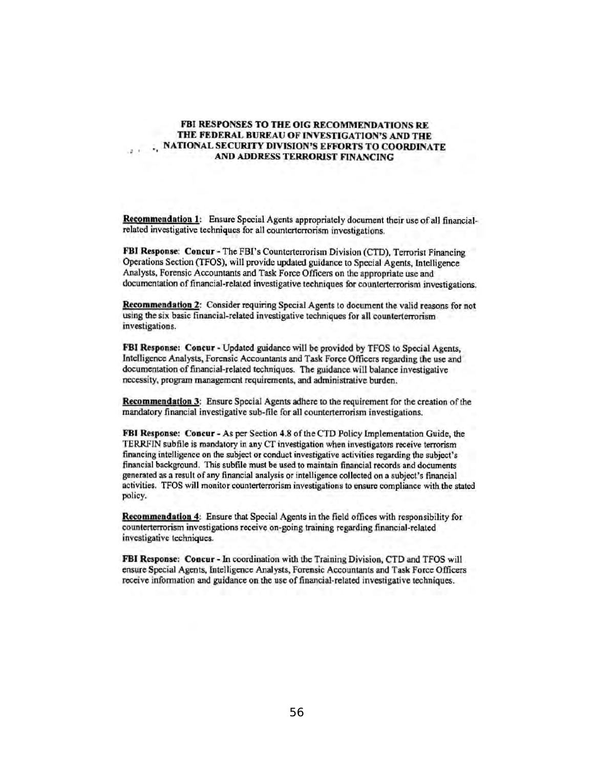#### FBI RESPONSES TO THE OIG RECOMMENDATIONS RE THE FEDERAL BUREAU OF INVESTIGATION'S AND THE , NATIONAL SECURITY DIVISION'S EFFORTS TO COORDINATE AND ADDRESS TERRORJST F1NANCING

Recommendation 1: Ensure Special Agents appropriately document their use of all financialrelated investigative techniques for all counterterrorism investigations.

FBI Response: Concur - The FBI's Counterterrorism Division (CTD), Terrorist Financing Operations Section (TFOS), will provide updated guidance to Special Agents, Intclligenee Analysts, Forensic Accountants and Task Force Officers on the appropriate use and documentation of financial-related investigative techniques for counterterrorism investigations.

Recommendation 2: Consider requiring Special Agents to document the valid reasons for not using the six basic financial-related investigative techniques for all counterterrorism investigations.

FBI Response: Concur - Updated guidance will be provided by TFOS to Special Agents, Intelligence Analysts, Forensic Aceountants and Task Force Officers regarding the use and documentation of financial-related techniques. The guidance will balance investigative necessity, program management requirements., and administrative burden.

Recommendation 3: Ensure Special Agents adhere to the requirement for the creation of the mandatory finaneial investigative sub-file for all counterterrorism investigations.

FBI Response: Concur - As per Section 4.8 of the CfD Policy implementation Guide, the TERRFIN subfile is mandatory in any CT investigation when investigators receive terrorism financing intelligence on the subject or conduct investigative activities regarding the subject's financial background. This subfile must be used to maintain financial records and documents generated as a result of any financial analysis or intelligence collected on a subject's financial activities. TFOS will monitor counterterrorism investigations to cnsure compliance with the stated policy.

Recommendation 4: Ensure that Special Agents in the field offices with responsibility for counterterrorism investigations receive on-going training regarding financial-related investigative techniques.

FBI Response: Concur - In coordination with the Training Division, CTD and TFOS will ensure Special Agents., InteJligcnce Analysts, Forensic Accountants and Task Force Officers receive infonnation and guidance on the use of financial-related investigative techniques.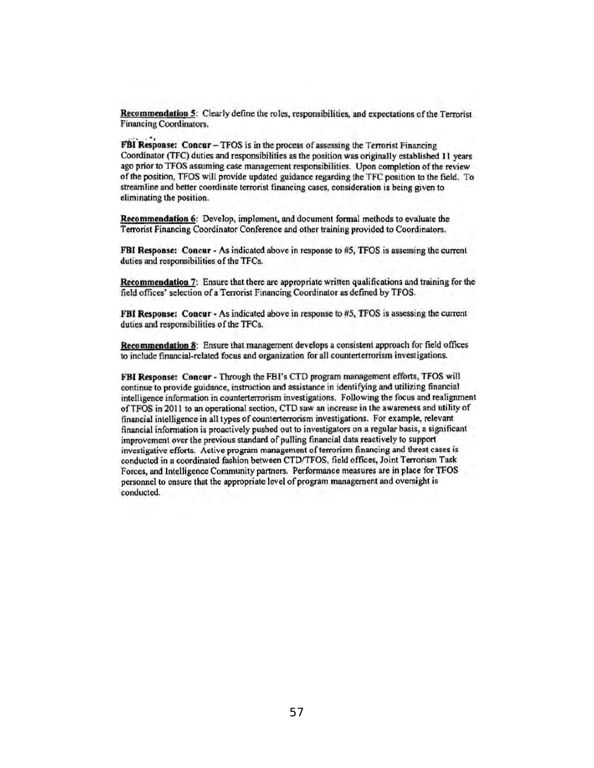Recommendation 5: Clearly define the roles, responsibilities, and expectations of the Terrorist Financing Coordinators.

FBI Response: Concur - TFOS is in the process of assessing the Terrorist Financing Coordinator (TFC) duties and responsibilities as the position was originally established II years ago prior to TFOS assuming case management responsibilities. Upon completion of the review of the position, TFOS will provide updated guidance regarding the TFC position to the field. To streamline and better coordinate terrorist financing cases, consideration is being given to eliminating the position.

Recommendation 6: Develop, implement, and document formal methods to evaluate the Terrorist Financing Coordinator Conference and other training provided to Coordinators.

FBI Response: Concur - As indicated above in response to #5, TFOS is assessing the current duties and responsibilities of the TFCs.

Recommendation 7: Ensure that there are appropriate written qualifications and training for the field offices' selection of a Terrorist Financing Coordinator as defined by TFOS.

FBI Response: Concur - As indicated above in response to #5, TFOS is assessing the current duties and responsibilities of the TFCs.

Recommendation 8: Ensure that management develops a consistent approach for field offices to include financial-related focus and organization for all counterterrorism invest igations.

FBI Response: Concur - Through the FBI's CTD program management efforts, TFOS will continue to provide guidance, instruction and assistance in identifying and utilizing financial intelligence infonnation in counterterrorism investigations. Following the focus and realignment ofTFOS in 2011 to an operational section, CTD saw an increase in the awareness and utility of financial intelligence in all types of counterterrorism investigations. For example, relevant financial information is proactively pushed out to investigators on a reguler basis, a significant improvement over the previous standard of pulling financial data reactively to support investigative efforts. Active program management of terrorism financing and threat cases is conducted in a coordinated fashion between CTD/TFOS, field offices, Joint Terrorism Task Forces, and Intelligence Conununity partners. Performance measures are in place for TFOS personnel to ensure that the appropriate level of program management and oversight is conducted.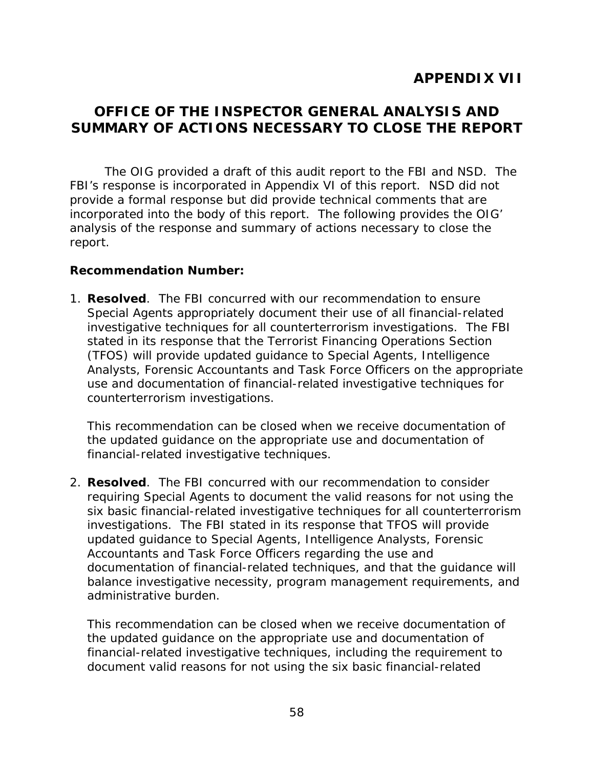# <span id="page-63-0"></span> **OFFICE OF THE INSPECTOR GENERAL ANALYSIS AND SUMMARY OF ACTIONS NECESSARY TO CLOSE THE REPORT**

The OIG provided a draft of this audit report to the FBI and NSD. The FBI's response is incorporated in Appendix VI of this report. NSD did not provide a formal response but did provide technical comments that are incorporated into the body of this report. The following provides the OIG' analysis of the response and summary of actions necessary to close the report.

### **Recommendation Number:**

 1. **Resolved**. The FBI concurred with our recommendation to ensure counterterrorism investigations. Special Agents appropriately document their use of all financial-related investigative techniques for all counterterrorism investigations. The FBI stated in its response that the Terrorist Financing Operations Section (TFOS) will provide updated guidance to Special Agents, Intelligence Analysts, Forensic Accountants and Task Force Officers on the appropriate use and documentation of financial-related investigative techniques for

This recommendation can be closed when we receive documentation of the updated guidance on the appropriate use and documentation of financial-related investigative techniques.

 2. **Resolved**. The FBI concurred with our recommendation to consider investigations. The FBI stated in its response that TFOS will provide updated guidance to Special Agents, Intelligence Analysts, Forensic requiring Special Agents to document the valid reasons for not using the six basic financial-related investigative techniques for all counterterrorism Accountants and Task Force Officers regarding the use and documentation of financial-related techniques, and that the guidance will balance investigative necessity, program management requirements, and administrative burden.

This recommendation can be closed when we receive documentation of the updated guidance on the appropriate use and documentation of financial-related investigative techniques, including the requirement to document valid reasons for not using the six basic financial-related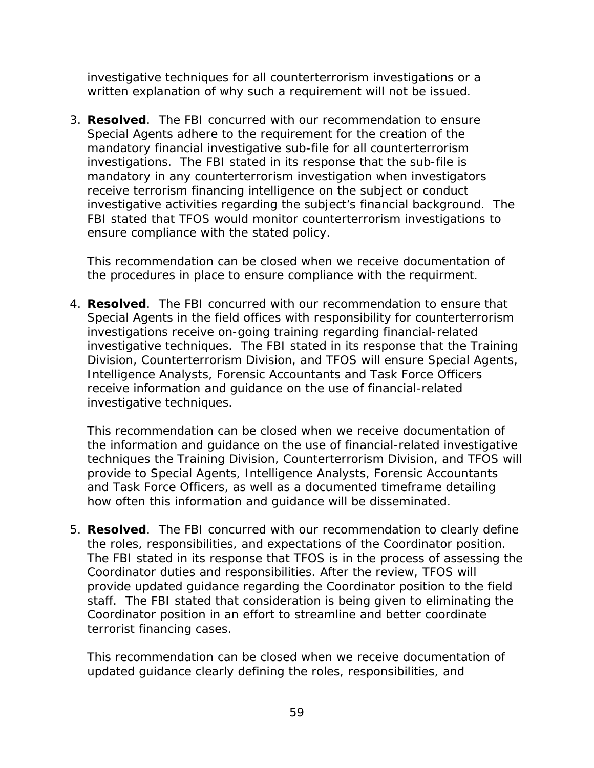investigative techniques for all counterterrorism investigations or a written explanation of why such a requirement will not be issued.

 3. **Resolved**. The FBI concurred with our recommendation to ensure investigations. The FBI stated in its response that the sub-file is FBI stated that TFOS would monitor counterterrorism investigations to ensure compliance with the stated policy. Special Agents adhere to the requirement for the creation of the mandatory financial investigative sub-file for all counterterrorism mandatory in any counterterrorism investigation when investigators receive terrorism financing intelligence on the subject or conduct investigative activities regarding the subject's financial background. The

This recommendation can be closed when we receive documentation of the procedures in place to ensure compliance with the requirment.

 investigative techniques. The FBI stated in its response that the Training 4. **Resolved**. The FBI concurred with our recommendation to ensure that Special Agents in the field offices with responsibility for counterterrorism investigations receive on-going training regarding financial-related Division, Counterterrorism Division, and TFOS will ensure Special Agents, Intelligence Analysts, Forensic Accountants and Task Force Officers receive information and guidance on the use of financial-related investigative techniques.

 and Task Force Officers, as well as a documented timeframe detailing This recommendation can be closed when we receive documentation of the information and guidance on the use of financial-related investigative techniques the Training Division, Counterterrorism Division, and TFOS will provide to Special Agents, Intelligence Analysts, Forensic Accountants how often this information and guidance will be disseminated.

5. **Resolved**. The FBI concurred with our recommendation to clearly define the roles, responsibilities, and expectations of the Coordinator position. The FBI stated in its response that TFOS is in the process of assessing the Coordinator duties and responsibilities. After the review, TFOS will provide updated guidance regarding the Coordinator position to the field staff. The FBI stated that consideration is being given to eliminating the Coordinator position in an effort to streamline and better coordinate terrorist financing cases.

This recommendation can be closed when we receive documentation of updated guidance clearly defining the roles, responsibilities, and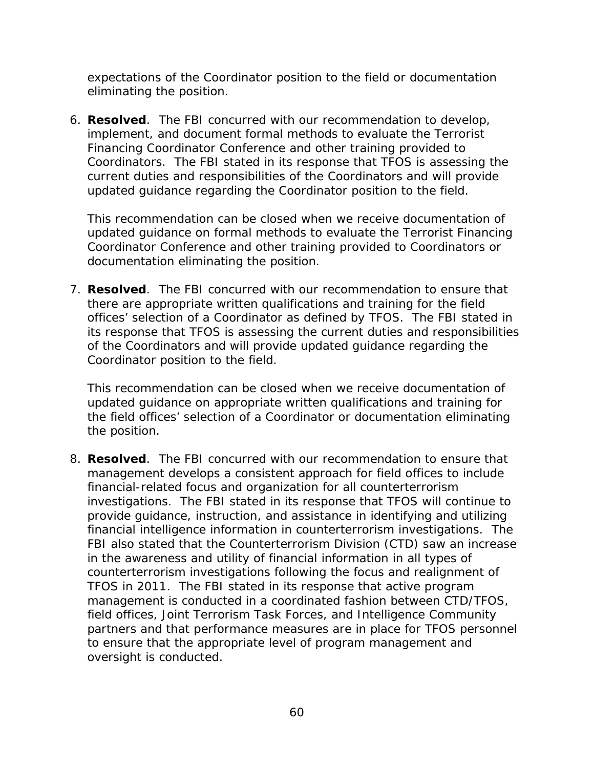expectations of the Coordinator position to the field or documentation eliminating the position.

 Coordinators. The FBI stated in its response that TFOS is assessing the 6. **Resolved**. The FBI concurred with our recommendation to develop, implement, and document formal methods to evaluate the Terrorist Financing Coordinator Conference and other training provided to current duties and responsibilities of the Coordinators and will provide updated guidance regarding the Coordinator position to the field.

This recommendation can be closed when we receive documentation of updated guidance on formal methods to evaluate the Terrorist Financing Coordinator Conference and other training provided to Coordinators or documentation eliminating the position.

7. **Resolved**. The FBI concurred with our recommendation to ensure that there are appropriate written qualifications and training for the field offices' selection of a Coordinator as defined by TFOS. The FBI stated in its response that TFOS is assessing the current duties and responsibilities of the Coordinators and will provide updated guidance regarding the Coordinator position to the field.

This recommendation can be closed when we receive documentation of updated guidance on appropriate written qualifications and training for the field offices' selection of a Coordinator or documentation eliminating the position.

 investigations. The FBI stated in its response that TFOS will continue to TFOS in 2011. The FBI stated in its response that active program oversight is conducted. 8. **Resolved**. The FBI concurred with our recommendation to ensure that management develops a consistent approach for field offices to include financial-related focus and organization for all counterterrorism provide guidance, instruction, and assistance in identifying and utilizing financial intelligence information in counterterrorism investigations. The FBI also stated that the Counterterrorism Division (CTD) saw an increase in the awareness and utility of financial information in all types of counterterrorism investigations following the focus and realignment of management is conducted in a coordinated fashion between CTD/TFOS, field offices, Joint Terrorism Task Forces, and Intelligence Community partners and that performance measures are in place for TFOS personnel to ensure that the appropriate level of program management and oversight is conducted.<br>
60